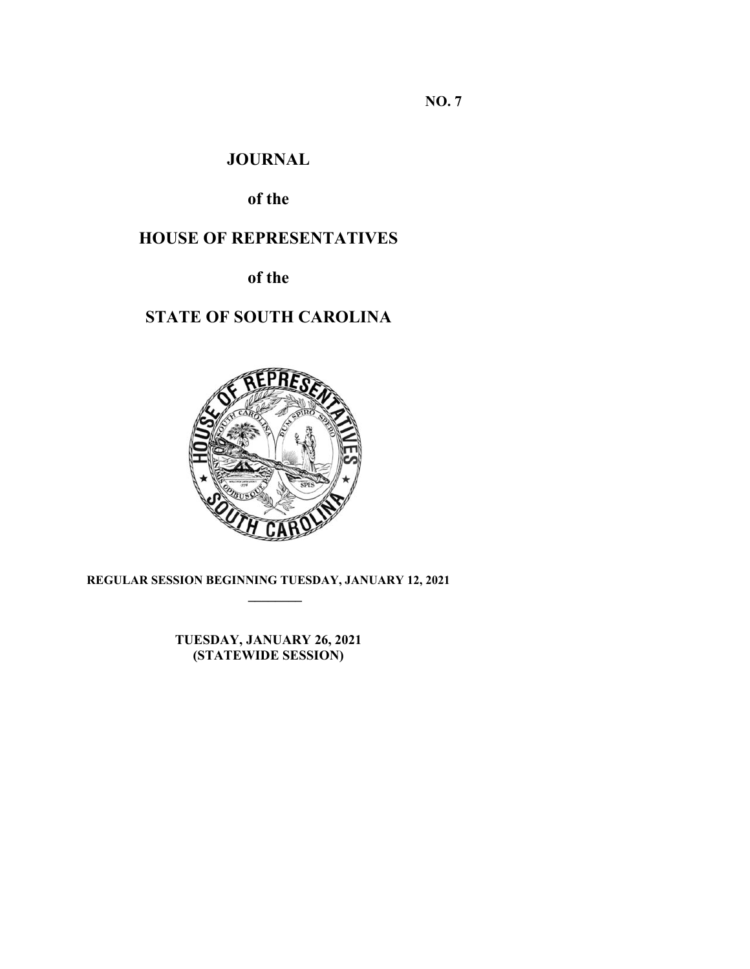**NO. 7** 

# **JOURNAL**

# **of the**

# **HOUSE OF REPRESENTATIVES**

**of the** 

# **STATE OF SOUTH CAROLINA**



**REGULAR SESSION BEGINNING TUESDAY, JANUARY 12, 2021 \_\_\_\_\_\_\_\_**

> **TUESDAY, JANUARY 26, 2021 (STATEWIDE SESSION)**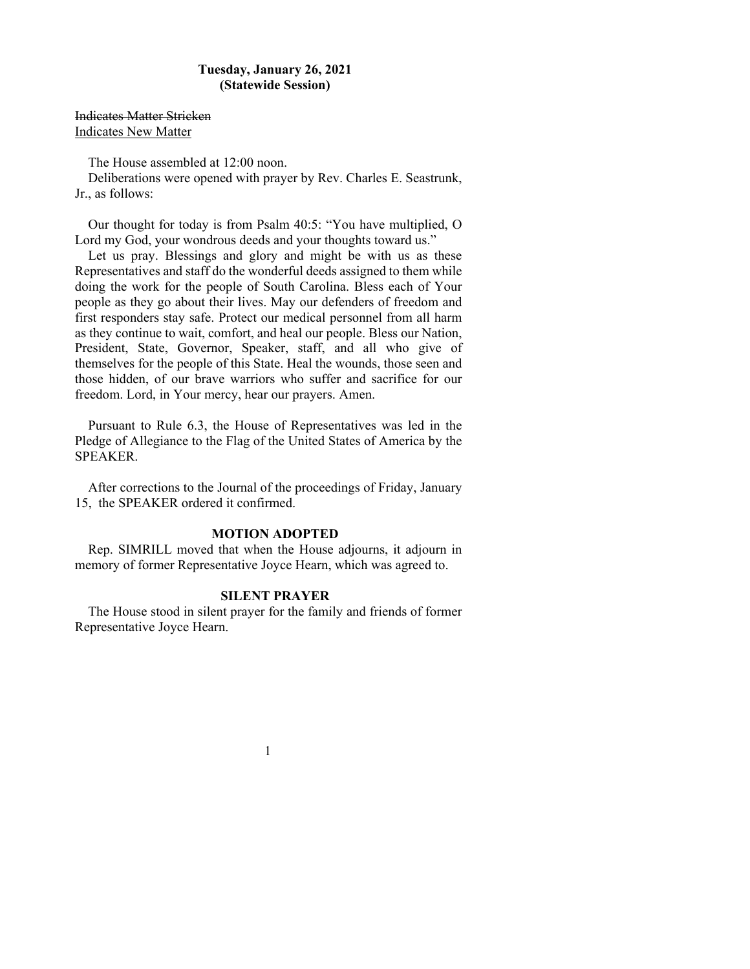## **Tuesday, January 26, 2021 (Statewide Session)**

Indicates Matter Stricken Indicates New Matter

The House assembled at 12:00 noon.

Deliberations were opened with prayer by Rev. Charles E. Seastrunk, Jr., as follows:

 Our thought for today is from Psalm 40:5: "You have multiplied, O Lord my God, your wondrous deeds and your thoughts toward us."

 Let us pray. Blessings and glory and might be with us as these Representatives and staff do the wonderful deeds assigned to them while doing the work for the people of South Carolina. Bless each of Your people as they go about their lives. May our defenders of freedom and first responders stay safe. Protect our medical personnel from all harm as they continue to wait, comfort, and heal our people. Bless our Nation, President, State, Governor, Speaker, staff, and all who give of themselves for the people of this State. Heal the wounds, those seen and those hidden, of our brave warriors who suffer and sacrifice for our freedom. Lord, in Your mercy, hear our prayers. Amen.

Pursuant to Rule 6.3, the House of Representatives was led in the Pledge of Allegiance to the Flag of the United States of America by the SPEAKER.

After corrections to the Journal of the proceedings of Friday, January 15, the SPEAKER ordered it confirmed.

## **MOTION ADOPTED**

Rep. SIMRILL moved that when the House adjourns, it adjourn in memory of former Representative Joyce Hearn, which was agreed to.

#### **SILENT PRAYER**

The House stood in silent prayer for the family and friends of former Representative Joyce Hearn.

1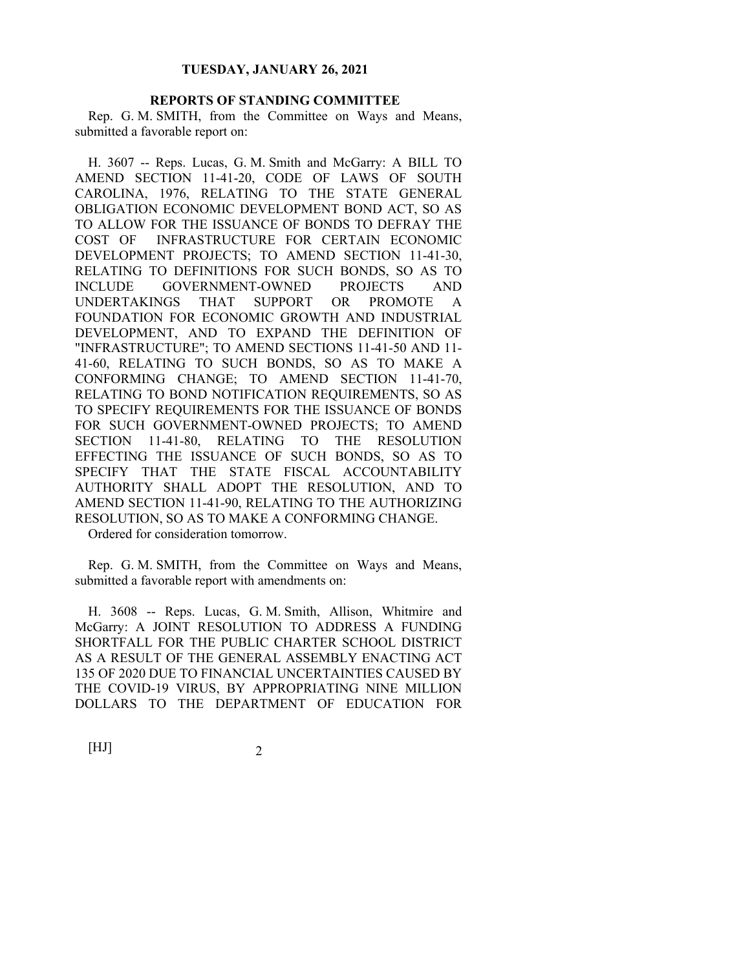#### **REPORTS OF STANDING COMMITTEE**

Rep. G. M. SMITH, from the Committee on Ways and Means, submitted a favorable report on:

H. 3607 -- Reps. Lucas, G. M. Smith and McGarry: A BILL TO AMEND SECTION 11-41-20, CODE OF LAWS OF SOUTH CAROLINA, 1976, RELATING TO THE STATE GENERAL OBLIGATION ECONOMIC DEVELOPMENT BOND ACT, SO AS TO ALLOW FOR THE ISSUANCE OF BONDS TO DEFRAY THE COST OF INFRASTRUCTURE FOR CERTAIN ECONOMIC DEVELOPMENT PROJECTS; TO AMEND SECTION 11-41-30, RELATING TO DEFINITIONS FOR SUCH BONDS, SO AS TO INCLUDE GOVERNMENT-OWNED PROJECTS AND UNDERTAKINGS THAT SUPPORT OR PROMOTE A FOUNDATION FOR ECONOMIC GROWTH AND INDUSTRIAL DEVELOPMENT, AND TO EXPAND THE DEFINITION OF "INFRASTRUCTURE"; TO AMEND SECTIONS 11-41-50 AND 11- 41-60, RELATING TO SUCH BONDS, SO AS TO MAKE A CONFORMING CHANGE; TO AMEND SECTION 11-41-70, RELATING TO BOND NOTIFICATION REQUIREMENTS, SO AS TO SPECIFY REQUIREMENTS FOR THE ISSUANCE OF BONDS FOR SUCH GOVERNMENT-OWNED PROJECTS; TO AMEND SECTION 11-41-80, RELATING TO THE RESOLUTION EFFECTING THE ISSUANCE OF SUCH BONDS, SO AS TO SPECIFY THAT THE STATE FISCAL ACCOUNTABILITY AUTHORITY SHALL ADOPT THE RESOLUTION, AND TO AMEND SECTION 11-41-90, RELATING TO THE AUTHORIZING RESOLUTION, SO AS TO MAKE A CONFORMING CHANGE.

Ordered for consideration tomorrow.

Rep. G. M. SMITH, from the Committee on Ways and Means, submitted a favorable report with amendments on:

H. 3608 -- Reps. Lucas, G. M. Smith, Allison, Whitmire and McGarry: A JOINT RESOLUTION TO ADDRESS A FUNDING SHORTFALL FOR THE PUBLIC CHARTER SCHOOL DISTRICT AS A RESULT OF THE GENERAL ASSEMBLY ENACTING ACT 135 OF 2020 DUE TO FINANCIAL UNCERTAINTIES CAUSED BY THE COVID-19 VIRUS, BY APPROPRIATING NINE MILLION DOLLARS TO THE DEPARTMENT OF EDUCATION FOR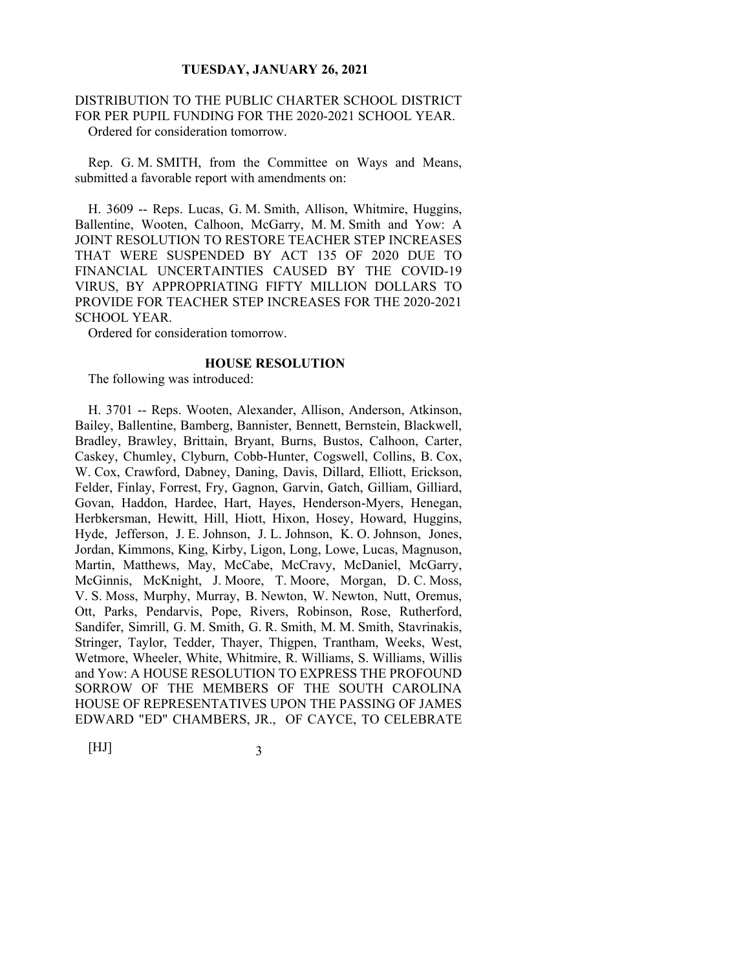#### DISTRIBUTION TO THE PUBLIC CHARTER SCHOOL DISTRICT FOR PER PUPIL FUNDING FOR THE 2020-2021 SCHOOL YEAR. Ordered for consideration tomorrow.

Rep. G. M. SMITH, from the Committee on Ways and Means, submitted a favorable report with amendments on:

H. 3609 -- Reps. Lucas, G. M. Smith, Allison, Whitmire, Huggins, Ballentine, Wooten, Calhoon, McGarry, M. M. Smith and Yow: A JOINT RESOLUTION TO RESTORE TEACHER STEP INCREASES THAT WERE SUSPENDED BY ACT 135 OF 2020 DUE TO FINANCIAL UNCERTAINTIES CAUSED BY THE COVID-19 VIRUS, BY APPROPRIATING FIFTY MILLION DOLLARS TO PROVIDE FOR TEACHER STEP INCREASES FOR THE 2020-2021 SCHOOL YEAR.

Ordered for consideration tomorrow.

#### **HOUSE RESOLUTION**

The following was introduced:

H. 3701 -- Reps. Wooten, Alexander, Allison, Anderson, Atkinson, Bailey, Ballentine, Bamberg, Bannister, Bennett, Bernstein, Blackwell, Bradley, Brawley, Brittain, Bryant, Burns, Bustos, Calhoon, Carter, Caskey, Chumley, Clyburn, Cobb-Hunter, Cogswell, Collins, B. Cox, W. Cox, Crawford, Dabney, Daning, Davis, Dillard, Elliott, Erickson, Felder, Finlay, Forrest, Fry, Gagnon, Garvin, Gatch, Gilliam, Gilliard, Govan, Haddon, Hardee, Hart, Hayes, Henderson-Myers, Henegan, Herbkersman, Hewitt, Hill, Hiott, Hixon, Hosey, Howard, Huggins, Hyde, Jefferson, J. E. Johnson, J. L. Johnson, K. O. Johnson, Jones, Jordan, Kimmons, King, Kirby, Ligon, Long, Lowe, Lucas, Magnuson, Martin, Matthews, May, McCabe, McCravy, McDaniel, McGarry, McGinnis, McKnight, J. Moore, T. Moore, Morgan, D. C. Moss, V. S. Moss, Murphy, Murray, B. Newton, W. Newton, Nutt, Oremus, Ott, Parks, Pendarvis, Pope, Rivers, Robinson, Rose, Rutherford, Sandifer, Simrill, G. M. Smith, G. R. Smith, M. M. Smith, Stavrinakis, Stringer, Taylor, Tedder, Thayer, Thigpen, Trantham, Weeks, West, Wetmore, Wheeler, White, Whitmire, R. Williams, S. Williams, Willis and Yow: A HOUSE RESOLUTION TO EXPRESS THE PROFOUND SORROW OF THE MEMBERS OF THE SOUTH CAROLINA HOUSE OF REPRESENTATIVES UPON THE PASSING OF JAMES EDWARD "ED" CHAMBERS, JR., OF CAYCE, TO CELEBRATE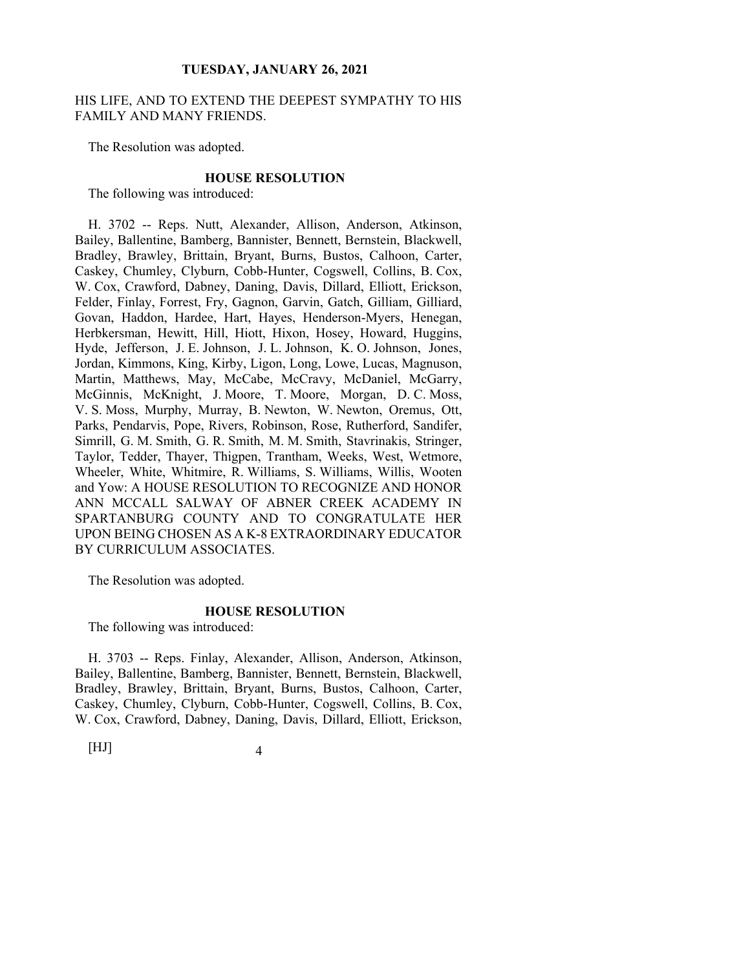#### HIS LIFE, AND TO EXTEND THE DEEPEST SYMPATHY TO HIS FAMILY AND MANY FRIENDS.

The Resolution was adopted.

#### **HOUSE RESOLUTION**

The following was introduced:

H. 3702 -- Reps. Nutt, Alexander, Allison, Anderson, Atkinson, Bailey, Ballentine, Bamberg, Bannister, Bennett, Bernstein, Blackwell, Bradley, Brawley, Brittain, Bryant, Burns, Bustos, Calhoon, Carter, Caskey, Chumley, Clyburn, Cobb-Hunter, Cogswell, Collins, B. Cox, W. Cox, Crawford, Dabney, Daning, Davis, Dillard, Elliott, Erickson, Felder, Finlay, Forrest, Fry, Gagnon, Garvin, Gatch, Gilliam, Gilliard, Govan, Haddon, Hardee, Hart, Hayes, Henderson-Myers, Henegan, Herbkersman, Hewitt, Hill, Hiott, Hixon, Hosey, Howard, Huggins, Hyde, Jefferson, J. E. Johnson, J. L. Johnson, K. O. Johnson, Jones, Jordan, Kimmons, King, Kirby, Ligon, Long, Lowe, Lucas, Magnuson, Martin, Matthews, May, McCabe, McCravy, McDaniel, McGarry, McGinnis, McKnight, J. Moore, T. Moore, Morgan, D. C. Moss, V. S. Moss, Murphy, Murray, B. Newton, W. Newton, Oremus, Ott, Parks, Pendarvis, Pope, Rivers, Robinson, Rose, Rutherford, Sandifer, Simrill, G. M. Smith, G. R. Smith, M. M. Smith, Stavrinakis, Stringer, Taylor, Tedder, Thayer, Thigpen, Trantham, Weeks, West, Wetmore, Wheeler, White, Whitmire, R. Williams, S. Williams, Willis, Wooten and Yow: A HOUSE RESOLUTION TO RECOGNIZE AND HONOR ANN MCCALL SALWAY OF ABNER CREEK ACADEMY IN SPARTANBURG COUNTY AND TO CONGRATULATE HER UPON BEING CHOSEN AS A K-8 EXTRAORDINARY EDUCATOR BY CURRICULUM ASSOCIATES.

The Resolution was adopted.

#### **HOUSE RESOLUTION**

The following was introduced:

H. 3703 -- Reps. Finlay, Alexander, Allison, Anderson, Atkinson, Bailey, Ballentine, Bamberg, Bannister, Bennett, Bernstein, Blackwell, Bradley, Brawley, Brittain, Bryant, Burns, Bustos, Calhoon, Carter, Caskey, Chumley, Clyburn, Cobb-Hunter, Cogswell, Collins, B. Cox, W. Cox, Crawford, Dabney, Daning, Davis, Dillard, Elliott, Erickson,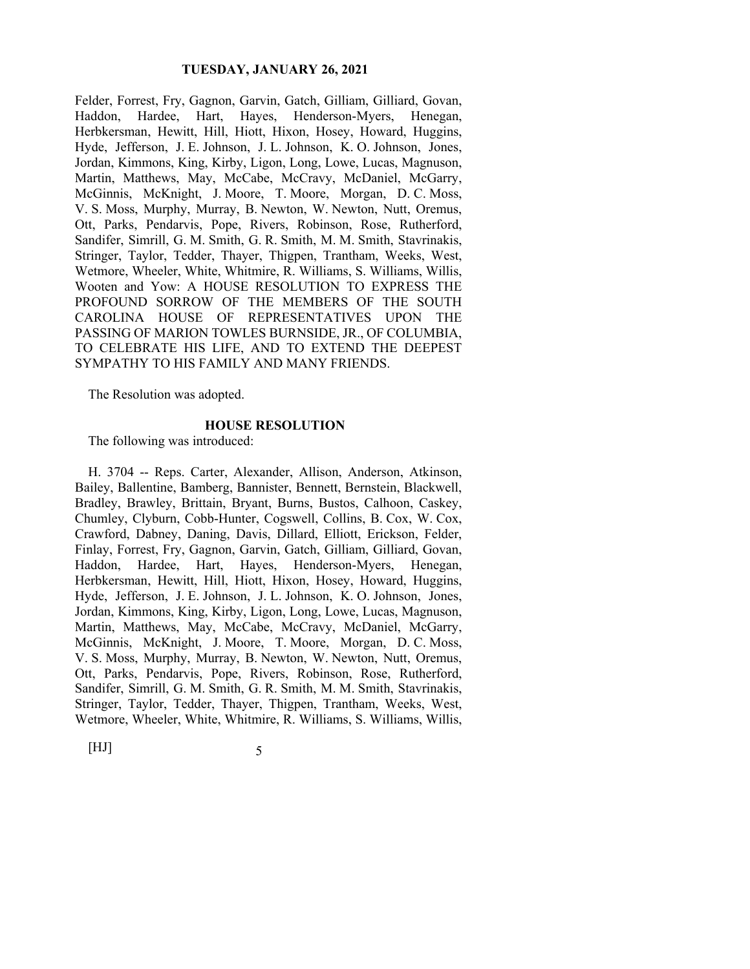Felder, Forrest, Fry, Gagnon, Garvin, Gatch, Gilliam, Gilliard, Govan, Haddon, Hardee, Hart, Hayes, Henderson-Myers, Henegan, Herbkersman, Hewitt, Hill, Hiott, Hixon, Hosey, Howard, Huggins, Hyde, Jefferson, J. E. Johnson, J. L. Johnson, K. O. Johnson, Jones, Jordan, Kimmons, King, Kirby, Ligon, Long, Lowe, Lucas, Magnuson, Martin, Matthews, May, McCabe, McCravy, McDaniel, McGarry, McGinnis, McKnight, J. Moore, T. Moore, Morgan, D. C. Moss, V. S. Moss, Murphy, Murray, B. Newton, W. Newton, Nutt, Oremus, Ott, Parks, Pendarvis, Pope, Rivers, Robinson, Rose, Rutherford, Sandifer, Simrill, G. M. Smith, G. R. Smith, M. M. Smith, Stavrinakis, Stringer, Taylor, Tedder, Thayer, Thigpen, Trantham, Weeks, West, Wetmore, Wheeler, White, Whitmire, R. Williams, S. Williams, Willis, Wooten and Yow: A HOUSE RESOLUTION TO EXPRESS THE PROFOUND SORROW OF THE MEMBERS OF THE SOUTH CAROLINA HOUSE OF REPRESENTATIVES UPON THE PASSING OF MARION TOWLES BURNSIDE, JR., OF COLUMBIA, TO CELEBRATE HIS LIFE, AND TO EXTEND THE DEEPEST SYMPATHY TO HIS FAMILY AND MANY FRIENDS.

The Resolution was adopted.

#### **HOUSE RESOLUTION**

The following was introduced:

H. 3704 -- Reps. Carter, Alexander, Allison, Anderson, Atkinson, Bailey, Ballentine, Bamberg, Bannister, Bennett, Bernstein, Blackwell, Bradley, Brawley, Brittain, Bryant, Burns, Bustos, Calhoon, Caskey, Chumley, Clyburn, Cobb-Hunter, Cogswell, Collins, B. Cox, W. Cox, Crawford, Dabney, Daning, Davis, Dillard, Elliott, Erickson, Felder, Finlay, Forrest, Fry, Gagnon, Garvin, Gatch, Gilliam, Gilliard, Govan, Haddon, Hardee, Hart, Hayes, Henderson-Myers, Henegan, Herbkersman, Hewitt, Hill, Hiott, Hixon, Hosey, Howard, Huggins, Hyde, Jefferson, J. E. Johnson, J. L. Johnson, K. O. Johnson, Jones, Jordan, Kimmons, King, Kirby, Ligon, Long, Lowe, Lucas, Magnuson, Martin, Matthews, May, McCabe, McCravy, McDaniel, McGarry, McGinnis, McKnight, J. Moore, T. Moore, Morgan, D. C. Moss, V. S. Moss, Murphy, Murray, B. Newton, W. Newton, Nutt, Oremus, Ott, Parks, Pendarvis, Pope, Rivers, Robinson, Rose, Rutherford, Sandifer, Simrill, G. M. Smith, G. R. Smith, M. M. Smith, Stavrinakis, Stringer, Taylor, Tedder, Thayer, Thigpen, Trantham, Weeks, West, Wetmore, Wheeler, White, Whitmire, R. Williams, S. Williams, Willis,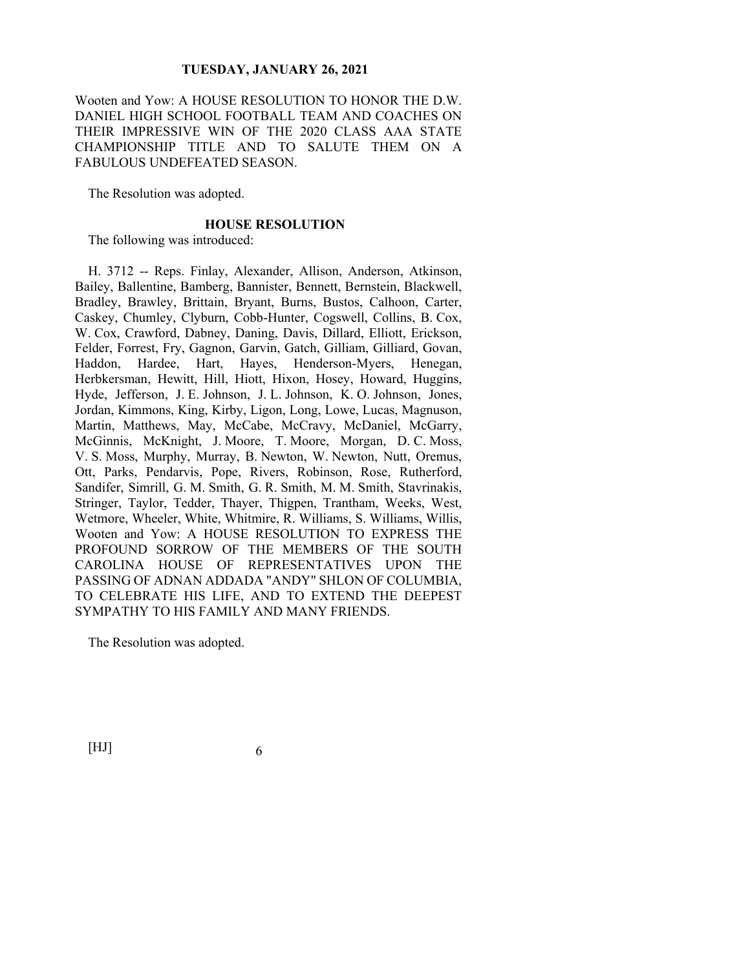Wooten and Yow: A HOUSE RESOLUTION TO HONOR THE D.W. DANIEL HIGH SCHOOL FOOTBALL TEAM AND COACHES ON THEIR IMPRESSIVE WIN OF THE 2020 CLASS AAA STATE CHAMPIONSHIP TITLE AND TO SALUTE THEM ON A FABULOUS UNDEFEATED SEASON.

The Resolution was adopted.

#### **HOUSE RESOLUTION**

The following was introduced:

H. 3712 -- Reps. Finlay, Alexander, Allison, Anderson, Atkinson, Bailey, Ballentine, Bamberg, Bannister, Bennett, Bernstein, Blackwell, Bradley, Brawley, Brittain, Bryant, Burns, Bustos, Calhoon, Carter, Caskey, Chumley, Clyburn, Cobb-Hunter, Cogswell, Collins, B. Cox, W. Cox, Crawford, Dabney, Daning, Davis, Dillard, Elliott, Erickson, Felder, Forrest, Fry, Gagnon, Garvin, Gatch, Gilliam, Gilliard, Govan, Haddon, Hardee, Hart, Hayes, Henderson-Myers, Henegan, Herbkersman, Hewitt, Hill, Hiott, Hixon, Hosey, Howard, Huggins, Hyde, Jefferson, J. E. Johnson, J. L. Johnson, K. O. Johnson, Jones, Jordan, Kimmons, King, Kirby, Ligon, Long, Lowe, Lucas, Magnuson, Martin, Matthews, May, McCabe, McCravy, McDaniel, McGarry, McGinnis, McKnight, J. Moore, T. Moore, Morgan, D. C. Moss, V. S. Moss, Murphy, Murray, B. Newton, W. Newton, Nutt, Oremus, Ott, Parks, Pendarvis, Pope, Rivers, Robinson, Rose, Rutherford, Sandifer, Simrill, G. M. Smith, G. R. Smith, M. M. Smith, Stavrinakis, Stringer, Taylor, Tedder, Thayer, Thigpen, Trantham, Weeks, West, Wetmore, Wheeler, White, Whitmire, R. Williams, S. Williams, Willis, Wooten and Yow: A HOUSE RESOLUTION TO EXPRESS THE PROFOUND SORROW OF THE MEMBERS OF THE SOUTH CAROLINA HOUSE OF REPRESENTATIVES UPON THE PASSING OF ADNAN ADDADA "ANDY" SHLON OF COLUMBIA, TO CELEBRATE HIS LIFE, AND TO EXTEND THE DEEPEST SYMPATHY TO HIS FAMILY AND MANY FRIENDS.

The Resolution was adopted.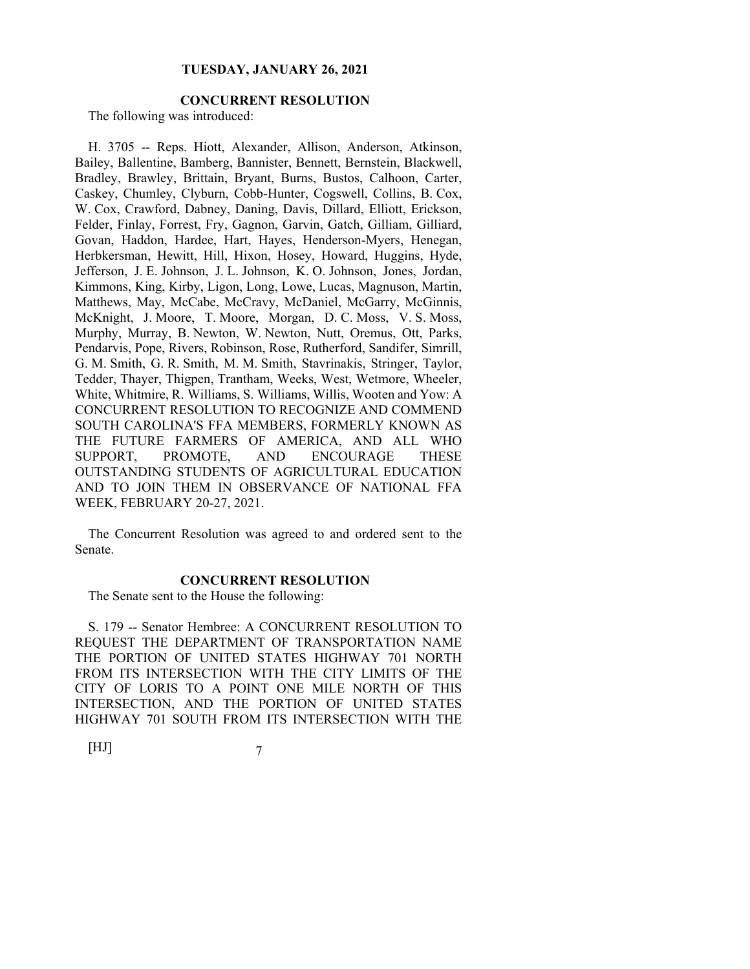# **CONCURRENT RESOLUTION**

The following was introduced:

H. 3705 -- Reps. Hiott, Alexander, Allison, Anderson, Atkinson, Bailey, Ballentine, Bamberg, Bannister, Bennett, Bernstein, Blackwell, Bradley, Brawley, Brittain, Bryant, Burns, Bustos, Calhoon, Carter, Caskey, Chumley, Clyburn, Cobb-Hunter, Cogswell, Collins, B. Cox, W. Cox, Crawford, Dabney, Daning, Davis, Dillard, Elliott, Erickson, Felder, Finlay, Forrest, Fry, Gagnon, Garvin, Gatch, Gilliam, Gilliard, Govan, Haddon, Hardee, Hart, Hayes, Henderson-Myers, Henegan, Herbkersman, Hewitt, Hill, Hixon, Hosey, Howard, Huggins, Hyde, Jefferson, J. E. Johnson, J. L. Johnson, K. O. Johnson, Jones, Jordan, Kimmons, King, Kirby, Ligon, Long, Lowe, Lucas, Magnuson, Martin, Matthews, May, McCabe, McCravy, McDaniel, McGarry, McGinnis, McKnight, J. Moore, T. Moore, Morgan, D. C. Moss, V. S. Moss, Murphy, Murray, B. Newton, W. Newton, Nutt, Oremus, Ott, Parks, Pendarvis, Pope, Rivers, Robinson, Rose, Rutherford, Sandifer, Simrill, G. M. Smith, G. R. Smith, M. M. Smith, Stavrinakis, Stringer, Taylor, Tedder, Thayer, Thigpen, Trantham, Weeks, West, Wetmore, Wheeler, White, Whitmire, R. Williams, S. Williams, Willis, Wooten and Yow: A CONCURRENT RESOLUTION TO RECOGNIZE AND COMMEND SOUTH CAROLINA'S FFA MEMBERS, FORMERLY KNOWN AS THE FUTURE FARMERS OF AMERICA, AND ALL WHO SUPPORT, PROMOTE, AND ENCOURAGE THESE OUTSTANDING STUDENTS OF AGRICULTURAL EDUCATION AND TO JOIN THEM IN OBSERVANCE OF NATIONAL FFA WEEK, FEBRUARY 20-27, 2021.

The Concurrent Resolution was agreed to and ordered sent to the Senate.

#### **CONCURRENT RESOLUTION**

The Senate sent to the House the following:

S. 179 -- Senator Hembree: A CONCURRENT RESOLUTION TO REQUEST THE DEPARTMENT OF TRANSPORTATION NAME THE PORTION OF UNITED STATES HIGHWAY 701 NORTH FROM ITS INTERSECTION WITH THE CITY LIMITS OF THE CITY OF LORIS TO A POINT ONE MILE NORTH OF THIS INTERSECTION, AND THE PORTION OF UNITED STATES HIGHWAY 701 SOUTH FROM ITS INTERSECTION WITH THE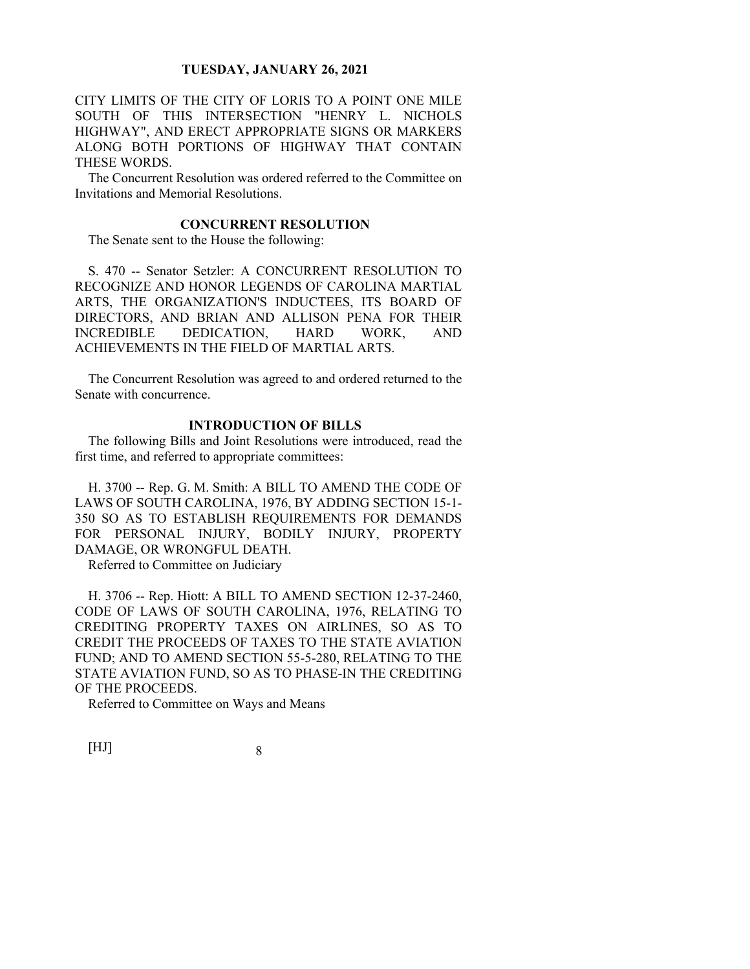CITY LIMITS OF THE CITY OF LORIS TO A POINT ONE MILE SOUTH OF THIS INTERSECTION "HENRY L. NICHOLS HIGHWAY", AND ERECT APPROPRIATE SIGNS OR MARKERS ALONG BOTH PORTIONS OF HIGHWAY THAT CONTAIN THESE WORDS.

The Concurrent Resolution was ordered referred to the Committee on Invitations and Memorial Resolutions.

## **CONCURRENT RESOLUTION**

The Senate sent to the House the following:

S. 470 -- Senator Setzler: A CONCURRENT RESOLUTION TO RECOGNIZE AND HONOR LEGENDS OF CAROLINA MARTIAL ARTS, THE ORGANIZATION'S INDUCTEES, ITS BOARD OF DIRECTORS, AND BRIAN AND ALLISON PENA FOR THEIR INCREDIBLE DEDICATION, HARD WORK, AND ACHIEVEMENTS IN THE FIELD OF MARTIAL ARTS.

The Concurrent Resolution was agreed to and ordered returned to the Senate with concurrence.

#### **INTRODUCTION OF BILLS**

The following Bills and Joint Resolutions were introduced, read the first time, and referred to appropriate committees:

H. 3700 -- Rep. G. M. Smith: A BILL TO AMEND THE CODE OF LAWS OF SOUTH CAROLINA, 1976, BY ADDING SECTION 15-1- 350 SO AS TO ESTABLISH REQUIREMENTS FOR DEMANDS FOR PERSONAL INJURY, BODILY INJURY, PROPERTY DAMAGE, OR WRONGFUL DEATH.

Referred to Committee on Judiciary

H. 3706 -- Rep. Hiott: A BILL TO AMEND SECTION 12-37-2460, CODE OF LAWS OF SOUTH CAROLINA, 1976, RELATING TO CREDITING PROPERTY TAXES ON AIRLINES, SO AS TO CREDIT THE PROCEEDS OF TAXES TO THE STATE AVIATION FUND; AND TO AMEND SECTION 55-5-280, RELATING TO THE STATE AVIATION FUND, SO AS TO PHASE-IN THE CREDITING OF THE PROCEEDS.

Referred to Committee on Ways and Means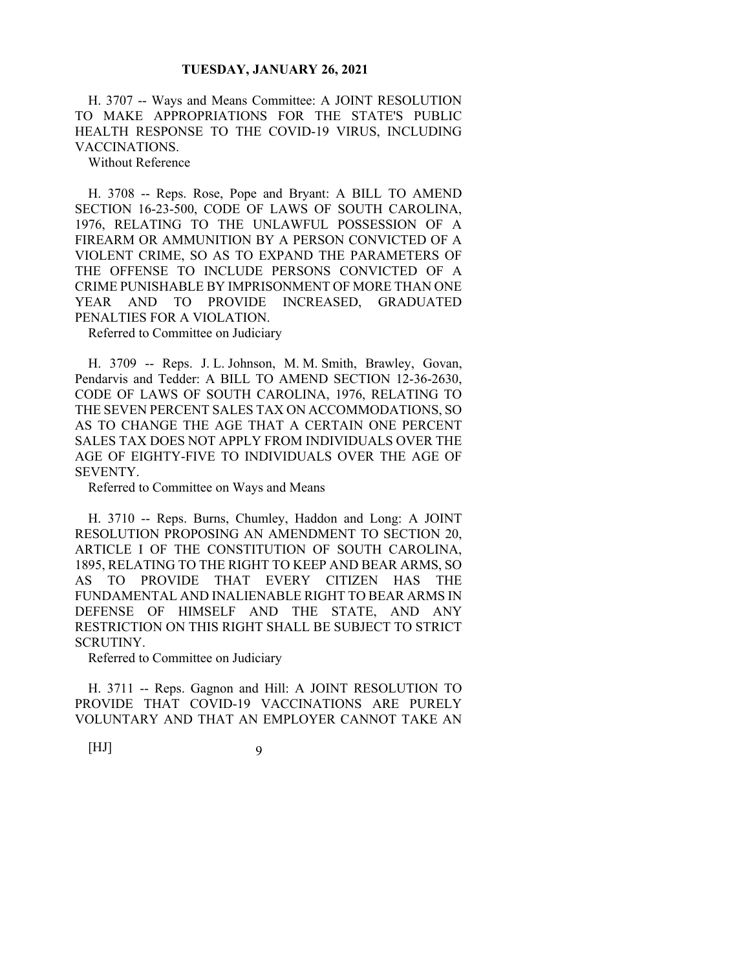H. 3707 -- Ways and Means Committee: A JOINT RESOLUTION TO MAKE APPROPRIATIONS FOR THE STATE'S PUBLIC HEALTH RESPONSE TO THE COVID-19 VIRUS, INCLUDING VACCINATIONS.

Without Reference

H. 3708 -- Reps. Rose, Pope and Bryant: A BILL TO AMEND SECTION 16-23-500, CODE OF LAWS OF SOUTH CAROLINA, 1976, RELATING TO THE UNLAWFUL POSSESSION OF A FIREARM OR AMMUNITION BY A PERSON CONVICTED OF A VIOLENT CRIME, SO AS TO EXPAND THE PARAMETERS OF THE OFFENSE TO INCLUDE PERSONS CONVICTED OF A CRIME PUNISHABLE BY IMPRISONMENT OF MORE THAN ONE YEAR AND TO PROVIDE INCREASED, GRADUATED PENALTIES FOR A VIOLATION.

Referred to Committee on Judiciary

H. 3709 -- Reps. J. L. Johnson, M. M. Smith, Brawley, Govan, Pendarvis and Tedder: A BILL TO AMEND SECTION 12-36-2630, CODE OF LAWS OF SOUTH CAROLINA, 1976, RELATING TO THE SEVEN PERCENT SALES TAX ON ACCOMMODATIONS, SO AS TO CHANGE THE AGE THAT A CERTAIN ONE PERCENT SALES TAX DOES NOT APPLY FROM INDIVIDUALS OVER THE AGE OF EIGHTY-FIVE TO INDIVIDUALS OVER THE AGE OF SEVENTY.

Referred to Committee on Ways and Means

H. 3710 -- Reps. Burns, Chumley, Haddon and Long: A JOINT RESOLUTION PROPOSING AN AMENDMENT TO SECTION 20, ARTICLE I OF THE CONSTITUTION OF SOUTH CAROLINA, 1895, RELATING TO THE RIGHT TO KEEP AND BEAR ARMS, SO AS TO PROVIDE THAT EVERY CITIZEN HAS THE FUNDAMENTAL AND INALIENABLE RIGHT TO BEAR ARMS IN DEFENSE OF HIMSELF AND THE STATE, AND ANY RESTRICTION ON THIS RIGHT SHALL BE SUBJECT TO STRICT SCRUTINY.

Referred to Committee on Judiciary

H. 3711 -- Reps. Gagnon and Hill: A JOINT RESOLUTION TO PROVIDE THAT COVID-19 VACCINATIONS ARE PURELY VOLUNTARY AND THAT AN EMPLOYER CANNOT TAKE AN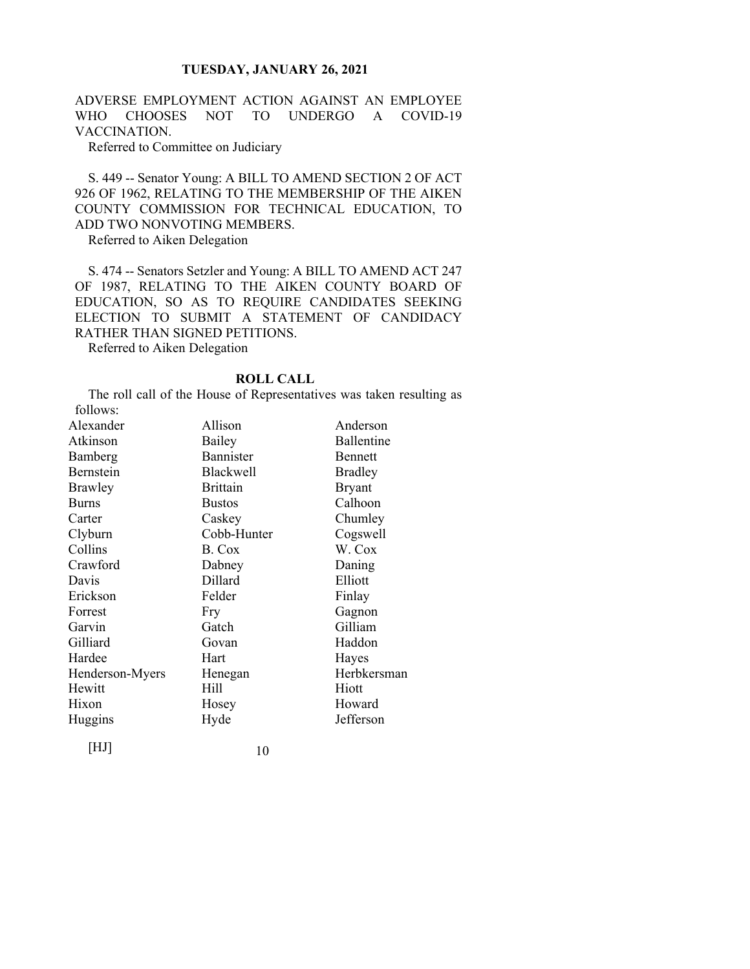ADVERSE EMPLOYMENT ACTION AGAINST AN EMPLOYEE WHO CHOOSES NOT TO UNDERGO A COVID-19 VACCINATION.

Referred to Committee on Judiciary

S. 449 -- Senator Young: A BILL TO AMEND SECTION 2 OF ACT 926 OF 1962, RELATING TO THE MEMBERSHIP OF THE AIKEN COUNTY COMMISSION FOR TECHNICAL EDUCATION, TO ADD TWO NONVOTING MEMBERS.

Referred to Aiken Delegation

S. 474 -- Senators Setzler and Young: A BILL TO AMEND ACT 247 OF 1987, RELATING TO THE AIKEN COUNTY BOARD OF EDUCATION, SO AS TO REQUIRE CANDIDATES SEEKING ELECTION TO SUBMIT A STATEMENT OF CANDIDACY RATHER THAN SIGNED PETITIONS.

Referred to Aiken Delegation

# **ROLL CALL**

The roll call of the House of Representatives was taken resulting as follows:

| Alexander       | Allison          | Anderson       |
|-----------------|------------------|----------------|
| Atkinson        | Bailey           | Ballentine     |
| Bamberg         | <b>Bannister</b> | <b>Bennett</b> |
| Bernstein       | <b>Blackwell</b> | <b>Bradley</b> |
| Brawley         | <b>Brittain</b>  | <b>Bryant</b>  |
| <b>Burns</b>    | <b>Bustos</b>    | Calhoon        |
| Carter          | Caskey           | Chumley        |
| Clyburn         | Cobb-Hunter      | Cogswell       |
| Collins         | B. Cox           | W. Cox         |
| Crawford        | Dabney           | Daning         |
| Davis           | Dillard          | Elliott        |
| Erickson        | Felder           | Finlay         |
| Forrest         | Fry              | Gagnon         |
| Garvin          | Gatch            | Gilliam        |
| Gilliard        | Govan            | Haddon         |
| Hardee          | Hart             | Hayes          |
| Henderson-Myers | Henegan          | Herbkersman    |
| Hewitt          | Hill             | Hiott          |
| Hixon           | Hosey            | Howard         |
| Huggins         | Hyde             | Jefferson      |
|                 |                  |                |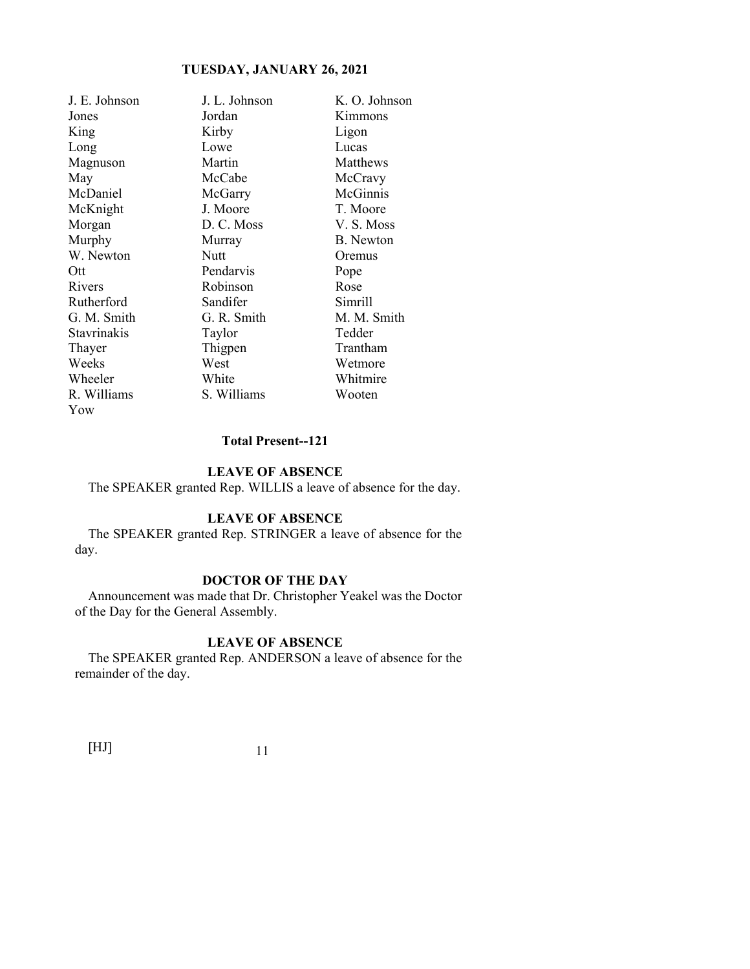| J. E. Johnson | J. L. Johnson | K. O. Johnson |
|---------------|---------------|---------------|
| Jones         | Jordan        | Kimmons       |
| King          | Kirby         | Ligon         |
| Long          | Lowe          | Lucas         |
| Magnuson      | Martin        | Matthews      |
| May           | McCabe        | McCravy       |
| McDaniel      | McGarry       | McGinnis      |
| McKnight      | J. Moore      | T. Moore      |
| Morgan        | D. C. Moss    | V. S. Moss    |
| Murphy        | Murray        | B. Newton     |
| W. Newton     | Nutt          | Oremus        |
| Ott           | Pendarvis     | Pope          |
| Rivers        | Robinson      | Rose          |
| Rutherford    | Sandifer      | Simrill       |
| G. M. Smith   | G. R. Smith   | M. M. Smith   |
| Stavrinakis   | Taylor        | Tedder        |
| Thayer        | Thigpen       | Trantham      |
| Weeks         | West          | Wetmore       |
| Wheeler       | White         | Whitmire      |
| R. Williams   | S. Williams   | Wooten        |
| Yow           |               |               |

# **Total Present--121**

## **LEAVE OF ABSENCE**

The SPEAKER granted Rep. WILLIS a leave of absence for the day.

# **LEAVE OF ABSENCE**

The SPEAKER granted Rep. STRINGER a leave of absence for the day.

# **DOCTOR OF THE DAY**

Announcement was made that Dr. Christopher Yeakel was the Doctor of the Day for the General Assembly.

# **LEAVE OF ABSENCE**

The SPEAKER granted Rep. ANDERSON a leave of absence for the remainder of the day.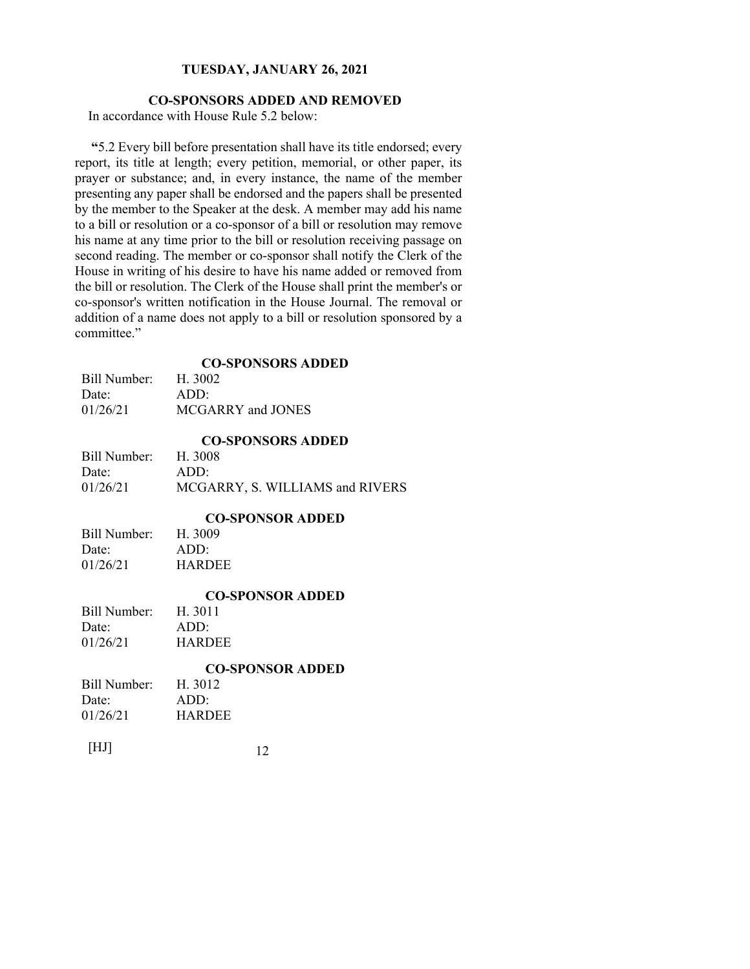# **CO-SPONSORS ADDED AND REMOVED**

In accordance with House Rule 5.2 below:

**"**5.2 Every bill before presentation shall have its title endorsed; every report, its title at length; every petition, memorial, or other paper, its prayer or substance; and, in every instance, the name of the member presenting any paper shall be endorsed and the papers shall be presented by the member to the Speaker at the desk. A member may add his name to a bill or resolution or a co-sponsor of a bill or resolution may remove his name at any time prior to the bill or resolution receiving passage on second reading. The member or co-sponsor shall notify the Clerk of the House in writing of his desire to have his name added or removed from the bill or resolution. The Clerk of the House shall print the member's or co-sponsor's written notification in the House Journal. The removal or addition of a name does not apply to a bill or resolution sponsored by a committee."

# **CO-SPONSORS ADDED**

| Bill Number: | H. 3002           |
|--------------|-------------------|
| Date:        | ADD:              |
| 01/26/21     | MCGARRY and JONES |

|              | <b>CO-SPONSORS ADDED</b>        |
|--------------|---------------------------------|
| Bill Number: | H. 3008                         |
| Date:        | ADD:                            |
| 01/26/21     | MCGARRY, S. WILLIAMS and RIVERS |

## **CO-SPONSOR ADDED**

| Bill Number: | H. 3009       |
|--------------|---------------|
| Date:        | ADD:          |
| 01/26/21     | <b>HARDEE</b> |

#### **CO-SPONSOR ADDED**

| H. 3011       |
|---------------|
| ADD:          |
| <b>HARDEE</b> |
|               |

# **CO-SPONSOR ADDED**

| Bill Number: | H. 3012       |  |
|--------------|---------------|--|
| Date:        | ADD:          |  |
| 01/26/21     | <b>HARDEE</b> |  |
|              |               |  |

 $[HJ] \t12$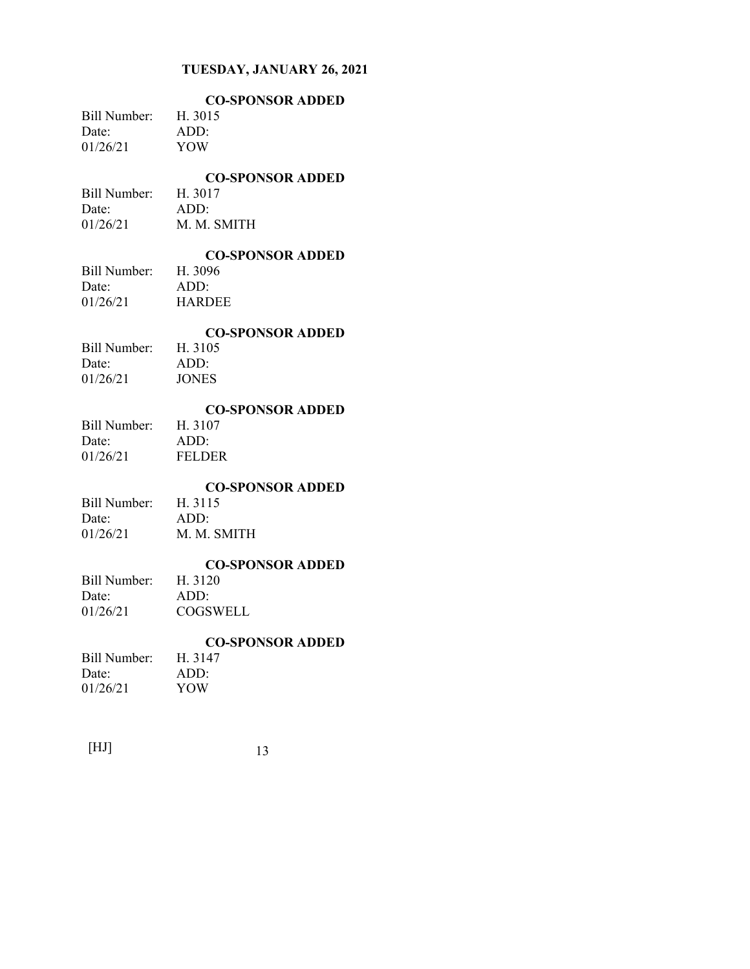|              | <b>CO-SPONSOR ADDED</b> |
|--------------|-------------------------|
| Bill Number: | H. 3015                 |
| Date:        | ADD:                    |
| 01/26/21     | YOW                     |
|              |                         |

## **CO-SPONSOR ADDED**

Bill Number: H. 3017 Date: ADD: 01/26/21 M. M. SMITH

# **CO-SPONSOR ADDED**

Bill Number: Date: ADD: 01/26/21 HARDEE

#### **CO-SPONSOR ADDED**

Bill Number: H. 3105 Date: ADD: 01/26/21 JONES

#### **CO-SPONSOR ADDED**

Bill Number: H. 3107 Date: ADD: 01/26/21 FELDER

#### **CO-SPONSOR ADDED**

Bill Number: H. 3115 Date: ADD: 01/26/21 M. M. SMITH

# **CO-SPONSOR ADDED**

Bill Number: Date: ADD: 01/26/21 COGSWELL

# **CO-SPONSOR ADDED**

| H. 3147 |
|---------|
| ADD:    |
| YOW     |
|         |

| [HJ] |  |
|------|--|
|------|--|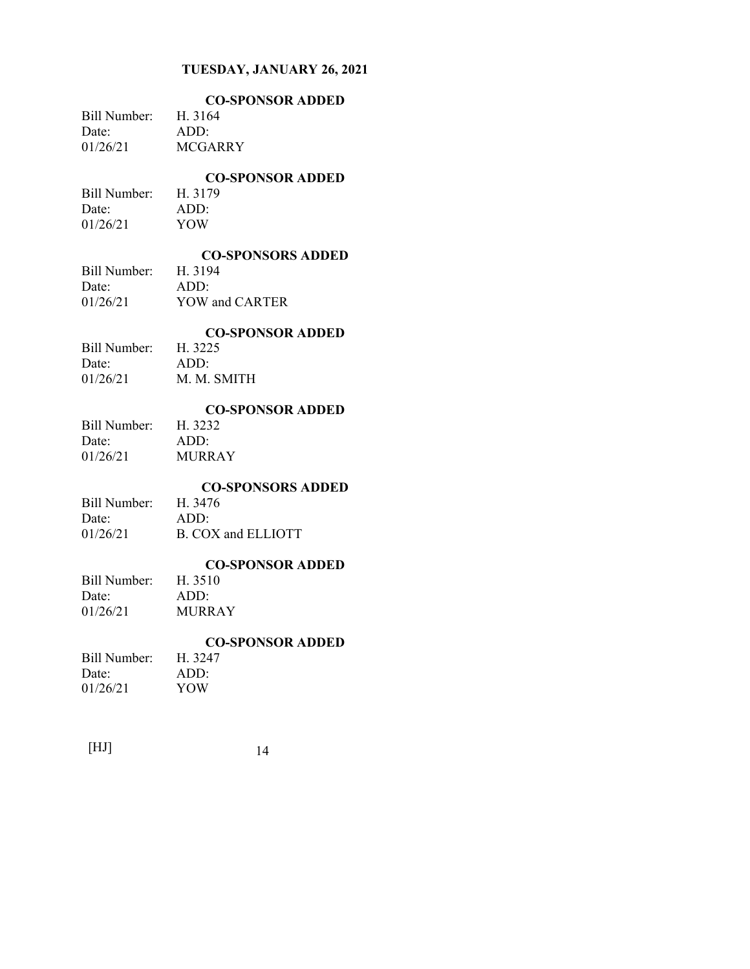| <b>CO-SPONSOR ADDED</b> |
|-------------------------|
| Bill Number: H. 3164    |
| ADD:                    |
| <b>MCGARRY</b>          |
|                         |

### **CO-SPONSOR ADDED**

Bill Number: H. 3179 Date: ADD: 01/26/21 YOW

## **CO-SPONSORS ADDED**

| Bill Number: | H. 3194        |
|--------------|----------------|
| Date:        | ADD:           |
| 01/26/21     | YOW and CARTER |

# **CO-SPONSOR ADDED**

| Bill Number: | H. 3225     |
|--------------|-------------|
| Date:        | ADD:        |
| 01/26/21     | M. M. SMITH |

## **CO-SPONSOR ADDED**

| Bill Number: | H. 3232       |
|--------------|---------------|
| Date:        | ADD:          |
| 01/26/21     | <b>MURRAY</b> |

# **CO-SPONSORS ADDED**

| Bill Number: | H. 3476            |
|--------------|--------------------|
| Date:        | ADD:               |
| 01/26/21     | B. COX and ELLIOTT |

# **CO-SPONSOR ADDED**

# Bill Number: H. 3510 Date: ADD: 01/26/21 MURRAY

# **CO-SPONSOR ADDED**

| H. 3247 |
|---------|
| ADD:    |
| YOW     |
|         |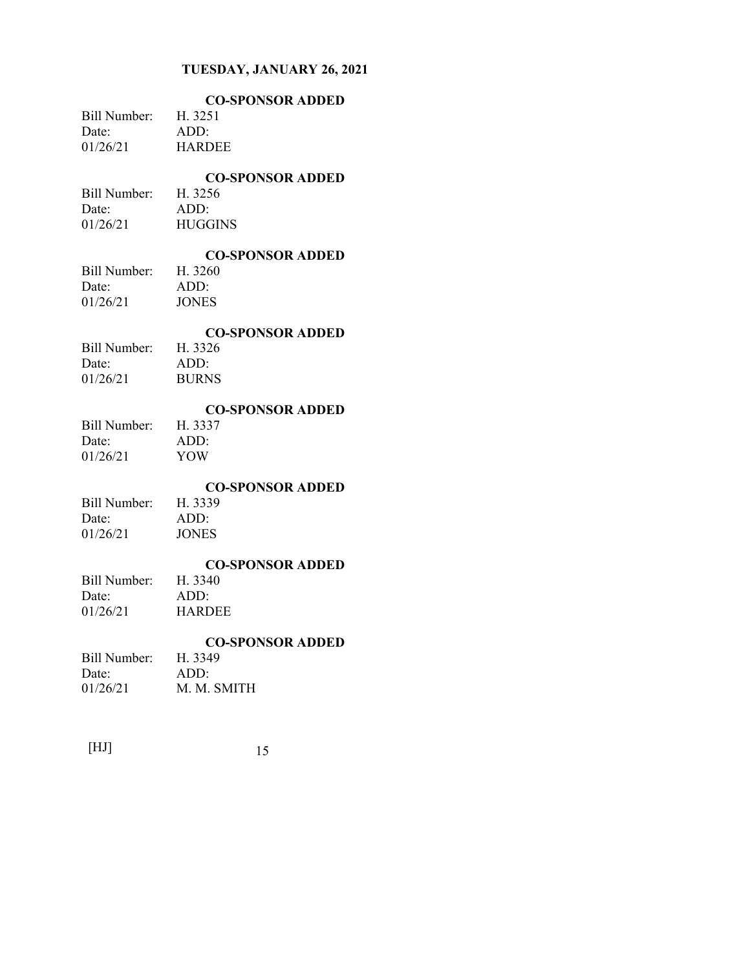| Bill Number:<br>Date:<br>01/26/21 | <b>CO-SPONSOR ADDED</b><br>H. 3251<br>ADD:<br><b>HARDEE</b>  |
|-----------------------------------|--------------------------------------------------------------|
| Bill Number:<br>Date:<br>01/26/21 | <b>CO-SPONSOR ADDED</b><br>H. 3256<br>ADD:<br><b>HUGGINS</b> |
| Bill Number:<br>Date:<br>01/26/21 | <b>CO-SPONSOR ADDED</b><br>H. 3260<br>ADD:<br><b>JONES</b>   |
| Bill Number:<br>Date:<br>01/26/21 | <b>CO-SPONSOR ADDED</b><br>H. 3326<br>ADD:<br><b>BURNS</b>   |
| Bill Number:<br>Date:<br>01/26/21 | <b>CO-SPONSOR ADDED</b><br>H. 3337<br>ADD:<br><b>YOW</b>     |
| Bill Number:<br>Date:<br>01/26/21 | <b>CO-SPONSOR ADDED</b><br>H. 3339<br>ADD:<br><b>JONES</b>   |
| Bill Number:<br>Date:<br>01/26/21 | <b>CO-SPONSOR ADDED</b><br>H. 3340<br>ADD:<br><b>HARDEE</b>  |
| Bill Number:<br>Date:<br>01/26/21 | <b>CO-SPONSOR ADDED</b><br>H. 3349<br>ADD:<br>M. M. SMITH    |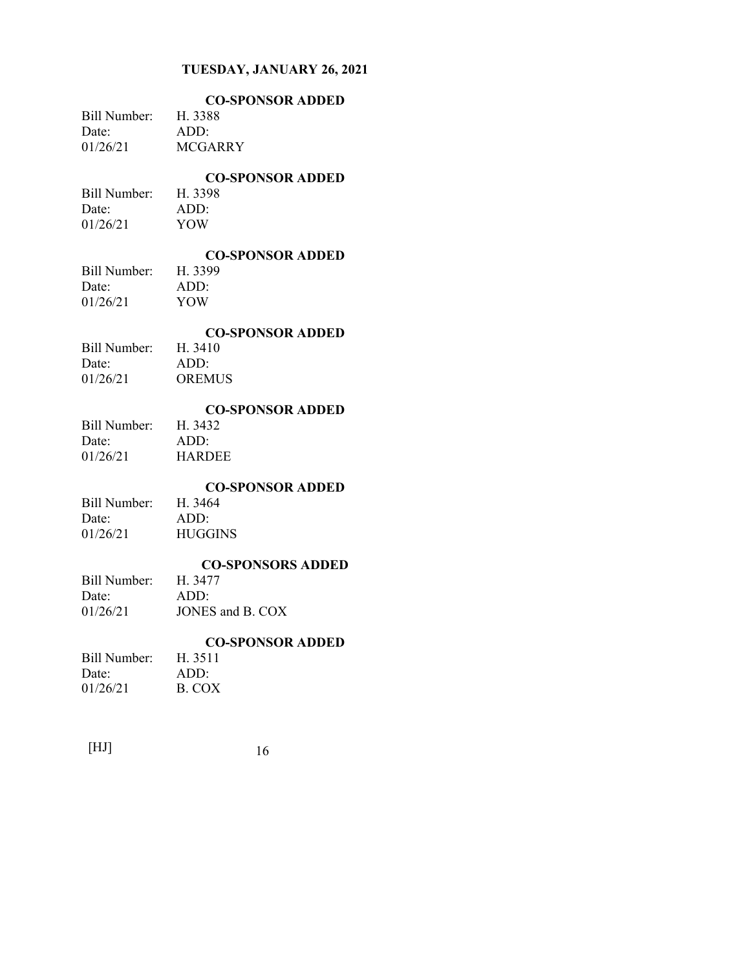| Bill Number: H. 3388<br>Date:<br>01/26/21 | <b>CO-SPONSOR ADDED</b><br>ADD:<br><b>MCGARRY</b>               |
|-------------------------------------------|-----------------------------------------------------------------|
| Bill Number: H. 3398<br>Date:<br>01/26/21 | <b>CO-SPONSOR ADDED</b><br>ADD:<br><b>YOW</b>                   |
| Bill Number: H. 3399<br>Date:<br>01/26/21 | <b>CO-SPONSOR ADDED</b><br>ADD:<br>YOW                          |
| Bill Number:<br>Date:<br>01/26/21         | <b>CO-SPONSOR ADDED</b><br>H. 3410<br>ADD:<br><b>OREMUS</b>     |
| Bill Number:<br>Date:<br>01/26/21         | <b>CO-SPONSOR ADDED</b><br>H. 3432<br>ADD:<br><b>HARDEE</b>     |
| Bill Number:<br>Date:<br>01/26/21         | <b>CO-SPONSOR ADDED</b><br>H. 3464<br>ADD:<br><b>HUGGINS</b>    |
| Bill Number:<br>Date:<br>01/26/21         | <b>CO-SPONSORS ADDED</b><br>H. 3477<br>ADD:<br>JONES and B. COX |
| Bill Number:<br>Date:<br>01/26/21         | <b>CO-SPONSOR ADDED</b><br>H. 3511<br>ADD:<br><b>B. COX</b>     |
|                                           |                                                                 |

| 16 |
|----|
|    |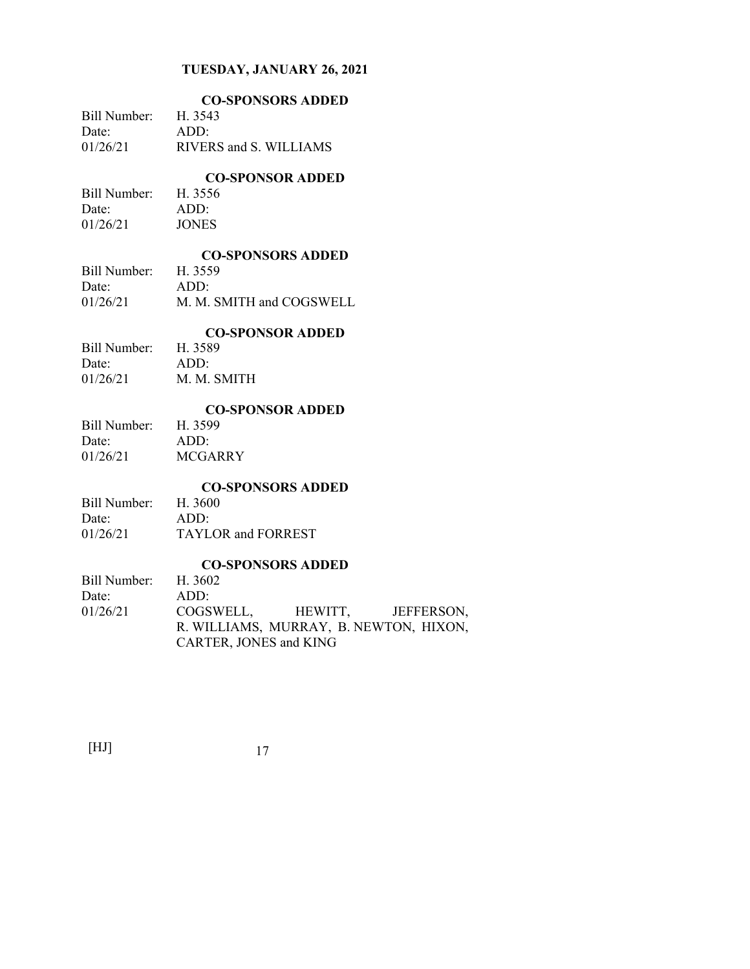|              | <b>CO-SPONSORS ADDED</b> |
|--------------|--------------------------|
| Bill Number: | H. 3543                  |
| Date:        | ADD:                     |
| 01/26/21     | RIVERS and S. WILLIAMS   |

# **CO-SPONSOR ADDED**

Bill Number: H. 3556 Date: ADD: 01/26/21 JONES

# **CO-SPONSORS ADDED**

| Bill Number: | H. 3559                  |
|--------------|--------------------------|
| Date:        | ADD:                     |
| 01/26/21     | M. M. SMITH and COGSWELL |

## **CO-SPONSOR ADDED**

| Bill Number: | H. 3589     |
|--------------|-------------|
| Date:        | ADD:        |
| 01/26/21     | M. M. SMITH |

#### **CO-SPONSOR ADDED**

| Bill Number: | H. 3599 |
|--------------|---------|
| Date:        | ADD:    |
| 01/26/21     | MCGARRY |

# **CO-SPONSORS ADDED**

| Bill Number: | H. 3600            |
|--------------|--------------------|
| Date:        | ADD:               |
| 01/26/21     | TAYLOR and FORREST |

# **CO-SPONSORS ADDED**

| Bill Number: H. 3602 |                        |                                        |  |
|----------------------|------------------------|----------------------------------------|--|
| Date:                | ADD:                   |                                        |  |
| 01/26/21             |                        | COGSWELL, HEWITT, JEFFERSON,           |  |
|                      |                        | R. WILLIAMS, MURRAY, B. NEWTON, HIXON, |  |
|                      | CARTER, JONES and KING |                                        |  |
|                      |                        |                                        |  |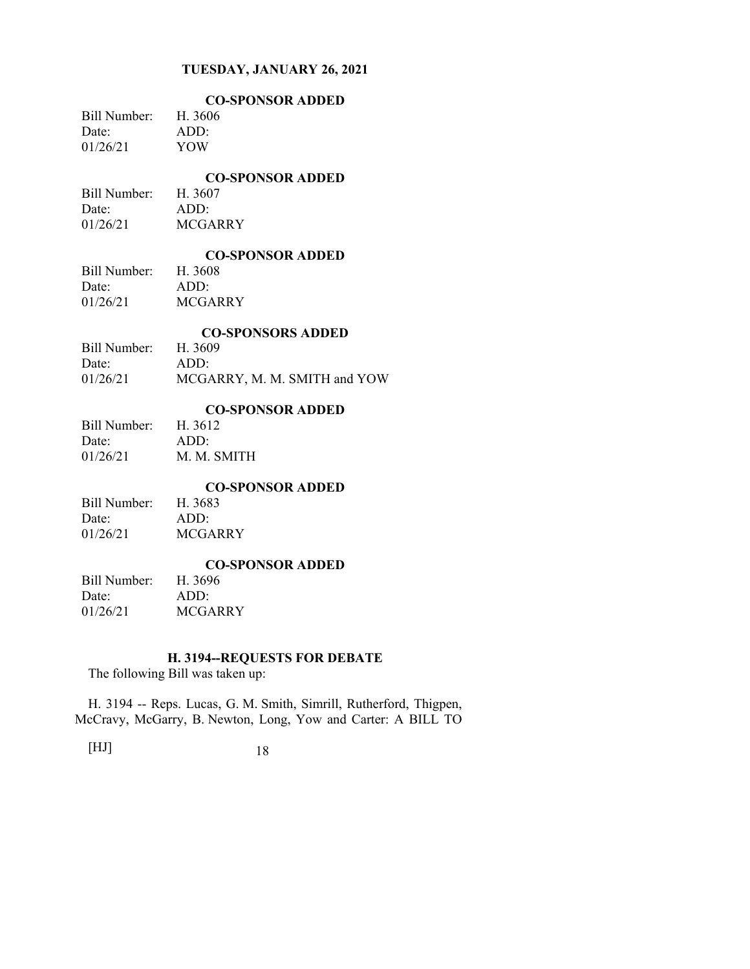|              | <b>CO-SPONSOR ADDED</b> |
|--------------|-------------------------|
| Bill Number: | H. 3606                 |
| Date:        | ADD:                    |
| 01/26/21     | YOW                     |

#### **CO-SPONSOR ADDED**

Bill Number: H. 3607 Date: ADD: 01/26/21 MCGARRY

# **CO-SPONSOR ADDED**

Bill Number: Date: ADD: 01/26/21 MCGARRY

#### **CO-SPONSORS ADDED**

| <u>co of othorio the phas</u> |
|-------------------------------|
| H. 3609                       |
| ADD:                          |
| MCGARRY, M. M. SMITH and YOW  |
|                               |

## **CO-SPONSOR ADDED**

| Bill Number: | H. 3612     |
|--------------|-------------|
| Date:        | ADD:        |
| 01/26/21     | M. M. SMITH |

## **CO-SPONSOR ADDED**

| Bill Number: | H. 3683        |
|--------------|----------------|
| Date:        | ADD:           |
| 01/26/21     | <b>MCGARRY</b> |

#### **CO-SPONSOR ADDED**

| Bill Number: | H. 3696        |
|--------------|----------------|
| Date:        | ADD:           |
| 01/26/21     | <b>MCGARRY</b> |

## **H. 3194--REQUESTS FOR DEBATE**

The following Bill was taken up:

H. 3194 -- Reps. Lucas, G. M. Smith, Simrill, Rutherford, Thigpen, McCravy, McGarry, B. Newton, Long, Yow and Carter: A BILL TO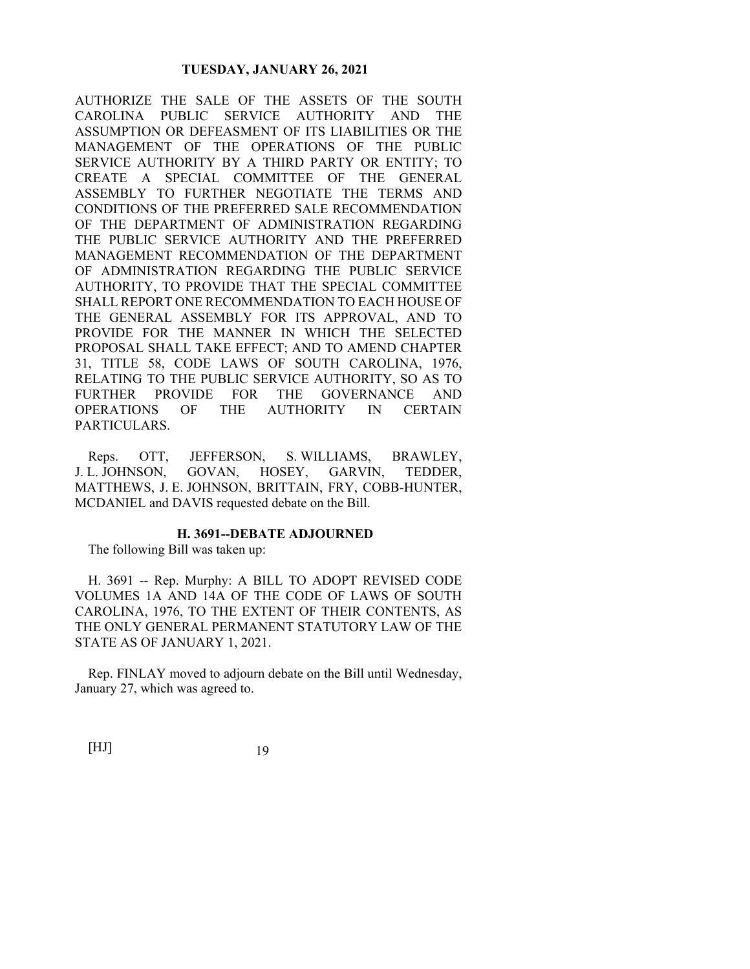AUTHORIZE THE SALE OF THE ASSETS OF THE SOUTH CAROLINA PUBLIC SERVICE AUTHORITY AND THE ASSUMPTION OR DEFEASMENT OF ITS LIABILITIES OR THE MANAGEMENT OF THE OPERATIONS OF THE PUBLIC SERVICE AUTHORITY BY A THIRD PARTY OR ENTITY; TO CREATE A SPECIAL COMMITTEE OF THE GENERAL ASSEMBLY TO FURTHER NEGOTIATE THE TERMS AND CONDITIONS OF THE PREFERRED SALE RECOMMENDATION OF THE DEPARTMENT OF ADMINISTRATION REGARDING THE PUBLIC SERVICE AUTHORITY AND THE PREFERRED MANAGEMENT RECOMMENDATION OF THE DEPARTMENT OF ADMINISTRATION REGARDING THE PUBLIC SERVICE AUTHORITY, TO PROVIDE THAT THE SPECIAL COMMITTEE SHALL REPORT ONE RECOMMENDATION TO EACH HOUSE OF THE GENERAL ASSEMBLY FOR ITS APPROVAL, AND TO PROVIDE FOR THE MANNER IN WHICH THE SELECTED PROPOSAL SHALL TAKE EFFECT; AND TO AMEND CHAPTER 31, TITLE 58, CODE LAWS OF SOUTH CAROLINA, 1976, RELATING TO THE PUBLIC SERVICE AUTHORITY, SO AS TO FURTHER PROVIDE FOR THE GOVERNANCE AND OPERATIONS OF THE AUTHORITY IN CERTAIN PARTICULARS.

Reps. OTT, JEFFERSON, S. WILLIAMS, BRAWLEY, J. L. JOHNSON, GOVAN, HOSEY, GARVIN, TEDDER, MATTHEWS, J. E. JOHNSON, BRITTAIN, FRY, COBB-HUNTER, MCDANIEL and DAVIS requested debate on the Bill.

#### **H. 3691--DEBATE ADJOURNED**

The following Bill was taken up:

H. 3691 -- Rep. Murphy: A BILL TO ADOPT REVISED CODE VOLUMES 1A AND 14A OF THE CODE OF LAWS OF SOUTH CAROLINA, 1976, TO THE EXTENT OF THEIR CONTENTS, AS THE ONLY GENERAL PERMANENT STATUTORY LAW OF THE STATE AS OF JANUARY 1, 2021.

Rep. FINLAY moved to adjourn debate on the Bill until Wednesday, January 27, which was agreed to.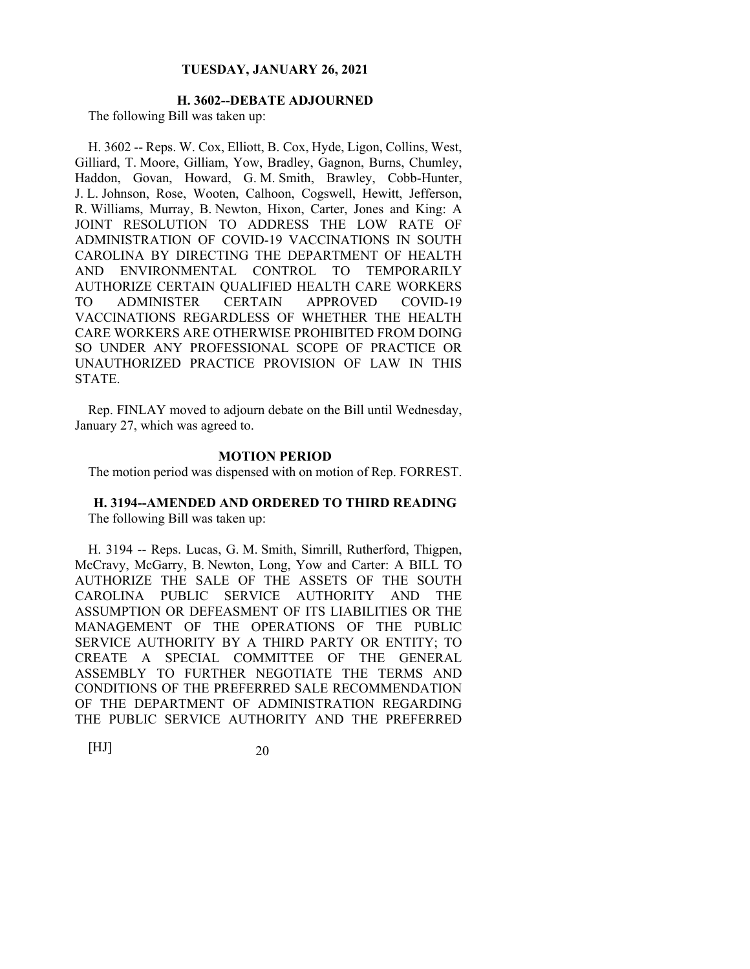# **H. 3602--DEBATE ADJOURNED**

The following Bill was taken up:

H. 3602 -- Reps. W. Cox, Elliott, B. Cox, Hyde, Ligon, Collins, West, Gilliard, T. Moore, Gilliam, Yow, Bradley, Gagnon, Burns, Chumley, Haddon, Govan, Howard, G. M. Smith, Brawley, Cobb-Hunter, J. L. Johnson, Rose, Wooten, Calhoon, Cogswell, Hewitt, Jefferson, R. Williams, Murray, B. Newton, Hixon, Carter, Jones and King: A JOINT RESOLUTION TO ADDRESS THE LOW RATE OF ADMINISTRATION OF COVID-19 VACCINATIONS IN SOUTH CAROLINA BY DIRECTING THE DEPARTMENT OF HEALTH AND ENVIRONMENTAL CONTROL TO TEMPORARILY AUTHORIZE CERTAIN QUALIFIED HEALTH CARE WORKERS TO ADMINISTER CERTAIN APPROVED COVID-19 VACCINATIONS REGARDLESS OF WHETHER THE HEALTH CARE WORKERS ARE OTHERWISE PROHIBITED FROM DOING SO UNDER ANY PROFESSIONAL SCOPE OF PRACTICE OR UNAUTHORIZED PRACTICE PROVISION OF LAW IN THIS STATE.

Rep. FINLAY moved to adjourn debate on the Bill until Wednesday, January 27, which was agreed to.

#### **MOTION PERIOD**

The motion period was dispensed with on motion of Rep. FORREST.

# **H. 3194--AMENDED AND ORDERED TO THIRD READING**

The following Bill was taken up:

H. 3194 -- Reps. Lucas, G. M. Smith, Simrill, Rutherford, Thigpen, McCravy, McGarry, B. Newton, Long, Yow and Carter: A BILL TO AUTHORIZE THE SALE OF THE ASSETS OF THE SOUTH CAROLINA PUBLIC SERVICE AUTHORITY AND THE ASSUMPTION OR DEFEASMENT OF ITS LIABILITIES OR THE MANAGEMENT OF THE OPERATIONS OF THE PUBLIC SERVICE AUTHORITY BY A THIRD PARTY OR ENTITY; TO CREATE A SPECIAL COMMITTEE OF THE GENERAL ASSEMBLY TO FURTHER NEGOTIATE THE TERMS AND CONDITIONS OF THE PREFERRED SALE RECOMMENDATION OF THE DEPARTMENT OF ADMINISTRATION REGARDING THE PUBLIC SERVICE AUTHORITY AND THE PREFERRED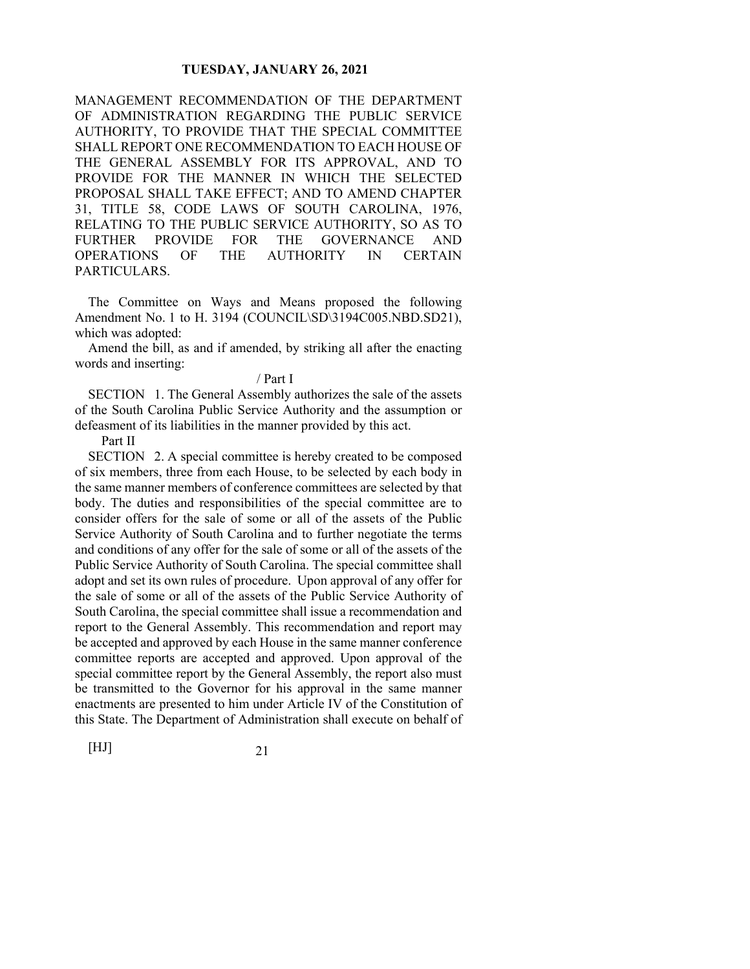MANAGEMENT RECOMMENDATION OF THE DEPARTMENT OF ADMINISTRATION REGARDING THE PUBLIC SERVICE AUTHORITY, TO PROVIDE THAT THE SPECIAL COMMITTEE SHALL REPORT ONE RECOMMENDATION TO EACH HOUSE OF THE GENERAL ASSEMBLY FOR ITS APPROVAL, AND TO PROVIDE FOR THE MANNER IN WHICH THE SELECTED PROPOSAL SHALL TAKE EFFECT; AND TO AMEND CHAPTER 31, TITLE 58, CODE LAWS OF SOUTH CAROLINA, 1976, RELATING TO THE PUBLIC SERVICE AUTHORITY, SO AS TO FURTHER PROVIDE FOR THE GOVERNANCE AND OPERATIONS OF THE AUTHORITY IN CERTAIN PARTICULARS.

The Committee on Ways and Means proposed the following Amendment No. 1 to H. 3194 (COUNCIL\SD\3194C005.NBD.SD21), which was adopted:

Amend the bill, as and if amended, by striking all after the enacting words and inserting:

#### / Part I

SECTION 1. The General Assembly authorizes the sale of the assets of the South Carolina Public Service Authority and the assumption or defeasment of its liabilities in the manner provided by this act.

Part II

SECTION 2. A special committee is hereby created to be composed of six members, three from each House, to be selected by each body in the same manner members of conference committees are selected by that body. The duties and responsibilities of the special committee are to consider offers for the sale of some or all of the assets of the Public Service Authority of South Carolina and to further negotiate the terms and conditions of any offer for the sale of some or all of the assets of the Public Service Authority of South Carolina. The special committee shall adopt and set its own rules of procedure. Upon approval of any offer for the sale of some or all of the assets of the Public Service Authority of South Carolina, the special committee shall issue a recommendation and report to the General Assembly. This recommendation and report may be accepted and approved by each House in the same manner conference committee reports are accepted and approved. Upon approval of the special committee report by the General Assembly, the report also must be transmitted to the Governor for his approval in the same manner enactments are presented to him under Article IV of the Constitution of this State. The Department of Administration shall execute on behalf of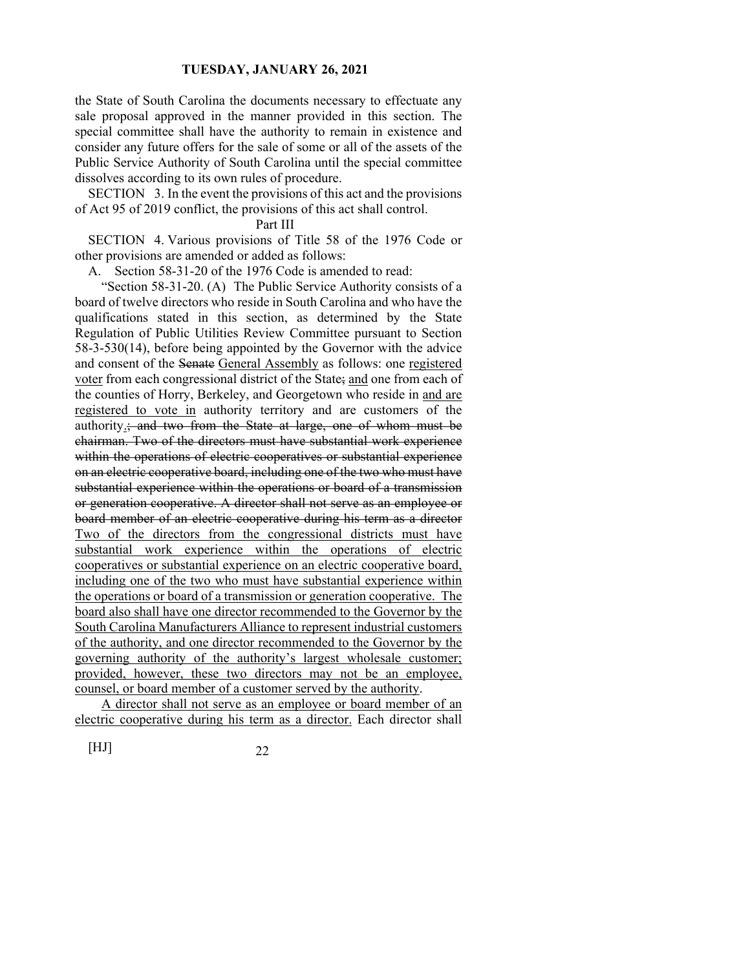the State of South Carolina the documents necessary to effectuate any sale proposal approved in the manner provided in this section. The special committee shall have the authority to remain in existence and consider any future offers for the sale of some or all of the assets of the Public Service Authority of South Carolina until the special committee dissolves according to its own rules of procedure.

SECTION 3. In the event the provisions of this act and the provisions of Act 95 of 2019 conflict, the provisions of this act shall control.

Part III

SECTION 4. Various provisions of Title 58 of the 1976 Code or other provisions are amended or added as follows:

A. Section 58-31-20 of the 1976 Code is amended to read:

 "Section 58-31-20. (A) The Public Service Authority consists of a board of twelve directors who reside in South Carolina and who have the qualifications stated in this section, as determined by the State Regulation of Public Utilities Review Committee pursuant to Section 58-3-530(14), before being appointed by the Governor with the advice and consent of the Senate General Assembly as follows: one registered voter from each congressional district of the State; and one from each of the counties of Horry, Berkeley, and Georgetown who reside in and are registered to vote in authority territory and are customers of the authority.; and two from the State at large, one of whom must be chairman. Two of the directors must have substantial work experience within the operations of electric cooperatives or substantial experience on an electric cooperative board, including one of the two who must have substantial experience within the operations or board of a transmission or generation cooperative. A director shall not serve as an employee or board member of an electric cooperative during his term as a director Two of the directors from the congressional districts must have substantial work experience within the operations of electric cooperatives or substantial experience on an electric cooperative board, including one of the two who must have substantial experience within the operations or board of a transmission or generation cooperative. The board also shall have one director recommended to the Governor by the South Carolina Manufacturers Alliance to represent industrial customers of the authority, and one director recommended to the Governor by the governing authority of the authority's largest wholesale customer; provided, however, these two directors may not be an employee, counsel, or board member of a customer served by the authority.

 A director shall not serve as an employee or board member of an electric cooperative during his term as a director. Each director shall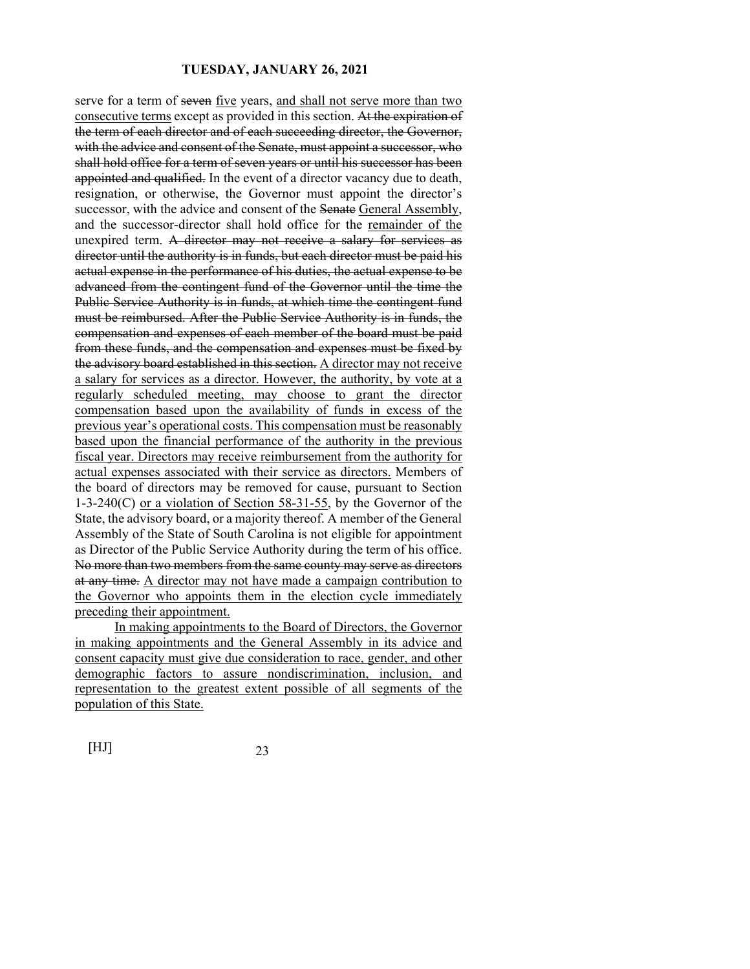serve for a term of seven five years, and shall not serve more than two consecutive terms except as provided in this section. At the expiration of the term of each director and of each succeeding director, the Governor, with the advice and consent of the Senate, must appoint a successor, who shall hold office for a term of seven years or until his successor has been appointed and qualified. In the event of a director vacancy due to death, resignation, or otherwise, the Governor must appoint the director's successor, with the advice and consent of the Senate General Assembly, and the successor-director shall hold office for the remainder of the unexpired term. A director may not receive a salary for services as director until the authority is in funds, but each director must be paid his actual expense in the performance of his duties, the actual expense to be advanced from the contingent fund of the Governor until the time the Public Service Authority is in funds, at which time the contingent fund must be reimbursed. After the Public Service Authority is in funds, the compensation and expenses of each member of the board must be paid from these funds, and the compensation and expenses must be fixed by the advisory board established in this section. A director may not receive a salary for services as a director. However, the authority, by vote at a regularly scheduled meeting, may choose to grant the director compensation based upon the availability of funds in excess of the previous year's operational costs. This compensation must be reasonably based upon the financial performance of the authority in the previous fiscal year. Directors may receive reimbursement from the authority for actual expenses associated with their service as directors. Members of the board of directors may be removed for cause, pursuant to Section 1-3-240(C) or a violation of Section 58-31-55, by the Governor of the State, the advisory board, or a majority thereof. A member of the General Assembly of the State of South Carolina is not eligible for appointment as Director of the Public Service Authority during the term of his office. No more than two members from the same county may serve as directors at any time. A director may not have made a campaign contribution to the Governor who appoints them in the election cycle immediately preceding their appointment.

 In making appointments to the Board of Directors, the Governor in making appointments and the General Assembly in its advice and consent capacity must give due consideration to race, gender, and other demographic factors to assure nondiscrimination, inclusion, and representation to the greatest extent possible of all segments of the population of this State.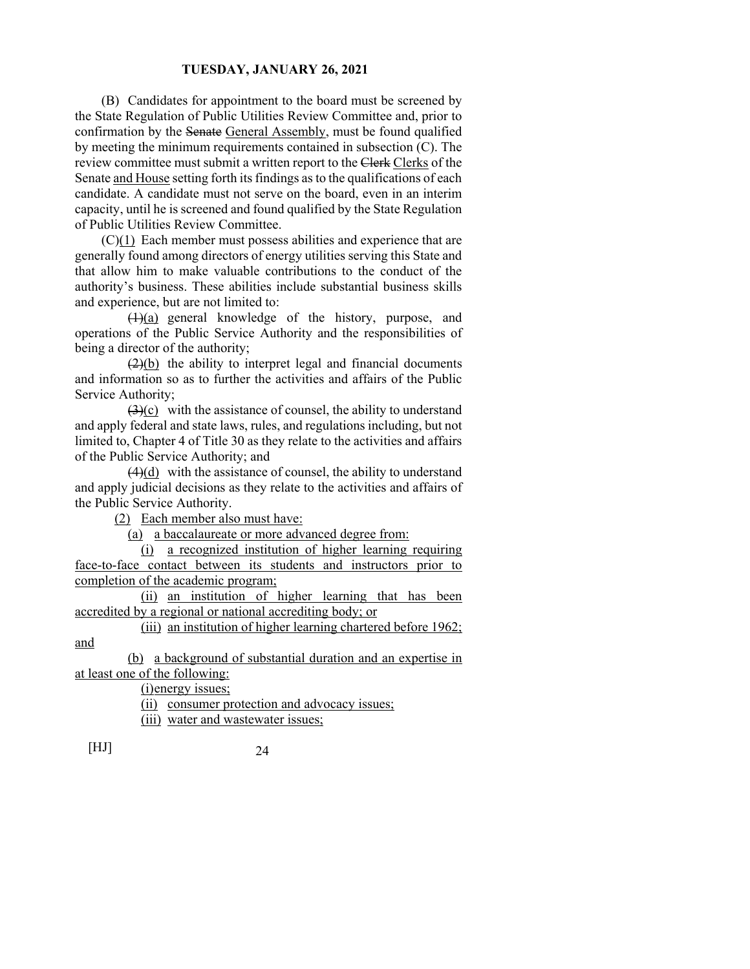(B) Candidates for appointment to the board must be screened by the State Regulation of Public Utilities Review Committee and, prior to confirmation by the Senate General Assembly, must be found qualified by meeting the minimum requirements contained in subsection (C). The review committee must submit a written report to the Clerk Clerks of the Senate and House setting forth its findings as to the qualifications of each candidate. A candidate must not serve on the board, even in an interim capacity, until he is screened and found qualified by the State Regulation of Public Utilities Review Committee.

 (C)(1) Each member must possess abilities and experience that are generally found among directors of energy utilities serving this State and that allow him to make valuable contributions to the conduct of the authority's business. These abilities include substantial business skills and experience, but are not limited to:

 $(1)(a)$  general knowledge of the history, purpose, and operations of the Public Service Authority and the responsibilities of being a director of the authority;

 $(2)(b)$  the ability to interpret legal and financial documents and information so as to further the activities and affairs of the Public Service Authority;

 $(3)(c)$  with the assistance of counsel, the ability to understand and apply federal and state laws, rules, and regulations including, but not limited to, Chapter 4 of Title 30 as they relate to the activities and affairs of the Public Service Authority; and

 $(4)(d)$  with the assistance of counsel, the ability to understand and apply judicial decisions as they relate to the activities and affairs of the Public Service Authority.

(2) Each member also must have:

(a) a baccalaureate or more advanced degree from:

 (i) a recognized institution of higher learning requiring face-to-face contact between its students and instructors prior to completion of the academic program;

 (ii) an institution of higher learning that has been accredited by a regional or national accrediting body; or

 (iii) an institution of higher learning chartered before 1962; and

 (b) a background of substantial duration and an expertise in at least one of the following:

(i) energy issues;

(ii) consumer protection and advocacy issues;

(iii) water and wastewater issues;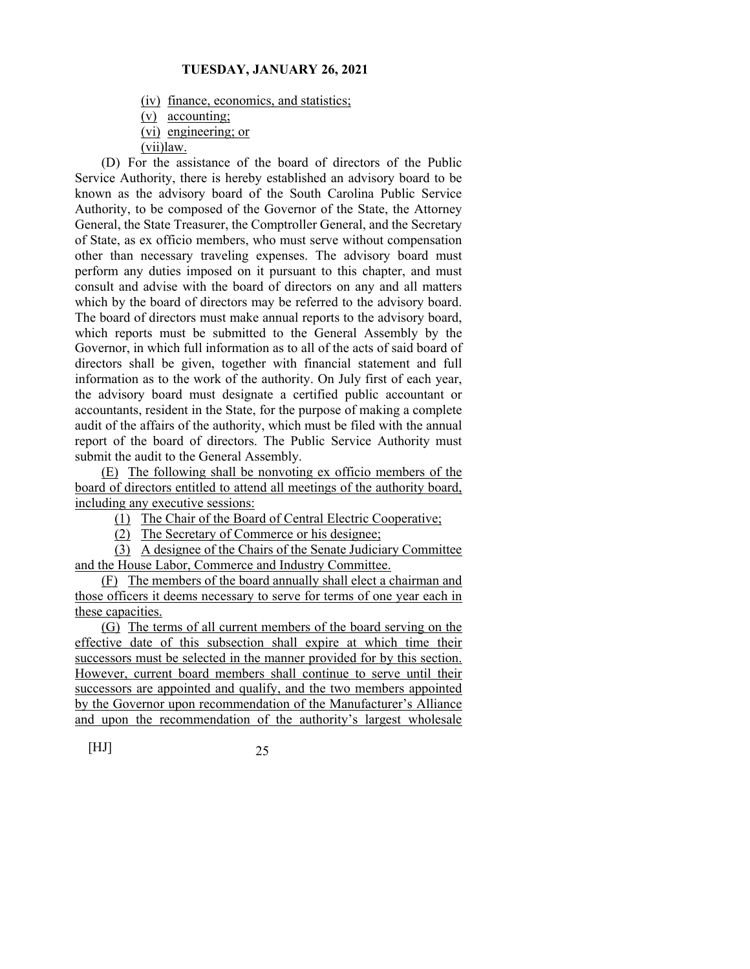(iv) finance, economics, and statistics;

(v) accounting;

(vi) engineering; or

(vii)law.

 (D) For the assistance of the board of directors of the Public Service Authority, there is hereby established an advisory board to be known as the advisory board of the South Carolina Public Service Authority, to be composed of the Governor of the State, the Attorney General, the State Treasurer, the Comptroller General, and the Secretary of State, as ex officio members, who must serve without compensation other than necessary traveling expenses. The advisory board must perform any duties imposed on it pursuant to this chapter, and must consult and advise with the board of directors on any and all matters which by the board of directors may be referred to the advisory board. The board of directors must make annual reports to the advisory board, which reports must be submitted to the General Assembly by the Governor, in which full information as to all of the acts of said board of directors shall be given, together with financial statement and full information as to the work of the authority. On July first of each year, the advisory board must designate a certified public accountant or accountants, resident in the State, for the purpose of making a complete audit of the affairs of the authority, which must be filed with the annual report of the board of directors. The Public Service Authority must submit the audit to the General Assembly.

 (E) The following shall be nonvoting ex officio members of the board of directors entitled to attend all meetings of the authority board, including any executive sessions:

(1) The Chair of the Board of Central Electric Cooperative;

(2) The Secretary of Commerce or his designee;

 (3) A designee of the Chairs of the Senate Judiciary Committee and the House Labor, Commerce and Industry Committee.

 (F) The members of the board annually shall elect a chairman and those officers it deems necessary to serve for terms of one year each in these capacities.

 (G) The terms of all current members of the board serving on the effective date of this subsection shall expire at which time their successors must be selected in the manner provided for by this section. However, current board members shall continue to serve until their successors are appointed and qualify, and the two members appointed by the Governor upon recommendation of the Manufacturer's Alliance and upon the recommendation of the authority's largest wholesale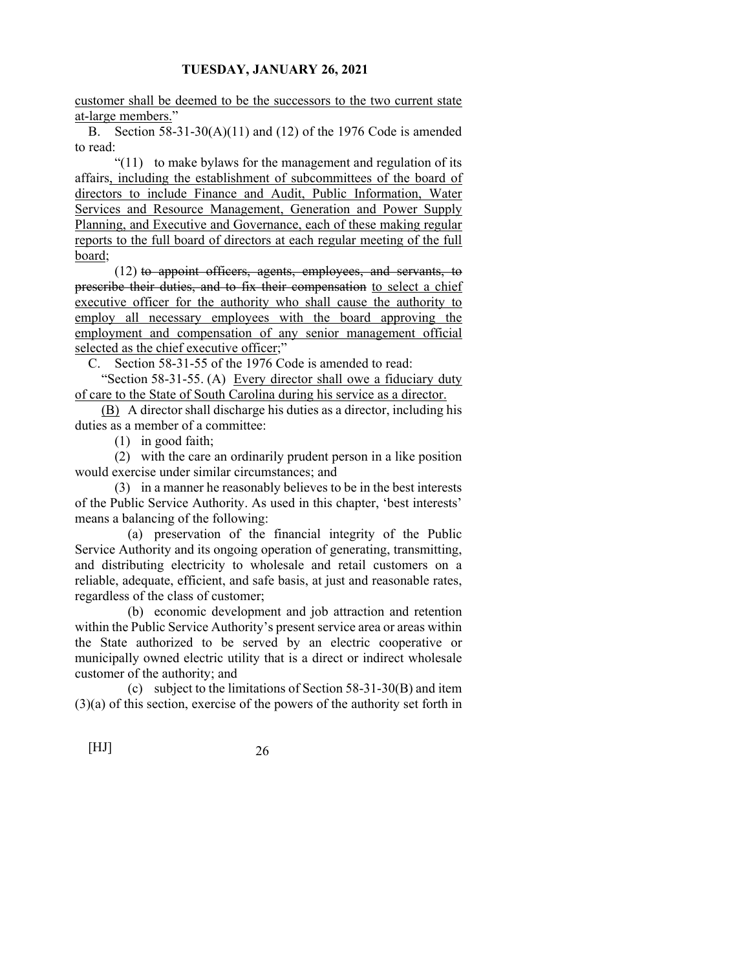customer shall be deemed to be the successors to the two current state at-large members."

B. Section 58-31-30(A)(11) and (12) of the 1976 Code is amended to read:

 "(11) to make bylaws for the management and regulation of its affairs, including the establishment of subcommittees of the board of directors to include Finance and Audit, Public Information, Water Services and Resource Management, Generation and Power Supply Planning, and Executive and Governance, each of these making regular reports to the full board of directors at each regular meeting of the full board;

 (12) to appoint officers, agents, employees, and servants, to prescribe their duties, and to fix their compensation to select a chief executive officer for the authority who shall cause the authority to employ all necessary employees with the board approving the employment and compensation of any senior management official selected as the chief executive officer;"

C. Section 58-31-55 of the 1976 Code is amended to read:

 "Section 58-31-55. (A) Every director shall owe a fiduciary duty of care to the State of South Carolina during his service as a director.

 (B) A director shall discharge his duties as a director, including his duties as a member of a committee:

(1) in good faith;

 (2) with the care an ordinarily prudent person in a like position would exercise under similar circumstances; and

 (3) in a manner he reasonably believes to be in the best interests of the Public Service Authority. As used in this chapter, 'best interests' means a balancing of the following:

 (a) preservation of the financial integrity of the Public Service Authority and its ongoing operation of generating, transmitting, and distributing electricity to wholesale and retail customers on a reliable, adequate, efficient, and safe basis, at just and reasonable rates, regardless of the class of customer;

 (b) economic development and job attraction and retention within the Public Service Authority's present service area or areas within the State authorized to be served by an electric cooperative or municipally owned electric utility that is a direct or indirect wholesale customer of the authority; and

 (c) subject to the limitations of Section 58-31-30(B) and item (3)(a) of this section, exercise of the powers of the authority set forth in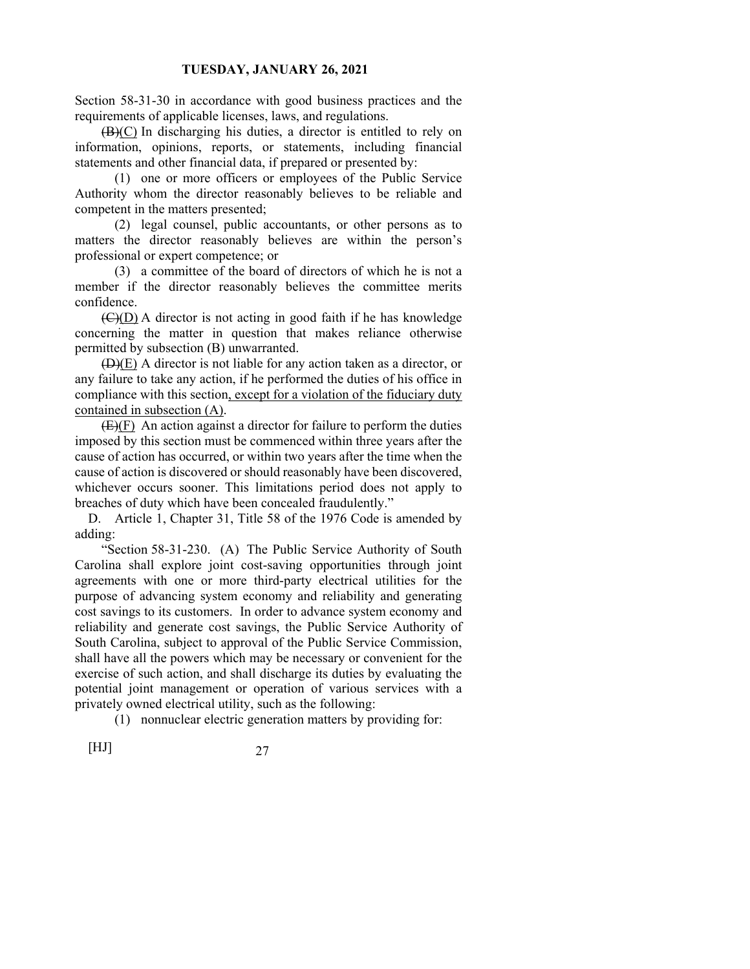Section 58-31-30 in accordance with good business practices and the requirements of applicable licenses, laws, and regulations.

 (B)(C) In discharging his duties, a director is entitled to rely on information, opinions, reports, or statements, including financial statements and other financial data, if prepared or presented by:

 (1) one or more officers or employees of the Public Service Authority whom the director reasonably believes to be reliable and competent in the matters presented;

 (2) legal counsel, public accountants, or other persons as to matters the director reasonably believes are within the person's professional or expert competence; or

 (3) a committee of the board of directors of which he is not a member if the director reasonably believes the committee merits confidence.

 (C)(D) A director is not acting in good faith if he has knowledge concerning the matter in question that makes reliance otherwise permitted by subsection (B) unwarranted.

 (D)(E) A director is not liable for any action taken as a director, or any failure to take any action, if he performed the duties of his office in compliance with this section, except for a violation of the fiduciary duty contained in subsection (A).

 (E)(F) An action against a director for failure to perform the duties imposed by this section must be commenced within three years after the cause of action has occurred, or within two years after the time when the cause of action is discovered or should reasonably have been discovered, whichever occurs sooner. This limitations period does not apply to breaches of duty which have been concealed fraudulently."

D. Article 1, Chapter 31, Title 58 of the 1976 Code is amended by adding:

 "Section 58-31-230. (A) The Public Service Authority of South Carolina shall explore joint cost-saving opportunities through joint agreements with one or more third-party electrical utilities for the purpose of advancing system economy and reliability and generating cost savings to its customers. In order to advance system economy and reliability and generate cost savings, the Public Service Authority of South Carolina, subject to approval of the Public Service Commission, shall have all the powers which may be necessary or convenient for the exercise of such action, and shall discharge its duties by evaluating the potential joint management or operation of various services with a privately owned electrical utility, such as the following:

(1) nonnuclear electric generation matters by providing for:

$$
[HJ] \t\t 27
$$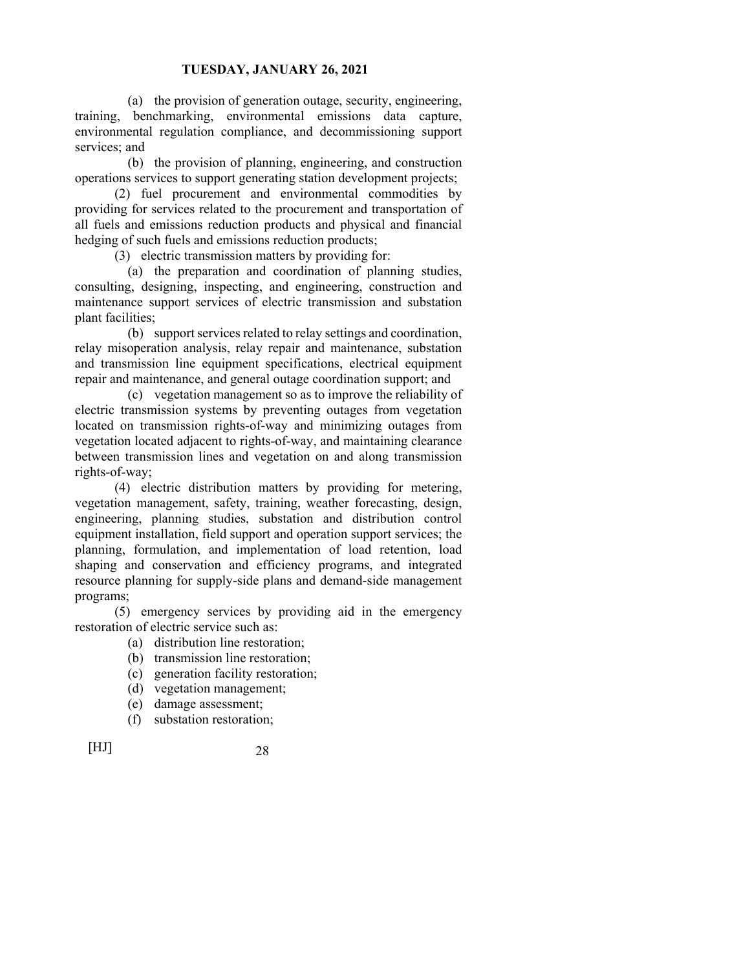(a) the provision of generation outage, security, engineering, training, benchmarking, environmental emissions data capture, environmental regulation compliance, and decommissioning support services; and

 (b) the provision of planning, engineering, and construction operations services to support generating station development projects;

 (2) fuel procurement and environmental commodities by providing for services related to the procurement and transportation of all fuels and emissions reduction products and physical and financial hedging of such fuels and emissions reduction products;

(3) electric transmission matters by providing for:

 (a) the preparation and coordination of planning studies, consulting, designing, inspecting, and engineering, construction and maintenance support services of electric transmission and substation plant facilities;

 (b) support services related to relay settings and coordination, relay misoperation analysis, relay repair and maintenance, substation and transmission line equipment specifications, electrical equipment repair and maintenance, and general outage coordination support; and

 (c) vegetation management so as to improve the reliability of electric transmission systems by preventing outages from vegetation located on transmission rights-of-way and minimizing outages from vegetation located adjacent to rights-of-way, and maintaining clearance between transmission lines and vegetation on and along transmission rights-of-way;

 (4) electric distribution matters by providing for metering, vegetation management, safety, training, weather forecasting, design, engineering, planning studies, substation and distribution control equipment installation, field support and operation support services; the planning, formulation, and implementation of load retention, load shaping and conservation and efficiency programs, and integrated resource planning for supply-side plans and demand-side management programs;

 (5) emergency services by providing aid in the emergency restoration of electric service such as:

- (a) distribution line restoration;
- (b) transmission line restoration;
- (c) generation facility restoration;
- (d) vegetation management;
- (e) damage assessment;
- (f) substation restoration;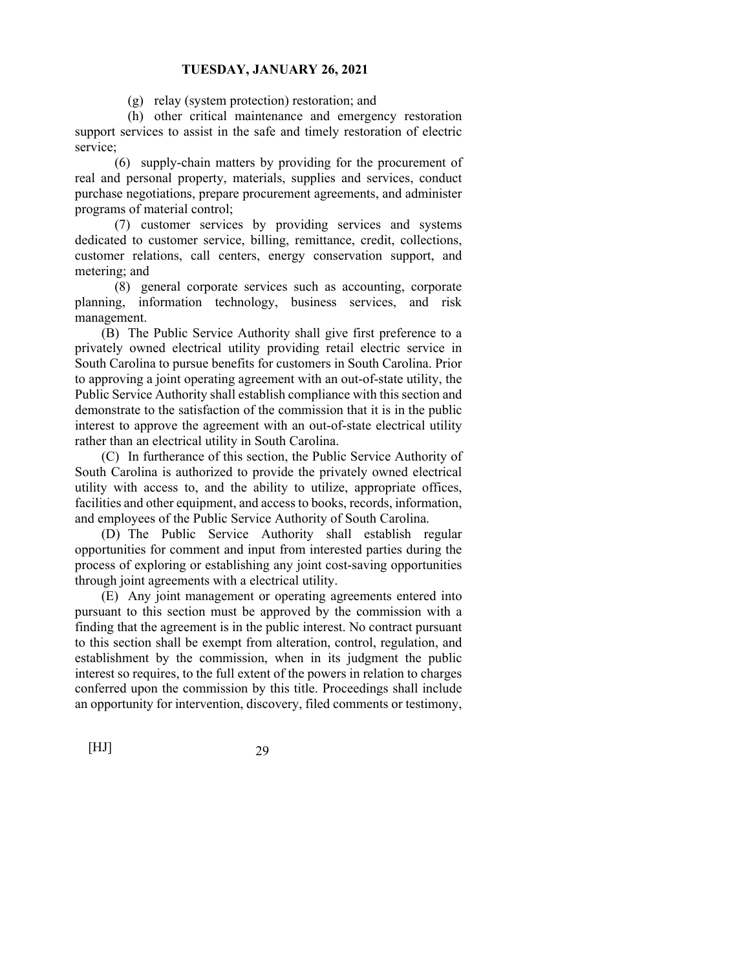(g) relay (system protection) restoration; and

 (h) other critical maintenance and emergency restoration support services to assist in the safe and timely restoration of electric service;

 (6) supply-chain matters by providing for the procurement of real and personal property, materials, supplies and services, conduct purchase negotiations, prepare procurement agreements, and administer programs of material control;

 (7) customer services by providing services and systems dedicated to customer service, billing, remittance, credit, collections, customer relations, call centers, energy conservation support, and metering; and

 (8) general corporate services such as accounting, corporate planning, information technology, business services, and risk management.

 (B) The Public Service Authority shall give first preference to a privately owned electrical utility providing retail electric service in South Carolina to pursue benefits for customers in South Carolina. Prior to approving a joint operating agreement with an out-of-state utility, the Public Service Authority shall establish compliance with this section and demonstrate to the satisfaction of the commission that it is in the public interest to approve the agreement with an out-of-state electrical utility rather than an electrical utility in South Carolina.

 (C) In furtherance of this section, the Public Service Authority of South Carolina is authorized to provide the privately owned electrical utility with access to, and the ability to utilize, appropriate offices, facilities and other equipment, and access to books, records, information, and employees of the Public Service Authority of South Carolina.

 (D) The Public Service Authority shall establish regular opportunities for comment and input from interested parties during the process of exploring or establishing any joint cost-saving opportunities through joint agreements with a electrical utility.

 (E) Any joint management or operating agreements entered into pursuant to this section must be approved by the commission with a finding that the agreement is in the public interest. No contract pursuant to this section shall be exempt from alteration, control, regulation, and establishment by the commission, when in its judgment the public interest so requires, to the full extent of the powers in relation to charges conferred upon the commission by this title. Proceedings shall include an opportunity for intervention, discovery, filed comments or testimony,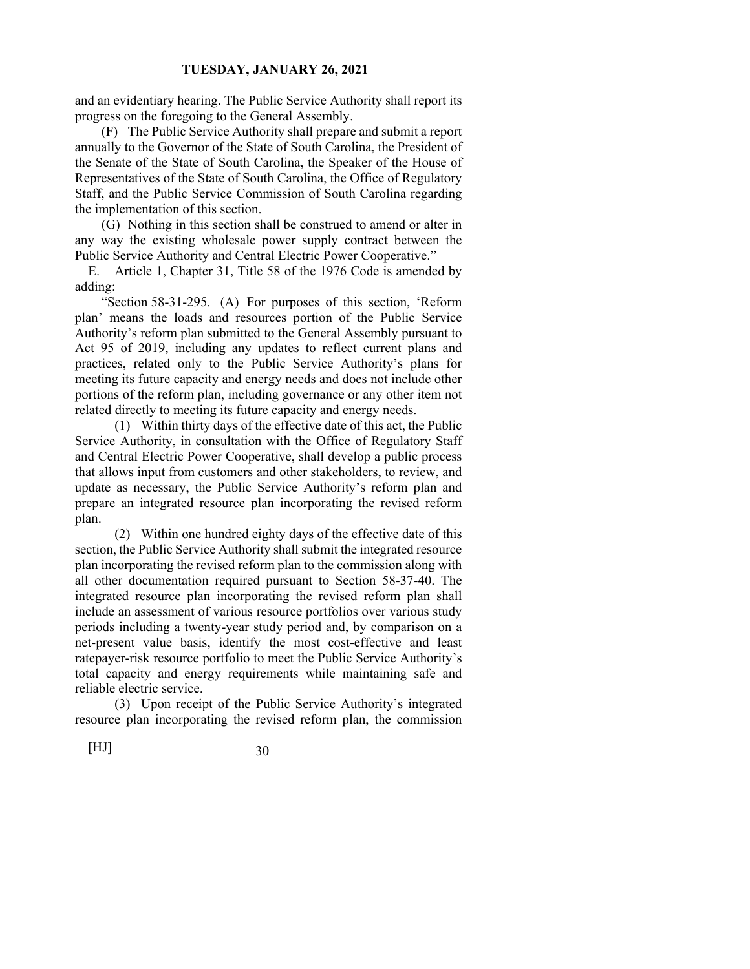and an evidentiary hearing. The Public Service Authority shall report its progress on the foregoing to the General Assembly.

 (F) The Public Service Authority shall prepare and submit a report annually to the Governor of the State of South Carolina, the President of the Senate of the State of South Carolina, the Speaker of the House of Representatives of the State of South Carolina, the Office of Regulatory Staff, and the Public Service Commission of South Carolina regarding the implementation of this section.

 (G) Nothing in this section shall be construed to amend or alter in any way the existing wholesale power supply contract between the Public Service Authority and Central Electric Power Cooperative."

E. Article 1, Chapter 31, Title 58 of the 1976 Code is amended by adding:

 "Section 58-31-295. (A) For purposes of this section, 'Reform plan' means the loads and resources portion of the Public Service Authority's reform plan submitted to the General Assembly pursuant to Act 95 of 2019, including any updates to reflect current plans and practices, related only to the Public Service Authority's plans for meeting its future capacity and energy needs and does not include other portions of the reform plan, including governance or any other item not related directly to meeting its future capacity and energy needs.

 (1) Within thirty days of the effective date of this act, the Public Service Authority, in consultation with the Office of Regulatory Staff and Central Electric Power Cooperative, shall develop a public process that allows input from customers and other stakeholders, to review, and update as necessary, the Public Service Authority's reform plan and prepare an integrated resource plan incorporating the revised reform plan.

 (2) Within one hundred eighty days of the effective date of this section, the Public Service Authority shall submit the integrated resource plan incorporating the revised reform plan to the commission along with all other documentation required pursuant to Section 58-37-40. The integrated resource plan incorporating the revised reform plan shall include an assessment of various resource portfolios over various study periods including a twenty-year study period and, by comparison on a net-present value basis, identify the most cost-effective and least ratepayer-risk resource portfolio to meet the Public Service Authority's total capacity and energy requirements while maintaining safe and reliable electric service.

 (3) Upon receipt of the Public Service Authority's integrated resource plan incorporating the revised reform plan, the commission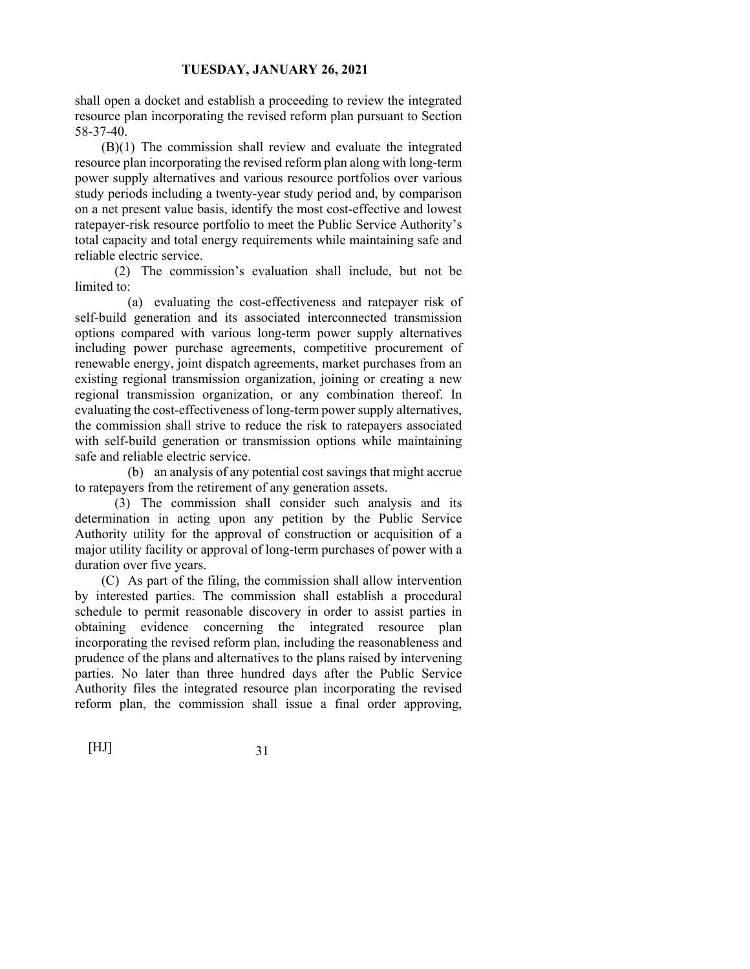shall open a docket and establish a proceeding to review the integrated resource plan incorporating the revised reform plan pursuant to Section 58-37-40.

 (B)(1) The commission shall review and evaluate the integrated resource plan incorporating the revised reform plan along with long-term power supply alternatives and various resource portfolios over various study periods including a twenty‐year study period and, by comparison on a net present value basis, identify the most cost‐effective and lowest ratepayer-risk resource portfolio to meet the Public Service Authority's total capacity and total energy requirements while maintaining safe and reliable electric service.

 (2) The commission's evaluation shall include, but not be limited to:

 (a) evaluating the cost-effectiveness and ratepayer risk of self-build generation and its associated interconnected transmission options compared with various long-term power supply alternatives including power purchase agreements, competitive procurement of renewable energy, joint dispatch agreements, market purchases from an existing regional transmission organization, joining or creating a new regional transmission organization, or any combination thereof. In evaluating the cost-effectiveness of long-term power supply alternatives, the commission shall strive to reduce the risk to ratepayers associated with self-build generation or transmission options while maintaining safe and reliable electric service.

 (b) an analysis of any potential cost savings that might accrue to ratepayers from the retirement of any generation assets.

 (3) The commission shall consider such analysis and its determination in acting upon any petition by the Public Service Authority utility for the approval of construction or acquisition of a major utility facility or approval of long-term purchases of power with a duration over five years.

 (C) As part of the filing, the commission shall allow intervention by interested parties. The commission shall establish a procedural schedule to permit reasonable discovery in order to assist parties in obtaining evidence concerning the integrated resource plan incorporating the revised reform plan, including the reasonableness and prudence of the plans and alternatives to the plans raised by intervening parties. No later than three hundred days after the Public Service Authority files the integrated resource plan incorporating the revised reform plan, the commission shall issue a final order approving,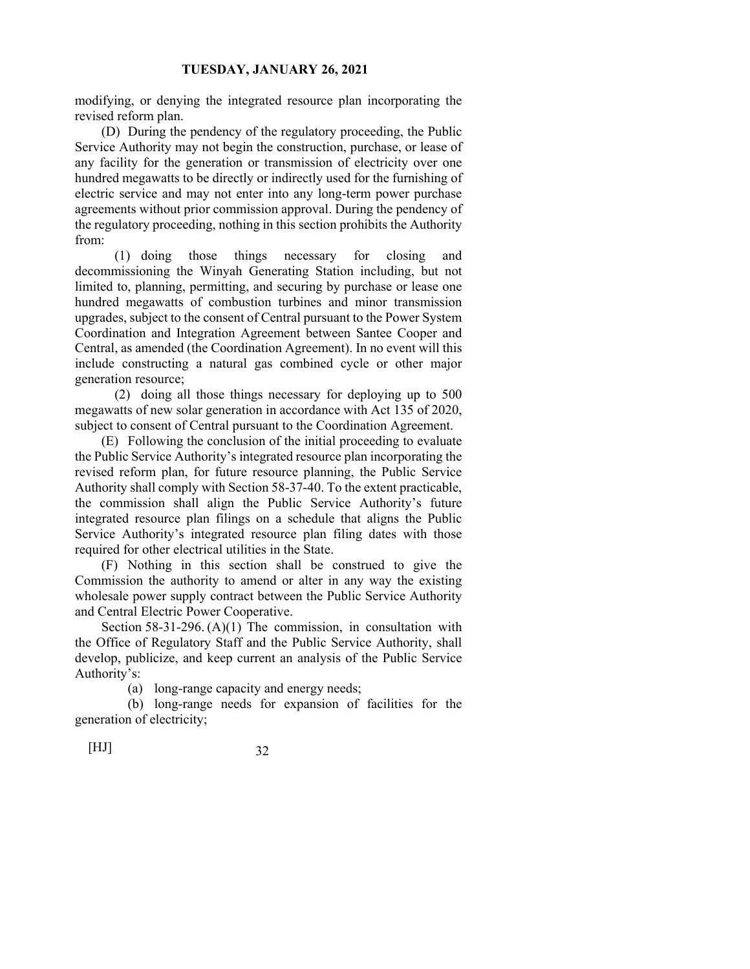modifying, or denying the integrated resource plan incorporating the revised reform plan.

 (D) During the pendency of the regulatory proceeding, the Public Service Authority may not begin the construction, purchase, or lease of any facility for the generation or transmission of electricity over one hundred megawatts to be directly or indirectly used for the furnishing of electric service and may not enter into any long-term power purchase agreements without prior commission approval. During the pendency of the regulatory proceeding, nothing in this section prohibits the Authority from:

 (1) doing those things necessary for closing and decommissioning the Winyah Generating Station including, but not limited to, planning, permitting, and securing by purchase or lease one hundred megawatts of combustion turbines and minor transmission upgrades, subject to the consent of Central pursuant to the Power System Coordination and Integration Agreement between Santee Cooper and Central, as amended (the Coordination Agreement). In no event will this include constructing a natural gas combined cycle or other major generation resource;

 (2) doing all those things necessary for deploying up to 500 megawatts of new solar generation in accordance with Act 135 of 2020, subject to consent of Central pursuant to the Coordination Agreement.

 (E) Following the conclusion of the initial proceeding to evaluate the Public Service Authority's integrated resource plan incorporating the revised reform plan, for future resource planning, the Public Service Authority shall comply with Section 58-37-40. To the extent practicable, the commission shall align the Public Service Authority's future integrated resource plan filings on a schedule that aligns the Public Service Authority's integrated resource plan filing dates with those required for other electrical utilities in the State.

 (F) Nothing in this section shall be construed to give the Commission the authority to amend or alter in any way the existing wholesale power supply contract between the Public Service Authority and Central Electric Power Cooperative.

Section 58-31-296. (A)(1) The commission, in consultation with the Office of Regulatory Staff and the Public Service Authority, shall develop, publicize, and keep current an analysis of the Public Service Authority's:

(a) long-range capacity and energy needs;

 (b) long-range needs for expansion of facilities for the generation of electricity;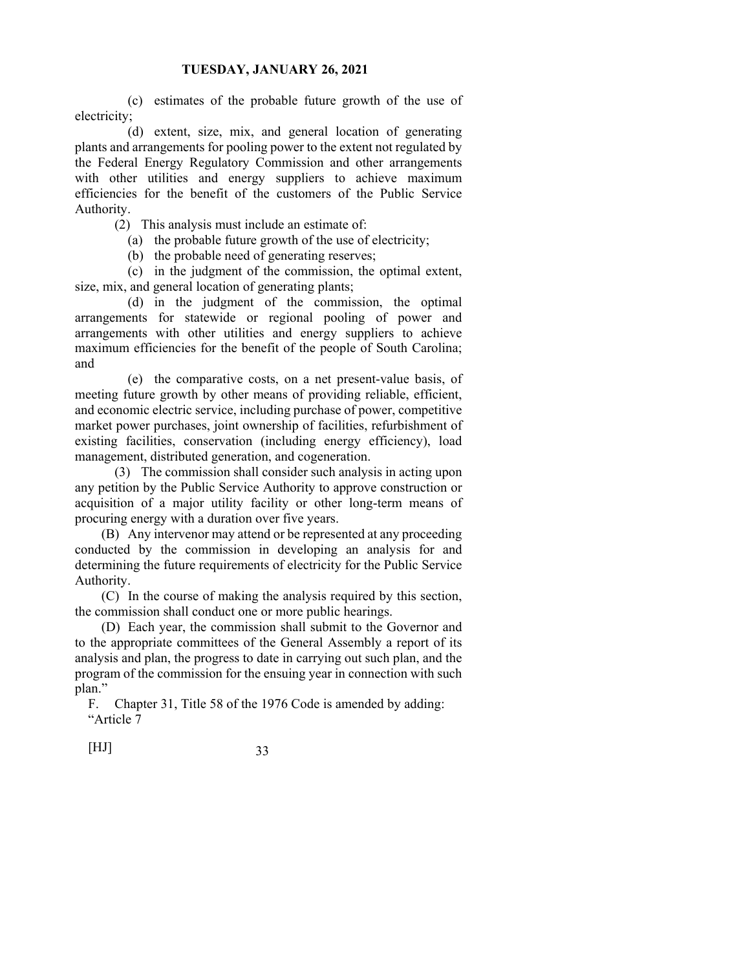(c) estimates of the probable future growth of the use of electricity;

 (d) extent, size, mix, and general location of generating plants and arrangements for pooling power to the extent not regulated by the Federal Energy Regulatory Commission and other arrangements with other utilities and energy suppliers to achieve maximum efficiencies for the benefit of the customers of the Public Service Authority.

(2) This analysis must include an estimate of:

(a) the probable future growth of the use of electricity;

(b) the probable need of generating reserves;

 (c) in the judgment of the commission, the optimal extent, size, mix, and general location of generating plants;

 (d) in the judgment of the commission, the optimal arrangements for statewide or regional pooling of power and arrangements with other utilities and energy suppliers to achieve maximum efficiencies for the benefit of the people of South Carolina; and

 (e) the comparative costs, on a net present-value basis, of meeting future growth by other means of providing reliable, efficient, and economic electric service, including purchase of power, competitive market power purchases, joint ownership of facilities, refurbishment of existing facilities, conservation (including energy efficiency), load management, distributed generation, and cogeneration.

 (3) The commission shall consider such analysis in acting upon any petition by the Public Service Authority to approve construction or acquisition of a major utility facility or other long-term means of procuring energy with a duration over five years.

 (B) Any intervenor may attend or be represented at any proceeding conducted by the commission in developing an analysis for and determining the future requirements of electricity for the Public Service Authority.

 (C) In the course of making the analysis required by this section, the commission shall conduct one or more public hearings.

 (D) Each year, the commission shall submit to the Governor and to the appropriate committees of the General Assembly a report of its analysis and plan, the progress to date in carrying out such plan, and the program of the commission for the ensuing year in connection with such plan."

F. Chapter 31, Title 58 of the 1976 Code is amended by adding: "Article 7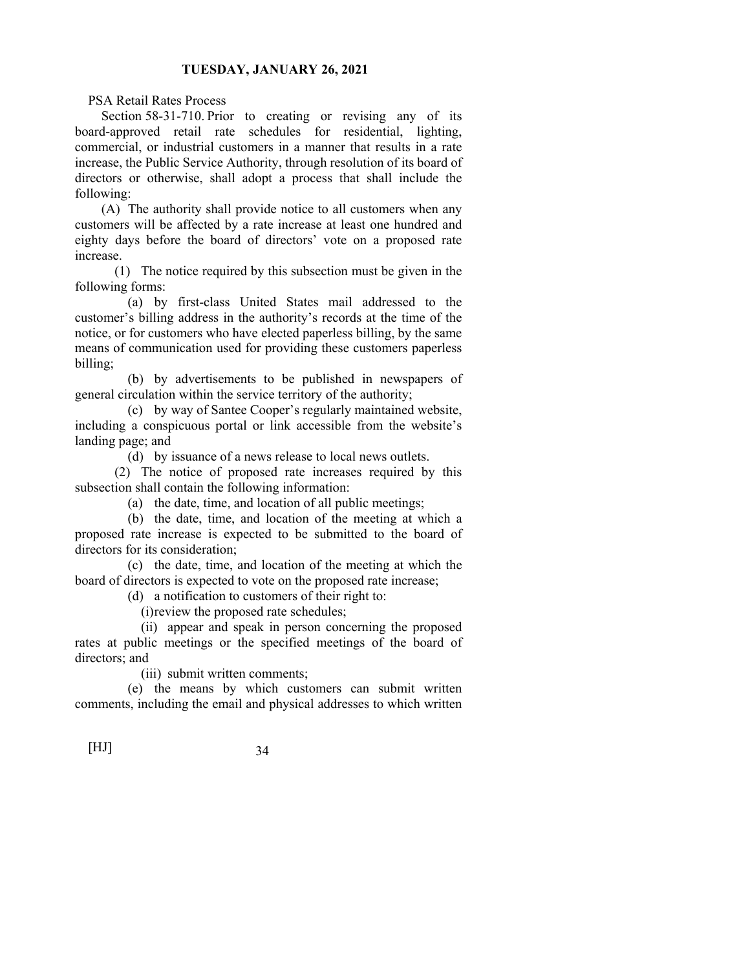PSA Retail Rates Process

 Section 58-31-710. Prior to creating or revising any of its board-approved retail rate schedules for residential, lighting, commercial, or industrial customers in a manner that results in a rate increase, the Public Service Authority, through resolution of its board of directors or otherwise, shall adopt a process that shall include the following:

 (A) The authority shall provide notice to all customers when any customers will be affected by a rate increase at least one hundred and eighty days before the board of directors' vote on a proposed rate increase.

 (1) The notice required by this subsection must be given in the following forms:

 (a) by first-class United States mail addressed to the customer's billing address in the authority's records at the time of the notice, or for customers who have elected paperless billing, by the same means of communication used for providing these customers paperless billing;

 (b) by advertisements to be published in newspapers of general circulation within the service territory of the authority;

 (c) by way of Santee Cooper's regularly maintained website, including a conspicuous portal or link accessible from the website's landing page; and

(d) by issuance of a news release to local news outlets.

 (2) The notice of proposed rate increases required by this subsection shall contain the following information:

(a) the date, time, and location of all public meetings;

 (b) the date, time, and location of the meeting at which a proposed rate increase is expected to be submitted to the board of directors for its consideration;

 (c) the date, time, and location of the meeting at which the board of directors is expected to vote on the proposed rate increase;

(d) a notification to customers of their right to:

(i) review the proposed rate schedules;

 (ii) appear and speak in person concerning the proposed rates at public meetings or the specified meetings of the board of directors; and

(iii) submit written comments;

 (e) the means by which customers can submit written comments, including the email and physical addresses to which written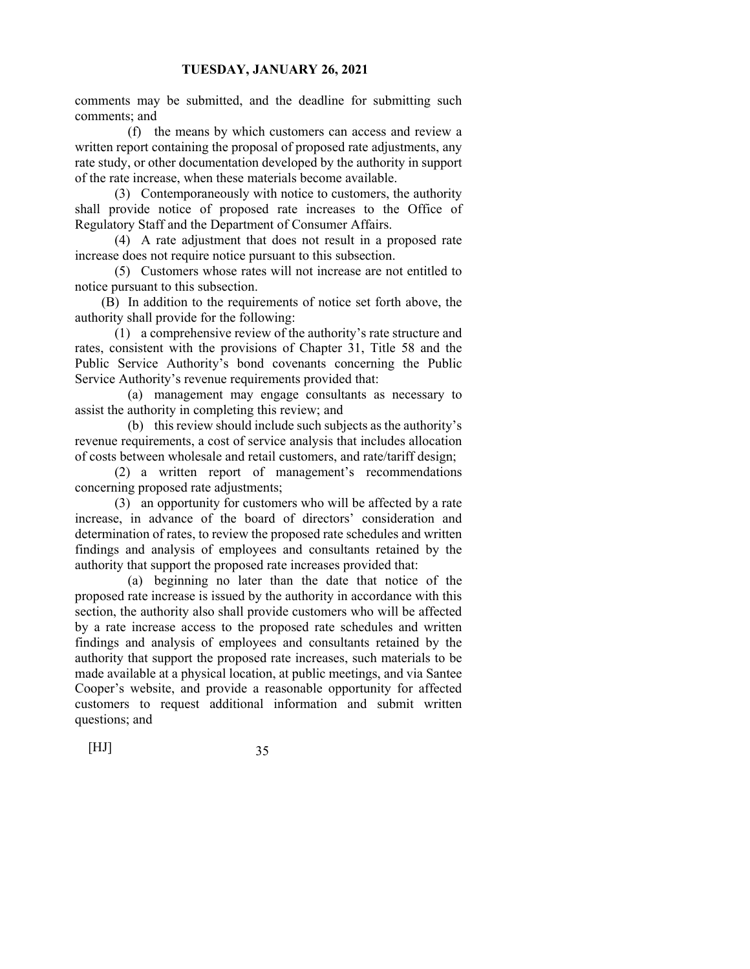comments may be submitted, and the deadline for submitting such comments; and

 (f) the means by which customers can access and review a written report containing the proposal of proposed rate adjustments, any rate study, or other documentation developed by the authority in support of the rate increase, when these materials become available.

 (3) Contemporaneously with notice to customers, the authority shall provide notice of proposed rate increases to the Office of Regulatory Staff and the Department of Consumer Affairs.

 (4) A rate adjustment that does not result in a proposed rate increase does not require notice pursuant to this subsection.

 (5) Customers whose rates will not increase are not entitled to notice pursuant to this subsection.

 (B) In addition to the requirements of notice set forth above, the authority shall provide for the following:

 (1) a comprehensive review of the authority's rate structure and rates, consistent with the provisions of Chapter 31, Title 58 and the Public Service Authority's bond covenants concerning the Public Service Authority's revenue requirements provided that:

 (a) management may engage consultants as necessary to assist the authority in completing this review; and

 (b) this review should include such subjects as the authority's revenue requirements, a cost of service analysis that includes allocation of costs between wholesale and retail customers, and rate/tariff design;

 (2) a written report of management's recommendations concerning proposed rate adjustments;

 (3) an opportunity for customers who will be affected by a rate increase, in advance of the board of directors' consideration and determination of rates, to review the proposed rate schedules and written findings and analysis of employees and consultants retained by the authority that support the proposed rate increases provided that:

 (a) beginning no later than the date that notice of the proposed rate increase is issued by the authority in accordance with this section, the authority also shall provide customers who will be affected by a rate increase access to the proposed rate schedules and written findings and analysis of employees and consultants retained by the authority that support the proposed rate increases, such materials to be made available at a physical location, at public meetings, and via Santee Cooper's website, and provide a reasonable opportunity for affected customers to request additional information and submit written questions; and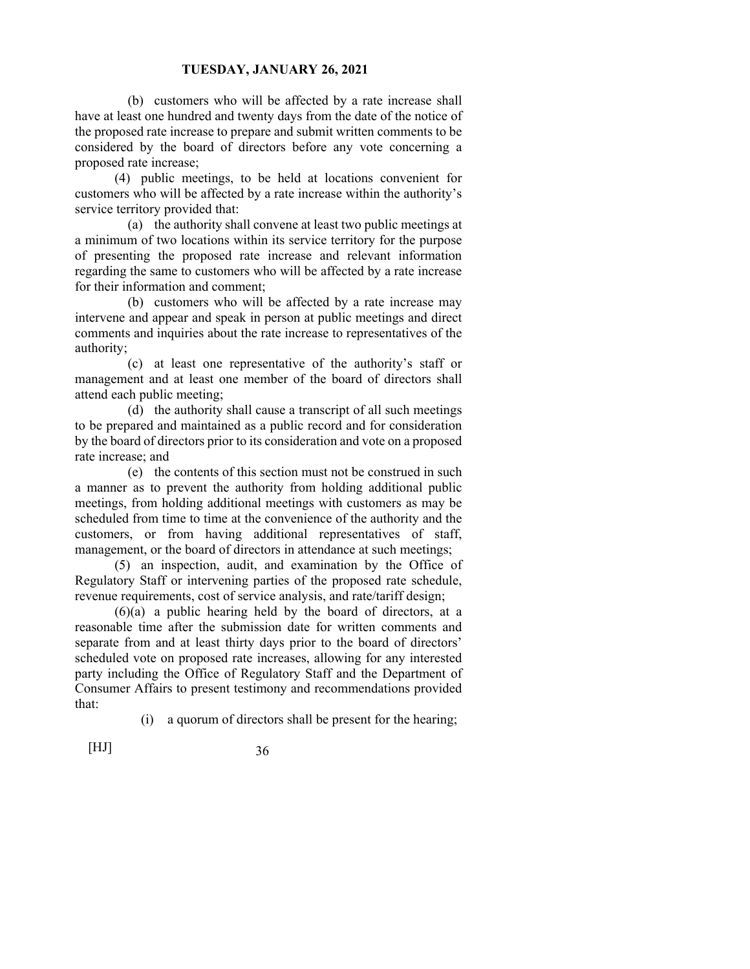(b) customers who will be affected by a rate increase shall have at least one hundred and twenty days from the date of the notice of the proposed rate increase to prepare and submit written comments to be considered by the board of directors before any vote concerning a proposed rate increase;

 (4) public meetings, to be held at locations convenient for customers who will be affected by a rate increase within the authority's service territory provided that:

 (a) the authority shall convene at least two public meetings at a minimum of two locations within its service territory for the purpose of presenting the proposed rate increase and relevant information regarding the same to customers who will be affected by a rate increase for their information and comment;

 (b) customers who will be affected by a rate increase may intervene and appear and speak in person at public meetings and direct comments and inquiries about the rate increase to representatives of the authority;

 (c) at least one representative of the authority's staff or management and at least one member of the board of directors shall attend each public meeting;

 (d) the authority shall cause a transcript of all such meetings to be prepared and maintained as a public record and for consideration by the board of directors prior to its consideration and vote on a proposed rate increase; and

 (e) the contents of this section must not be construed in such a manner as to prevent the authority from holding additional public meetings, from holding additional meetings with customers as may be scheduled from time to time at the convenience of the authority and the customers, or from having additional representatives of staff, management, or the board of directors in attendance at such meetings;

 (5) an inspection, audit, and examination by the Office of Regulatory Staff or intervening parties of the proposed rate schedule, revenue requirements, cost of service analysis, and rate/tariff design;

 (6)(a) a public hearing held by the board of directors, at a reasonable time after the submission date for written comments and separate from and at least thirty days prior to the board of directors' scheduled vote on proposed rate increases, allowing for any interested party including the Office of Regulatory Staff and the Department of Consumer Affairs to present testimony and recommendations provided that:

(i) a quorum of directors shall be present for the hearing;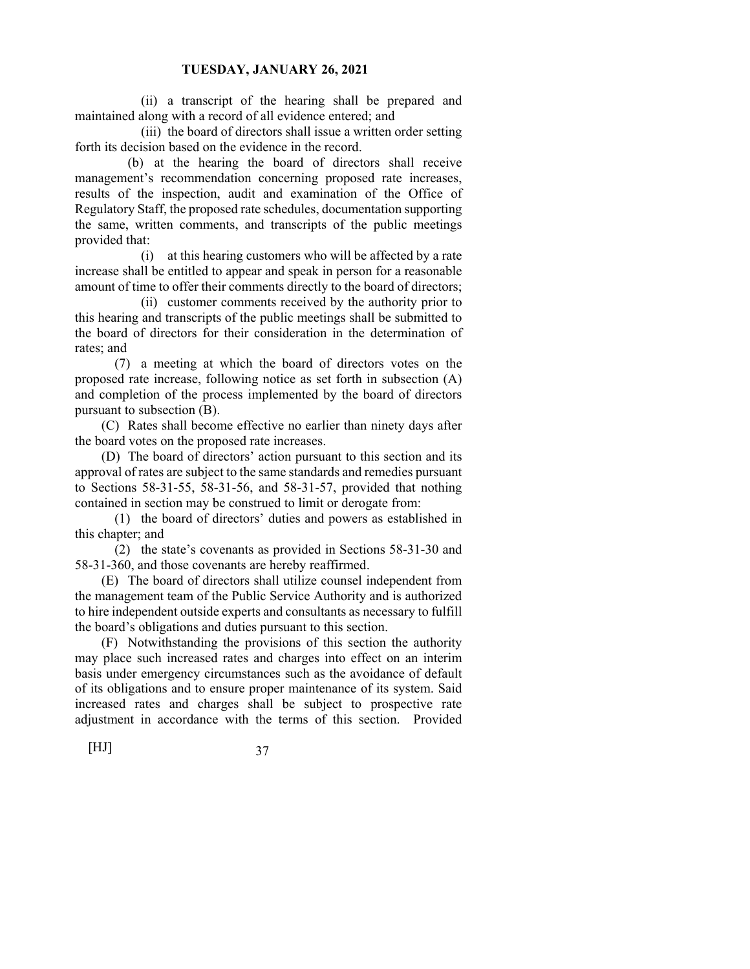(ii) a transcript of the hearing shall be prepared and maintained along with a record of all evidence entered; and

 (iii) the board of directors shall issue a written order setting forth its decision based on the evidence in the record.

 (b) at the hearing the board of directors shall receive management's recommendation concerning proposed rate increases, results of the inspection, audit and examination of the Office of Regulatory Staff, the proposed rate schedules, documentation supporting the same, written comments, and transcripts of the public meetings provided that:

 (i) at this hearing customers who will be affected by a rate increase shall be entitled to appear and speak in person for a reasonable amount of time to offer their comments directly to the board of directors;

 (ii) customer comments received by the authority prior to this hearing and transcripts of the public meetings shall be submitted to the board of directors for their consideration in the determination of rates; and

 (7) a meeting at which the board of directors votes on the proposed rate increase, following notice as set forth in subsection (A) and completion of the process implemented by the board of directors pursuant to subsection (B).

 (C) Rates shall become effective no earlier than ninety days after the board votes on the proposed rate increases.

 (D) The board of directors' action pursuant to this section and its approval of rates are subject to the same standards and remedies pursuant to Sections 58-31-55, 58-31-56, and 58-31-57, provided that nothing contained in section may be construed to limit or derogate from:

 (1) the board of directors' duties and powers as established in this chapter; and

 (2) the state's covenants as provided in Sections 58-31-30 and 58-31-360, and those covenants are hereby reaffirmed.

 (E) The board of directors shall utilize counsel independent from the management team of the Public Service Authority and is authorized to hire independent outside experts and consultants as necessary to fulfill the board's obligations and duties pursuant to this section.

 (F) Notwithstanding the provisions of this section the authority may place such increased rates and charges into effect on an interim basis under emergency circumstances such as the avoidance of default of its obligations and to ensure proper maintenance of its system. Said increased rates and charges shall be subject to prospective rate adjustment in accordance with the terms of this section. Provided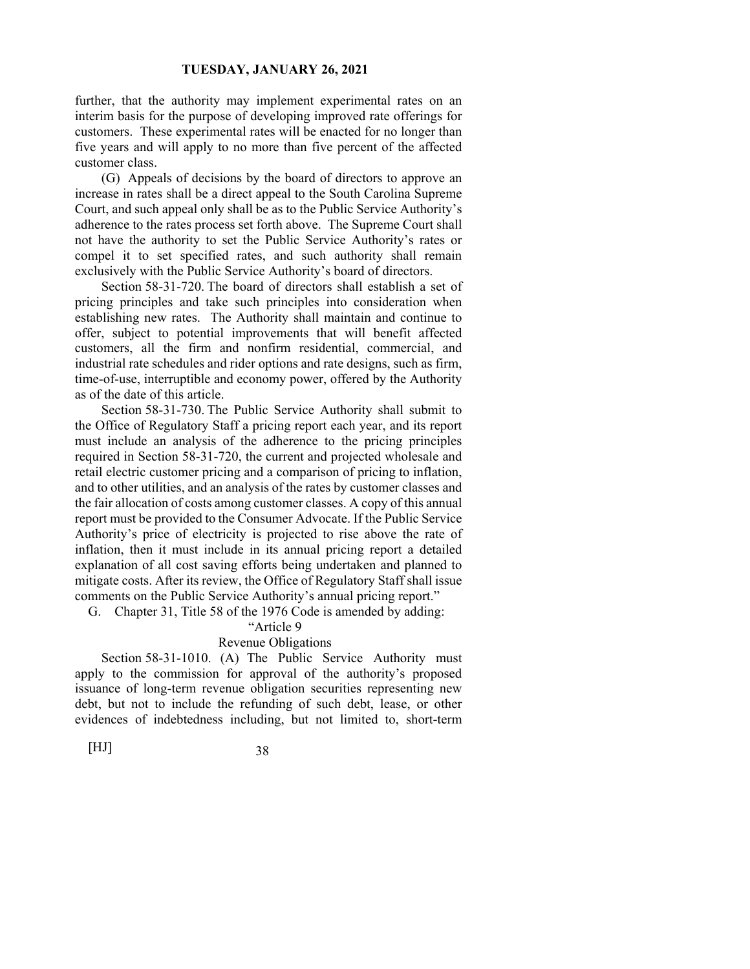further, that the authority may implement experimental rates on an interim basis for the purpose of developing improved rate offerings for customers. These experimental rates will be enacted for no longer than five years and will apply to no more than five percent of the affected customer class.

 (G) Appeals of decisions by the board of directors to approve an increase in rates shall be a direct appeal to the South Carolina Supreme Court, and such appeal only shall be as to the Public Service Authority's adherence to the rates process set forth above. The Supreme Court shall not have the authority to set the Public Service Authority's rates or compel it to set specified rates, and such authority shall remain exclusively with the Public Service Authority's board of directors.

 Section 58-31-720. The board of directors shall establish a set of pricing principles and take such principles into consideration when establishing new rates. The Authority shall maintain and continue to offer, subject to potential improvements that will benefit affected customers, all the firm and nonfirm residential, commercial, and industrial rate schedules and rider options and rate designs, such as firm, time-of-use, interruptible and economy power, offered by the Authority as of the date of this article.

 Section 58-31-730. The Public Service Authority shall submit to the Office of Regulatory Staff a pricing report each year, and its report must include an analysis of the adherence to the pricing principles required in Section 58-31-720, the current and projected wholesale and retail electric customer pricing and a comparison of pricing to inflation, and to other utilities, and an analysis of the rates by customer classes and the fair allocation of costs among customer classes. A copy of this annual report must be provided to the Consumer Advocate. If the Public Service Authority's price of electricity is projected to rise above the rate of inflation, then it must include in its annual pricing report a detailed explanation of all cost saving efforts being undertaken and planned to mitigate costs. After its review, the Office of Regulatory Staff shall issue comments on the Public Service Authority's annual pricing report."

G. Chapter 31, Title 58 of the 1976 Code is amended by adding:

# "Article 9

# Revenue Obligations

 Section 58-31-1010. (A) The Public Service Authority must apply to the commission for approval of the authority's proposed issuance of long-term revenue obligation securities representing new debt, but not to include the refunding of such debt, lease, or other evidences of indebtedness including, but not limited to, short-term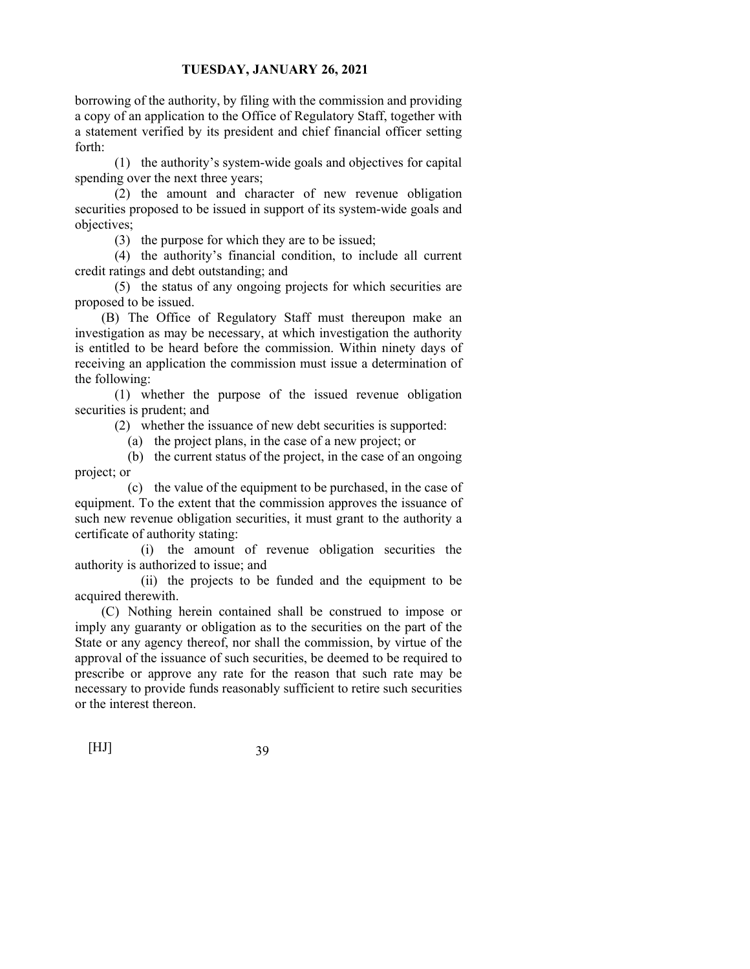borrowing of the authority, by filing with the commission and providing a copy of an application to the Office of Regulatory Staff, together with a statement verified by its president and chief financial officer setting forth:

 (1) the authority's system-wide goals and objectives for capital spending over the next three years;

 (2) the amount and character of new revenue obligation securities proposed to be issued in support of its system-wide goals and objectives;

(3) the purpose for which they are to be issued;

 (4) the authority's financial condition, to include all current credit ratings and debt outstanding; and

 (5) the status of any ongoing projects for which securities are proposed to be issued.

 (B) The Office of Regulatory Staff must thereupon make an investigation as may be necessary, at which investigation the authority is entitled to be heard before the commission. Within ninety days of receiving an application the commission must issue a determination of the following:

 (1) whether the purpose of the issued revenue obligation securities is prudent; and

(2) whether the issuance of new debt securities is supported:

(a) the project plans, in the case of a new project; or

 (b) the current status of the project, in the case of an ongoing project; or

 (c) the value of the equipment to be purchased, in the case of equipment. To the extent that the commission approves the issuance of such new revenue obligation securities, it must grant to the authority a certificate of authority stating:

 (i) the amount of revenue obligation securities the authority is authorized to issue; and

 (ii) the projects to be funded and the equipment to be acquired therewith.

 (C) Nothing herein contained shall be construed to impose or imply any guaranty or obligation as to the securities on the part of the State or any agency thereof, nor shall the commission, by virtue of the approval of the issuance of such securities, be deemed to be required to prescribe or approve any rate for the reason that such rate may be necessary to provide funds reasonably sufficient to retire such securities or the interest thereon.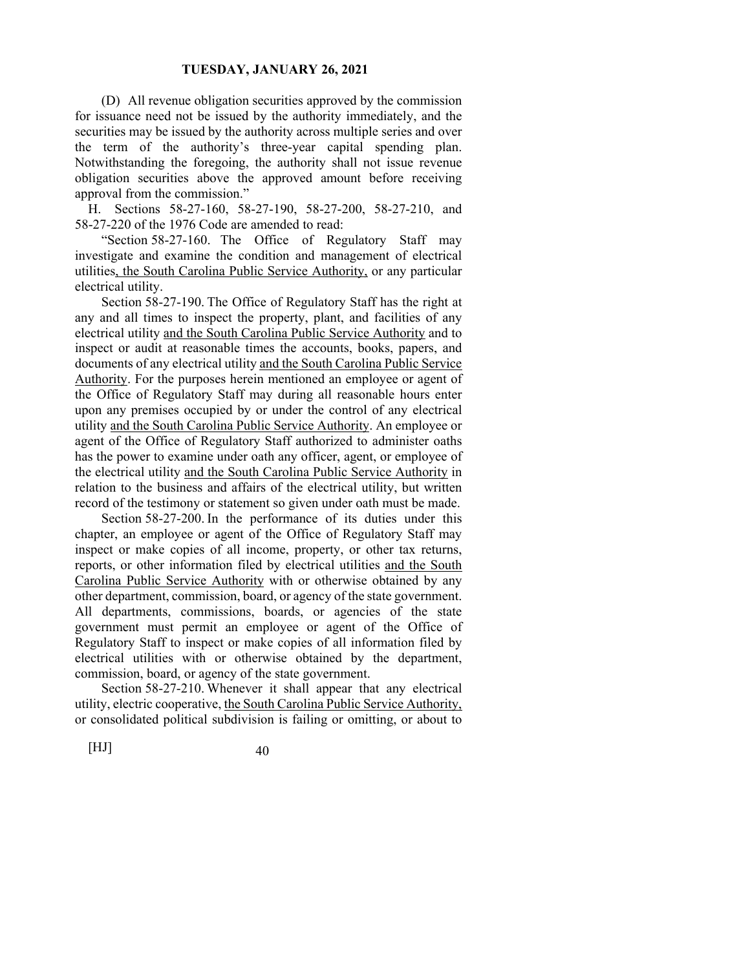(D) All revenue obligation securities approved by the commission for issuance need not be issued by the authority immediately, and the securities may be issued by the authority across multiple series and over the term of the authority's three-year capital spending plan. Notwithstanding the foregoing, the authority shall not issue revenue obligation securities above the approved amount before receiving approval from the commission."

H. Sections 58-27-160, 58-27-190, 58-27-200, 58-27-210, and 58-27-220 of the 1976 Code are amended to read:

 "Section 58-27-160. The Office of Regulatory Staff may investigate and examine the condition and management of electrical utilities, the South Carolina Public Service Authority, or any particular electrical utility.

 Section 58-27-190. The Office of Regulatory Staff has the right at any and all times to inspect the property, plant, and facilities of any electrical utility and the South Carolina Public Service Authority and to inspect or audit at reasonable times the accounts, books, papers, and documents of any electrical utility and the South Carolina Public Service Authority. For the purposes herein mentioned an employee or agent of the Office of Regulatory Staff may during all reasonable hours enter upon any premises occupied by or under the control of any electrical utility and the South Carolina Public Service Authority. An employee or agent of the Office of Regulatory Staff authorized to administer oaths has the power to examine under oath any officer, agent, or employee of the electrical utility and the South Carolina Public Service Authority in relation to the business and affairs of the electrical utility, but written record of the testimony or statement so given under oath must be made.

 Section 58-27-200. In the performance of its duties under this chapter, an employee or agent of the Office of Regulatory Staff may inspect or make copies of all income, property, or other tax returns, reports, or other information filed by electrical utilities and the South Carolina Public Service Authority with or otherwise obtained by any other department, commission, board, or agency of the state government. All departments, commissions, boards, or agencies of the state government must permit an employee or agent of the Office of Regulatory Staff to inspect or make copies of all information filed by electrical utilities with or otherwise obtained by the department, commission, board, or agency of the state government.

 Section 58-27-210. Whenever it shall appear that any electrical utility, electric cooperative, the South Carolina Public Service Authority, or consolidated political subdivision is failing or omitting, or about to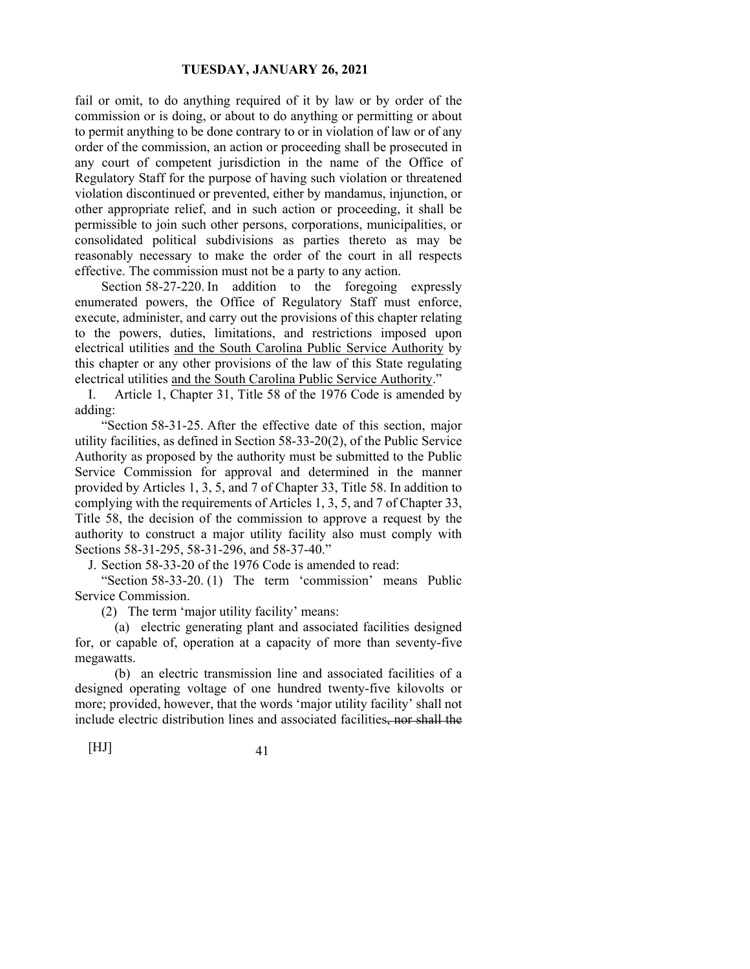fail or omit, to do anything required of it by law or by order of the commission or is doing, or about to do anything or permitting or about to permit anything to be done contrary to or in violation of law or of any order of the commission, an action or proceeding shall be prosecuted in any court of competent jurisdiction in the name of the Office of Regulatory Staff for the purpose of having such violation or threatened violation discontinued or prevented, either by mandamus, injunction, or other appropriate relief, and in such action or proceeding, it shall be permissible to join such other persons, corporations, municipalities, or consolidated political subdivisions as parties thereto as may be reasonably necessary to make the order of the court in all respects effective. The commission must not be a party to any action.

Section 58-27-220. In addition to the foregoing expressly enumerated powers, the Office of Regulatory Staff must enforce, execute, administer, and carry out the provisions of this chapter relating to the powers, duties, limitations, and restrictions imposed upon electrical utilities and the South Carolina Public Service Authority by this chapter or any other provisions of the law of this State regulating electrical utilities and the South Carolina Public Service Authority."

I. Article 1, Chapter 31, Title 58 of the 1976 Code is amended by adding:

 "Section 58-31-25. After the effective date of this section, major utility facilities, as defined in Section 58-33-20(2), of the Public Service Authority as proposed by the authority must be submitted to the Public Service Commission for approval and determined in the manner provided by Articles 1, 3, 5, and 7 of Chapter 33, Title 58. In addition to complying with the requirements of Articles 1, 3, 5, and 7 of Chapter 33, Title 58, the decision of the commission to approve a request by the authority to construct a major utility facility also must comply with Sections 58-31-295, 58-31-296, and 58-37-40."

J. Section 58-33-20 of the 1976 Code is amended to read:

 "Section 58-33-20. (1) The term 'commission' means Public Service Commission.

(2) The term 'major utility facility' means:

 (a) electric generating plant and associated facilities designed for, or capable of, operation at a capacity of more than seventy-five megawatts.

 (b) an electric transmission line and associated facilities of a designed operating voltage of one hundred twenty-five kilovolts or more; provided, however, that the words 'major utility facility' shall not include electric distribution lines and associated facilities, nor shall the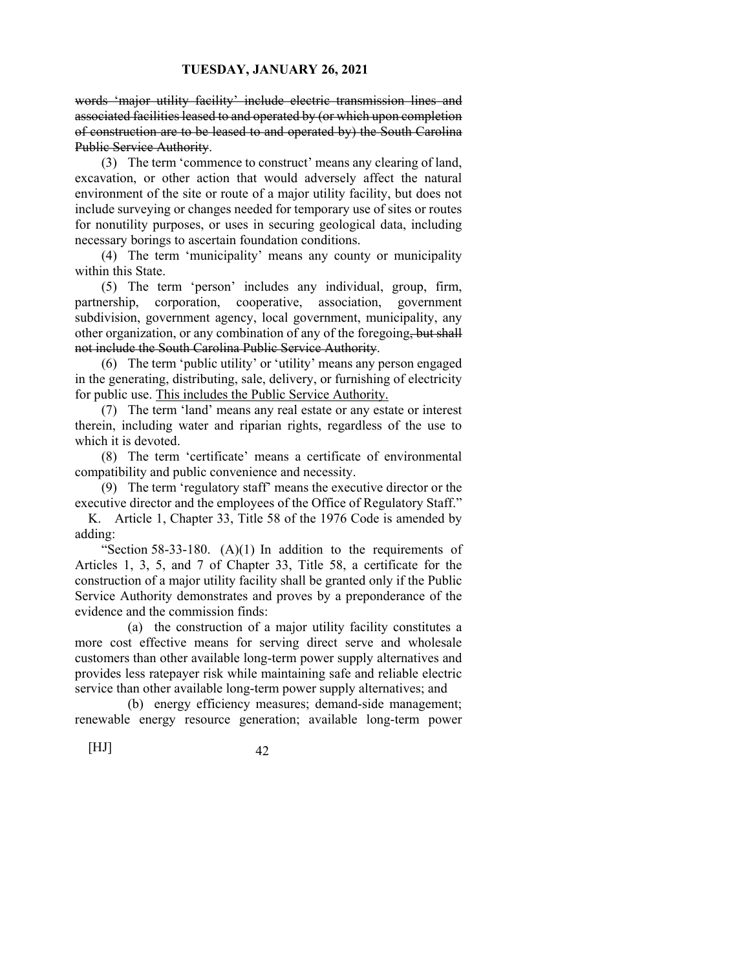words 'major utility facility' include electric transmission lines and associated facilities leased to and operated by (or which upon completion of construction are to be leased to and operated by) the South Carolina Public Service Authority.

 (3) The term 'commence to construct' means any clearing of land, excavation, or other action that would adversely affect the natural environment of the site or route of a major utility facility, but does not include surveying or changes needed for temporary use of sites or routes for nonutility purposes, or uses in securing geological data, including necessary borings to ascertain foundation conditions.

 (4) The term 'municipality' means any county or municipality within this State.

 (5) The term 'person' includes any individual, group, firm, partnership, corporation, cooperative, association, government subdivision, government agency, local government, municipality, any other organization, or any combination of any of the foregoing, but shall not include the South Carolina Public Service Authority.

 (6) The term 'public utility' or 'utility' means any person engaged in the generating, distributing, sale, delivery, or furnishing of electricity for public use. This includes the Public Service Authority.

 (7) The term 'land' means any real estate or any estate or interest therein, including water and riparian rights, regardless of the use to which it is devoted.

 (8) The term 'certificate' means a certificate of environmental compatibility and public convenience and necessity.

 (9) The term 'regulatory staff' means the executive director or the executive director and the employees of the Office of Regulatory Staff."

K. Article 1, Chapter 33, Title 58 of the 1976 Code is amended by adding:

"Section 58-33-180.  $(A)(1)$  In addition to the requirements of Articles 1, 3, 5, and 7 of Chapter 33, Title 58, a certificate for the construction of a major utility facility shall be granted only if the Public Service Authority demonstrates and proves by a preponderance of the evidence and the commission finds:

 (a) the construction of a major utility facility constitutes a more cost effective means for serving direct serve and wholesale customers than other available long-term power supply alternatives and provides less ratepayer risk while maintaining safe and reliable electric service than other available long-term power supply alternatives; and

 (b) energy efficiency measures; demand-side management; renewable energy resource generation; available long-term power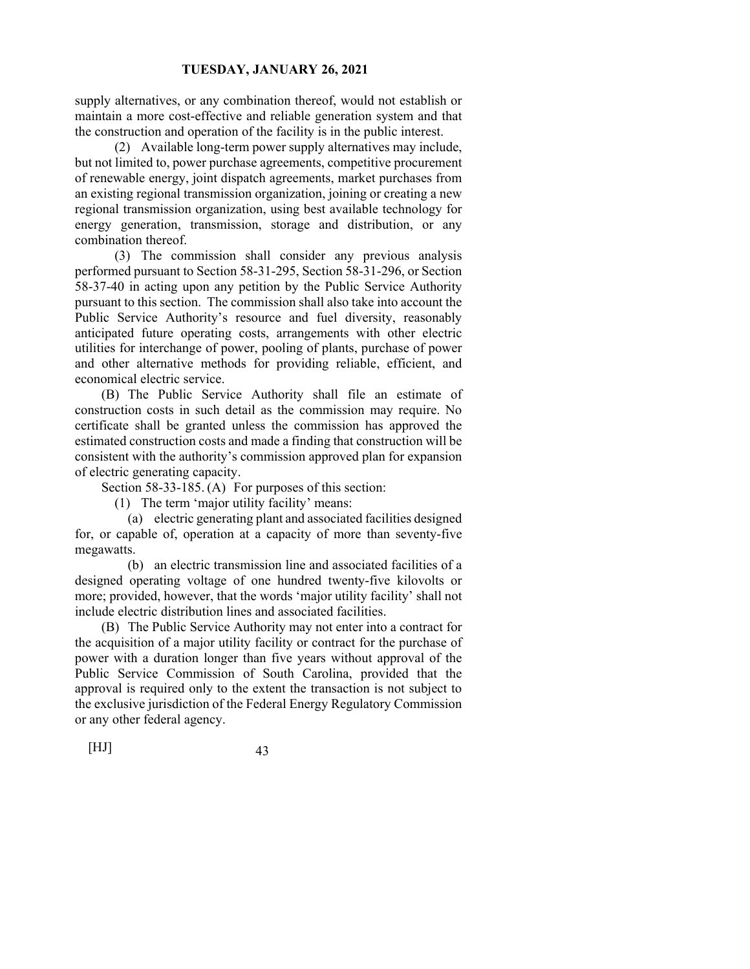supply alternatives, or any combination thereof, would not establish or maintain a more cost-effective and reliable generation system and that the construction and operation of the facility is in the public interest.

 (2) Available long-term power supply alternatives may include, but not limited to, power purchase agreements, competitive procurement of renewable energy, joint dispatch agreements, market purchases from an existing regional transmission organization, joining or creating a new regional transmission organization, using best available technology for energy generation, transmission, storage and distribution, or any combination thereof.

 (3) The commission shall consider any previous analysis performed pursuant to Section 58-31-295, Section 58-31-296, or Section 58-37-40 in acting upon any petition by the Public Service Authority pursuant to this section. The commission shall also take into account the Public Service Authority's resource and fuel diversity, reasonably anticipated future operating costs, arrangements with other electric utilities for interchange of power, pooling of plants, purchase of power and other alternative methods for providing reliable, efficient, and economical electric service.

 (B) The Public Service Authority shall file an estimate of construction costs in such detail as the commission may require. No certificate shall be granted unless the commission has approved the estimated construction costs and made a finding that construction will be consistent with the authority's commission approved plan for expansion of electric generating capacity.

Section 58-33-185. (A) For purposes of this section:

(1) The term 'major utility facility' means:

 (a) electric generating plant and associated facilities designed for, or capable of, operation at a capacity of more than seventy-five megawatts.

 (b) an electric transmission line and associated facilities of a designed operating voltage of one hundred twenty-five kilovolts or more; provided, however, that the words 'major utility facility' shall not include electric distribution lines and associated facilities.

 (B) The Public Service Authority may not enter into a contract for the acquisition of a major utility facility or contract for the purchase of power with a duration longer than five years without approval of the Public Service Commission of South Carolina, provided that the approval is required only to the extent the transaction is not subject to the exclusive jurisdiction of the Federal Energy Regulatory Commission or any other federal agency.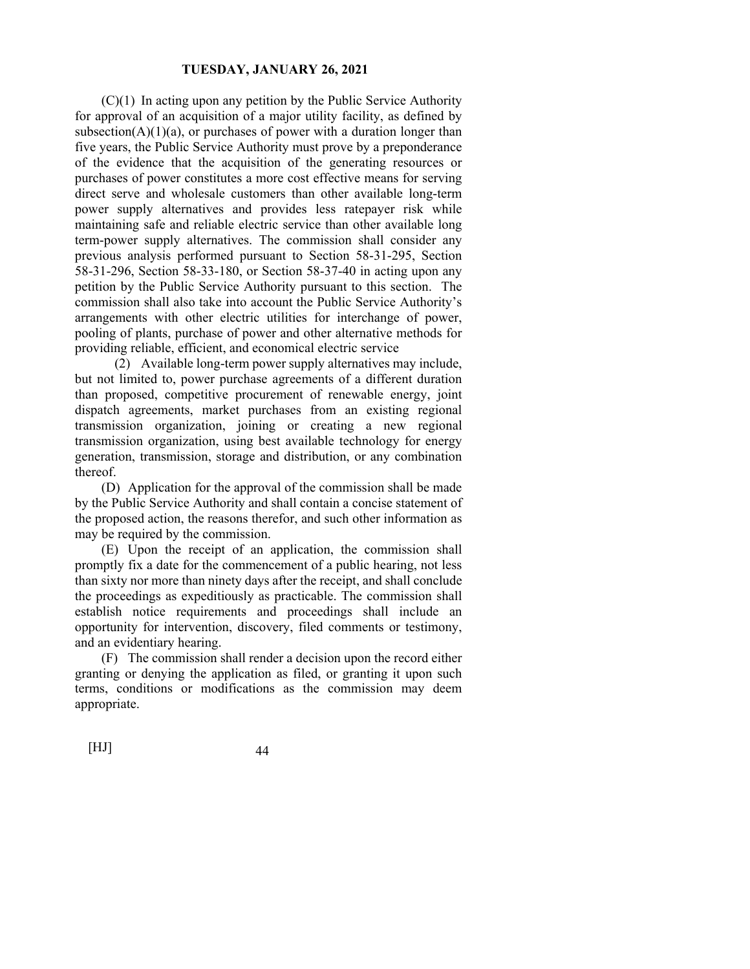(C)(1) In acting upon any petition by the Public Service Authority for approval of an acquisition of a major utility facility, as defined by subsection( $A$ )(1)(a), or purchases of power with a duration longer than five years, the Public Service Authority must prove by a preponderance of the evidence that the acquisition of the generating resources or purchases of power constitutes a more cost effective means for serving direct serve and wholesale customers than other available long-term power supply alternatives and provides less ratepayer risk while maintaining safe and reliable electric service than other available long term-power supply alternatives. The commission shall consider any previous analysis performed pursuant to Section 58-31-295, Section 58-31-296, Section 58-33-180, or Section 58-37-40 in acting upon any petition by the Public Service Authority pursuant to this section. The commission shall also take into account the Public Service Authority's arrangements with other electric utilities for interchange of power, pooling of plants, purchase of power and other alternative methods for providing reliable, efficient, and economical electric service

 (2) Available long-term power supply alternatives may include, but not limited to, power purchase agreements of a different duration than proposed, competitive procurement of renewable energy, joint dispatch agreements, market purchases from an existing regional transmission organization, joining or creating a new regional transmission organization, using best available technology for energy generation, transmission, storage and distribution, or any combination thereof.

 (D) Application for the approval of the commission shall be made by the Public Service Authority and shall contain a concise statement of the proposed action, the reasons therefor, and such other information as may be required by the commission.

 (E) Upon the receipt of an application, the commission shall promptly fix a date for the commencement of a public hearing, not less than sixty nor more than ninety days after the receipt, and shall conclude the proceedings as expeditiously as practicable. The commission shall establish notice requirements and proceedings shall include an opportunity for intervention, discovery, filed comments or testimony, and an evidentiary hearing.

 (F) The commission shall render a decision upon the record either granting or denying the application as filed, or granting it upon such terms, conditions or modifications as the commission may deem appropriate.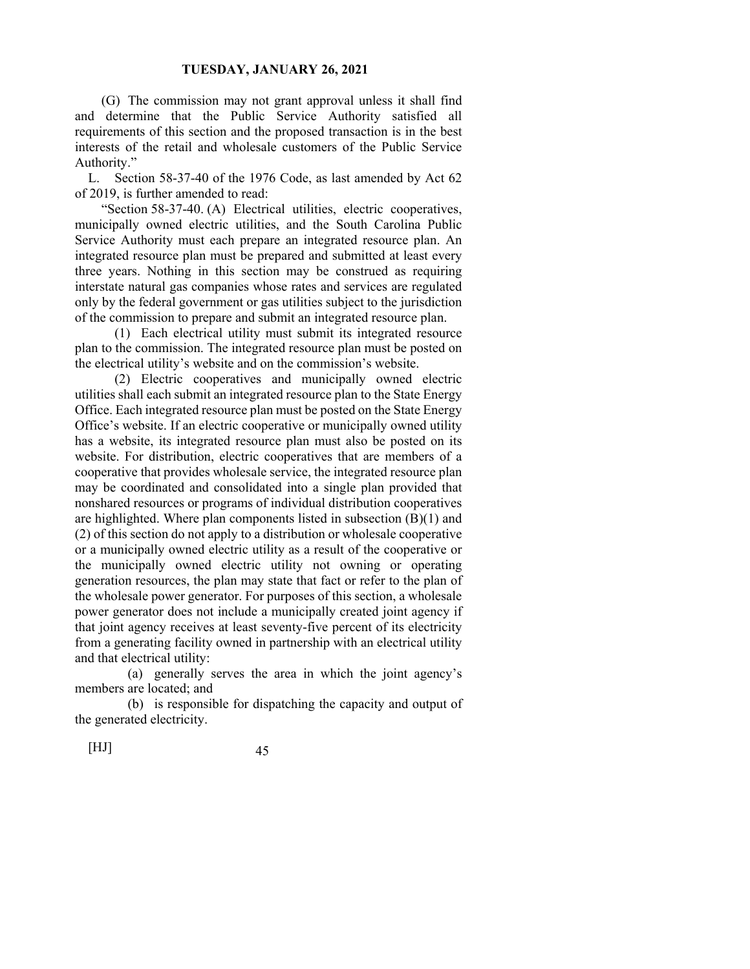(G) The commission may not grant approval unless it shall find and determine that the Public Service Authority satisfied all requirements of this section and the proposed transaction is in the best interests of the retail and wholesale customers of the Public Service Authority."

L. Section 58-37-40 of the 1976 Code, as last amended by Act 62 of 2019, is further amended to read:

 "Section 58-37-40. (A) Electrical utilities, electric cooperatives, municipally owned electric utilities, and the South Carolina Public Service Authority must each prepare an integrated resource plan. An integrated resource plan must be prepared and submitted at least every three years. Nothing in this section may be construed as requiring interstate natural gas companies whose rates and services are regulated only by the federal government or gas utilities subject to the jurisdiction of the commission to prepare and submit an integrated resource plan.

 (1) Each electrical utility must submit its integrated resource plan to the commission. The integrated resource plan must be posted on the electrical utility's website and on the commission's website.

 (2) Electric cooperatives and municipally owned electric utilities shall each submit an integrated resource plan to the State Energy Office. Each integrated resource plan must be posted on the State Energy Office's website. If an electric cooperative or municipally owned utility has a website, its integrated resource plan must also be posted on its website. For distribution, electric cooperatives that are members of a cooperative that provides wholesale service, the integrated resource plan may be coordinated and consolidated into a single plan provided that nonshared resources or programs of individual distribution cooperatives are highlighted. Where plan components listed in subsection  $(B)(1)$  and (2) of this section do not apply to a distribution or wholesale cooperative or a municipally owned electric utility as a result of the cooperative or the municipally owned electric utility not owning or operating generation resources, the plan may state that fact or refer to the plan of the wholesale power generator. For purposes of this section, a wholesale power generator does not include a municipally created joint agency if that joint agency receives at least seventy-five percent of its electricity from a generating facility owned in partnership with an electrical utility and that electrical utility:

 (a) generally serves the area in which the joint agency's members are located; and

 (b) is responsible for dispatching the capacity and output of the generated electricity.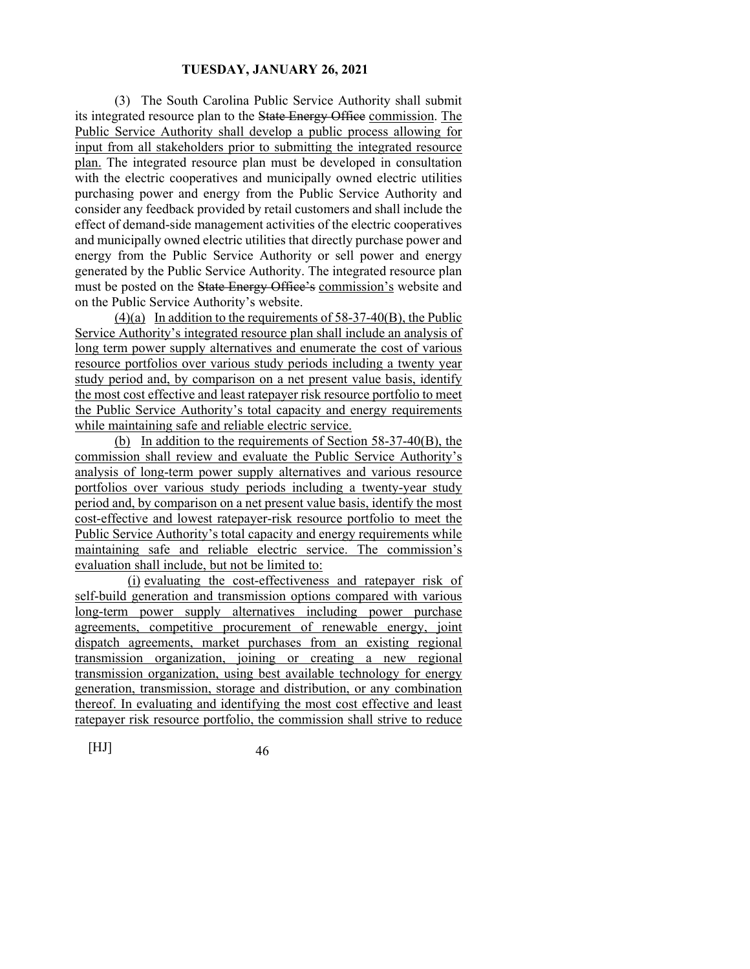(3) The South Carolina Public Service Authority shall submit its integrated resource plan to the State Energy Office commission. The Public Service Authority shall develop a public process allowing for input from all stakeholders prior to submitting the integrated resource plan. The integrated resource plan must be developed in consultation with the electric cooperatives and municipally owned electric utilities purchasing power and energy from the Public Service Authority and consider any feedback provided by retail customers and shall include the effect of demand-side management activities of the electric cooperatives and municipally owned electric utilities that directly purchase power and energy from the Public Service Authority or sell power and energy generated by the Public Service Authority. The integrated resource plan must be posted on the State Energy Office's commission's website and on the Public Service Authority's website.

 $(4)(a)$  In addition to the requirements of 58-37-40 $(B)$ , the Public Service Authority's integrated resource plan shall include an analysis of long term power supply alternatives and enumerate the cost of various resource portfolios over various study periods including a twenty year study period and, by comparison on a net present value basis, identify the most cost effective and least ratepayer risk resource portfolio to meet the Public Service Authority's total capacity and energy requirements while maintaining safe and reliable electric service.

 (b) In addition to the requirements of Section 58-37-40(B), the commission shall review and evaluate the Public Service Authority's analysis of long-term power supply alternatives and various resource portfolios over various study periods including a twenty‐year study period and, by comparison on a net present value basis, identify the most cost-effective and lowest ratepayer-risk resource portfolio to meet the Public Service Authority's total capacity and energy requirements while maintaining safe and reliable electric service. The commission's evaluation shall include, but not be limited to:

 (i) evaluating the cost-effectiveness and ratepayer risk of self-build generation and transmission options compared with various long-term power supply alternatives including power purchase agreements, competitive procurement of renewable energy, joint dispatch agreements, market purchases from an existing regional transmission organization, joining or creating a new regional transmission organization, using best available technology for energy generation, transmission, storage and distribution, or any combination thereof. In evaluating and identifying the most cost effective and least ratepayer risk resource portfolio, the commission shall strive to reduce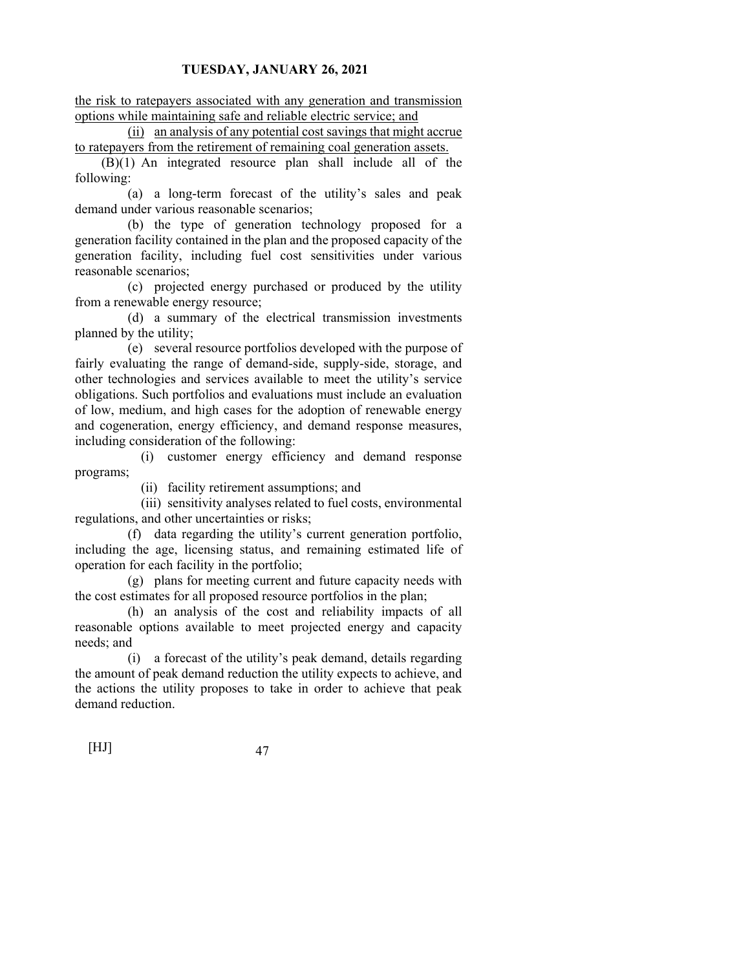the risk to ratepayers associated with any generation and transmission options while maintaining safe and reliable electric service; and

 (ii) an analysis of any potential cost savings that might accrue to ratepayers from the retirement of remaining coal generation assets.

 (B)(1) An integrated resource plan shall include all of the following:

 (a) a long-term forecast of the utility's sales and peak demand under various reasonable scenarios;

 (b) the type of generation technology proposed for a generation facility contained in the plan and the proposed capacity of the generation facility, including fuel cost sensitivities under various reasonable scenarios;

 (c) projected energy purchased or produced by the utility from a renewable energy resource;

 (d) a summary of the electrical transmission investments planned by the utility;

 (e) several resource portfolios developed with the purpose of fairly evaluating the range of demand-side, supply-side, storage, and other technologies and services available to meet the utility's service obligations. Such portfolios and evaluations must include an evaluation of low, medium, and high cases for the adoption of renewable energy and cogeneration, energy efficiency, and demand response measures, including consideration of the following:

 (i) customer energy efficiency and demand response programs;

(ii) facility retirement assumptions; and

 (iii) sensitivity analyses related to fuel costs, environmental regulations, and other uncertainties or risks;

 (f) data regarding the utility's current generation portfolio, including the age, licensing status, and remaining estimated life of operation for each facility in the portfolio;

 (g) plans for meeting current and future capacity needs with the cost estimates for all proposed resource portfolios in the plan;

 (h) an analysis of the cost and reliability impacts of all reasonable options available to meet projected energy and capacity needs; and

 (i) a forecast of the utility's peak demand, details regarding the amount of peak demand reduction the utility expects to achieve, and the actions the utility proposes to take in order to achieve that peak demand reduction.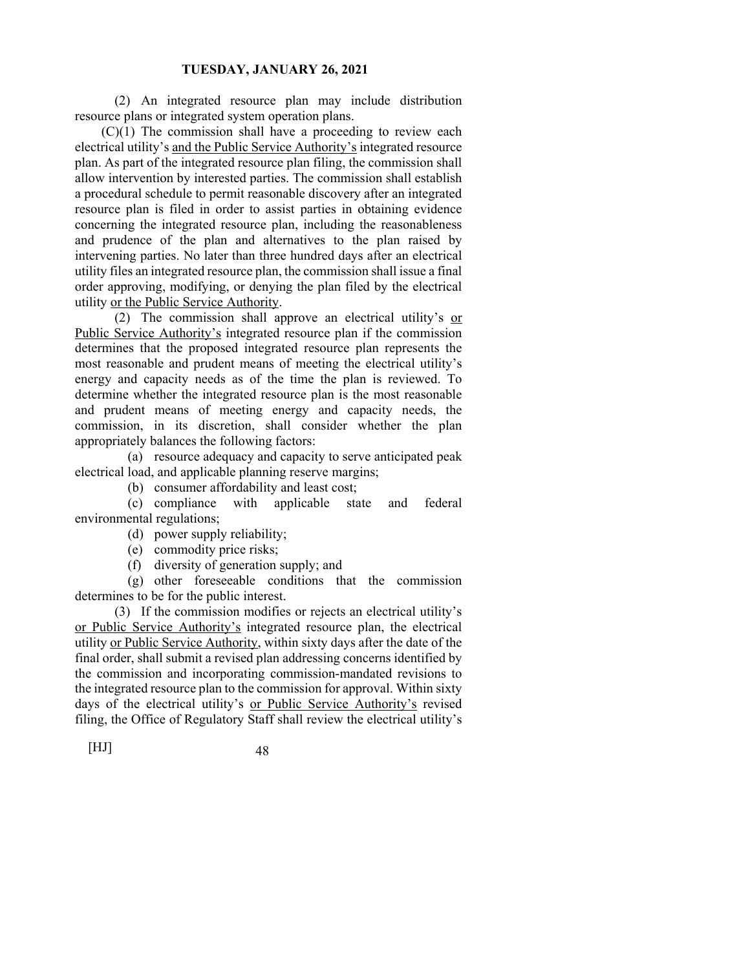(2) An integrated resource plan may include distribution resource plans or integrated system operation plans.

 (C)(1) The commission shall have a proceeding to review each electrical utility's and the Public Service Authority's integrated resource plan. As part of the integrated resource plan filing, the commission shall allow intervention by interested parties. The commission shall establish a procedural schedule to permit reasonable discovery after an integrated resource plan is filed in order to assist parties in obtaining evidence concerning the integrated resource plan, including the reasonableness and prudence of the plan and alternatives to the plan raised by intervening parties. No later than three hundred days after an electrical utility files an integrated resource plan, the commission shall issue a final order approving, modifying, or denying the plan filed by the electrical utility or the Public Service Authority.

 (2) The commission shall approve an electrical utility's or Public Service Authority's integrated resource plan if the commission determines that the proposed integrated resource plan represents the most reasonable and prudent means of meeting the electrical utility's energy and capacity needs as of the time the plan is reviewed. To determine whether the integrated resource plan is the most reasonable and prudent means of meeting energy and capacity needs, the commission, in its discretion, shall consider whether the plan appropriately balances the following factors:

 (a) resource adequacy and capacity to serve anticipated peak electrical load, and applicable planning reserve margins;

(b) consumer affordability and least cost;

 (c) compliance with applicable state and federal environmental regulations;

(d) power supply reliability;

(e) commodity price risks;

(f) diversity of generation supply; and

 (g) other foreseeable conditions that the commission determines to be for the public interest.

 (3) If the commission modifies or rejects an electrical utility's or Public Service Authority's integrated resource plan, the electrical utility or Public Service Authority, within sixty days after the date of the final order, shall submit a revised plan addressing concerns identified by the commission and incorporating commission-mandated revisions to the integrated resource plan to the commission for approval. Within sixty days of the electrical utility's or Public Service Authority's revised filing, the Office of Regulatory Staff shall review the electrical utility's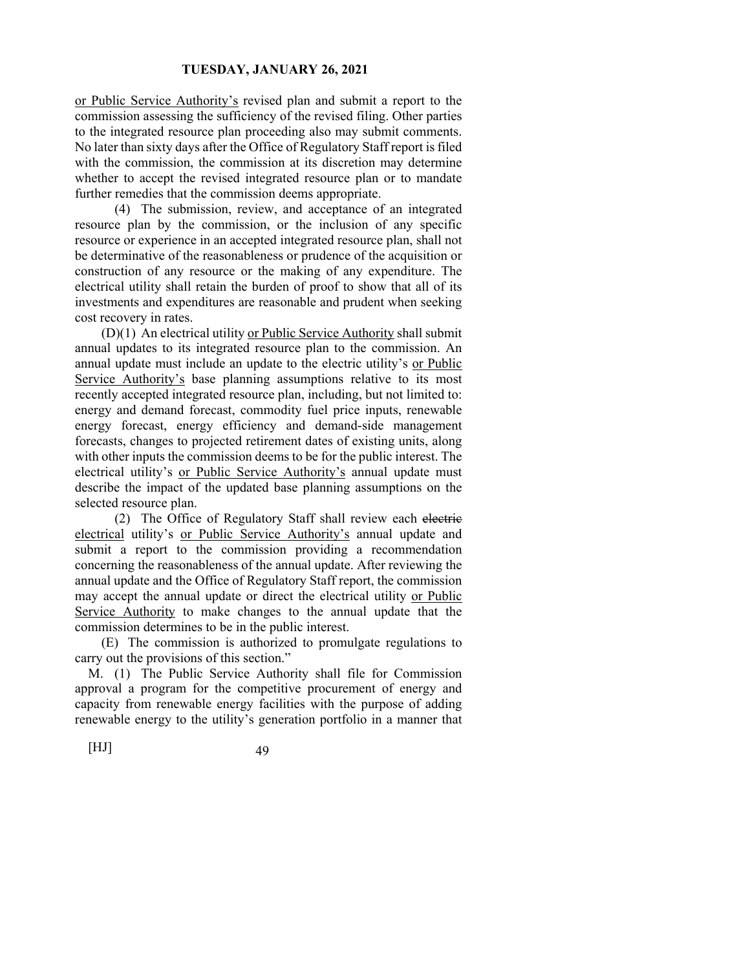or Public Service Authority's revised plan and submit a report to the commission assessing the sufficiency of the revised filing. Other parties to the integrated resource plan proceeding also may submit comments. No later than sixty days after the Office of Regulatory Staff report is filed with the commission, the commission at its discretion may determine whether to accept the revised integrated resource plan or to mandate further remedies that the commission deems appropriate.

 (4) The submission, review, and acceptance of an integrated resource plan by the commission, or the inclusion of any specific resource or experience in an accepted integrated resource plan, shall not be determinative of the reasonableness or prudence of the acquisition or construction of any resource or the making of any expenditure. The electrical utility shall retain the burden of proof to show that all of its investments and expenditures are reasonable and prudent when seeking cost recovery in rates.

 (D)(1) An electrical utility or Public Service Authority shall submit annual updates to its integrated resource plan to the commission. An annual update must include an update to the electric utility's or Public Service Authority's base planning assumptions relative to its most recently accepted integrated resource plan, including, but not limited to: energy and demand forecast, commodity fuel price inputs, renewable energy forecast, energy efficiency and demand-side management forecasts, changes to projected retirement dates of existing units, along with other inputs the commission deems to be for the public interest. The electrical utility's or Public Service Authority's annual update must describe the impact of the updated base planning assumptions on the selected resource plan.

(2) The Office of Regulatory Staff shall review each electric electrical utility's or Public Service Authority's annual update and submit a report to the commission providing a recommendation concerning the reasonableness of the annual update. After reviewing the annual update and the Office of Regulatory Staff report, the commission may accept the annual update or direct the electrical utility or Public Service Authority to make changes to the annual update that the commission determines to be in the public interest.

 (E) The commission is authorized to promulgate regulations to carry out the provisions of this section."

M. (1) The Public Service Authority shall file for Commission approval a program for the competitive procurement of energy and capacity from renewable energy facilities with the purpose of adding renewable energy to the utility's generation portfolio in a manner that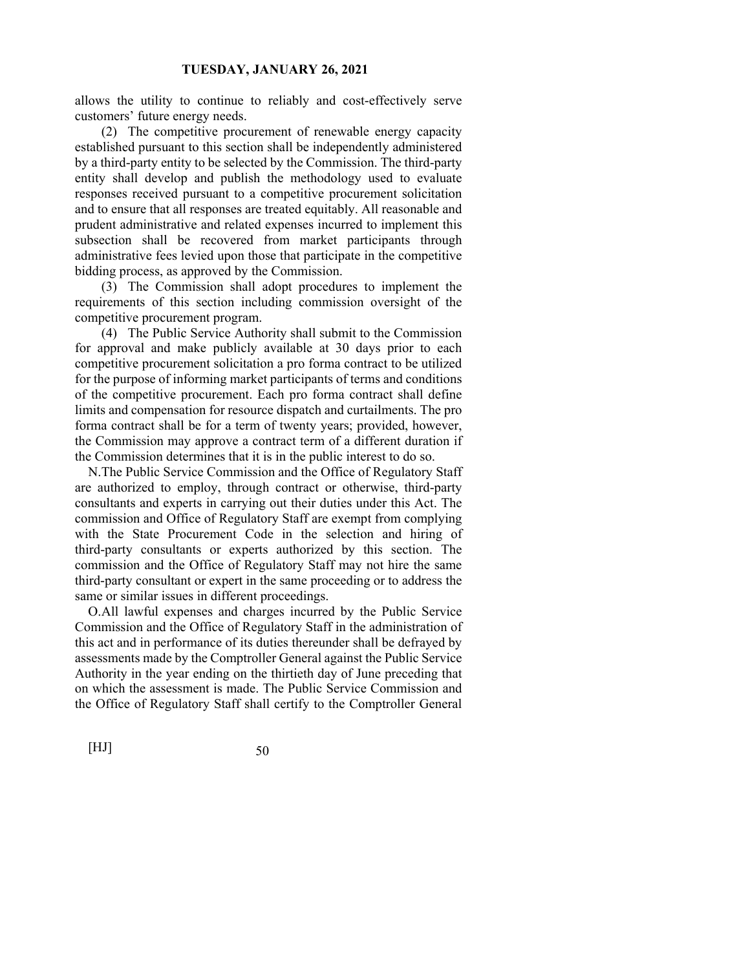allows the utility to continue to reliably and cost-effectively serve customers' future energy needs.

 (2) The competitive procurement of renewable energy capacity established pursuant to this section shall be independently administered by a third-party entity to be selected by the Commission. The third-party entity shall develop and publish the methodology used to evaluate responses received pursuant to a competitive procurement solicitation and to ensure that all responses are treated equitably. All reasonable and prudent administrative and related expenses incurred to implement this subsection shall be recovered from market participants through administrative fees levied upon those that participate in the competitive bidding process, as approved by the Commission.

 (3) The Commission shall adopt procedures to implement the requirements of this section including commission oversight of the competitive procurement program.

 (4) The Public Service Authority shall submit to the Commission for approval and make publicly available at 30 days prior to each competitive procurement solicitation a pro forma contract to be utilized for the purpose of informing market participants of terms and conditions of the competitive procurement. Each pro forma contract shall define limits and compensation for resource dispatch and curtailments. The pro forma contract shall be for a term of twenty years; provided, however, the Commission may approve a contract term of a different duration if the Commission determines that it is in the public interest to do so.

N. The Public Service Commission and the Office of Regulatory Staff are authorized to employ, through contract or otherwise, third-party consultants and experts in carrying out their duties under this Act. The commission and Office of Regulatory Staff are exempt from complying with the State Procurement Code in the selection and hiring of third-party consultants or experts authorized by this section. The commission and the Office of Regulatory Staff may not hire the same third-party consultant or expert in the same proceeding or to address the same or similar issues in different proceedings.

O. All lawful expenses and charges incurred by the Public Service Commission and the Office of Regulatory Staff in the administration of this act and in performance of its duties thereunder shall be defrayed by assessments made by the Comptroller General against the Public Service Authority in the year ending on the thirtieth day of June preceding that on which the assessment is made. The Public Service Commission and the Office of Regulatory Staff shall certify to the Comptroller General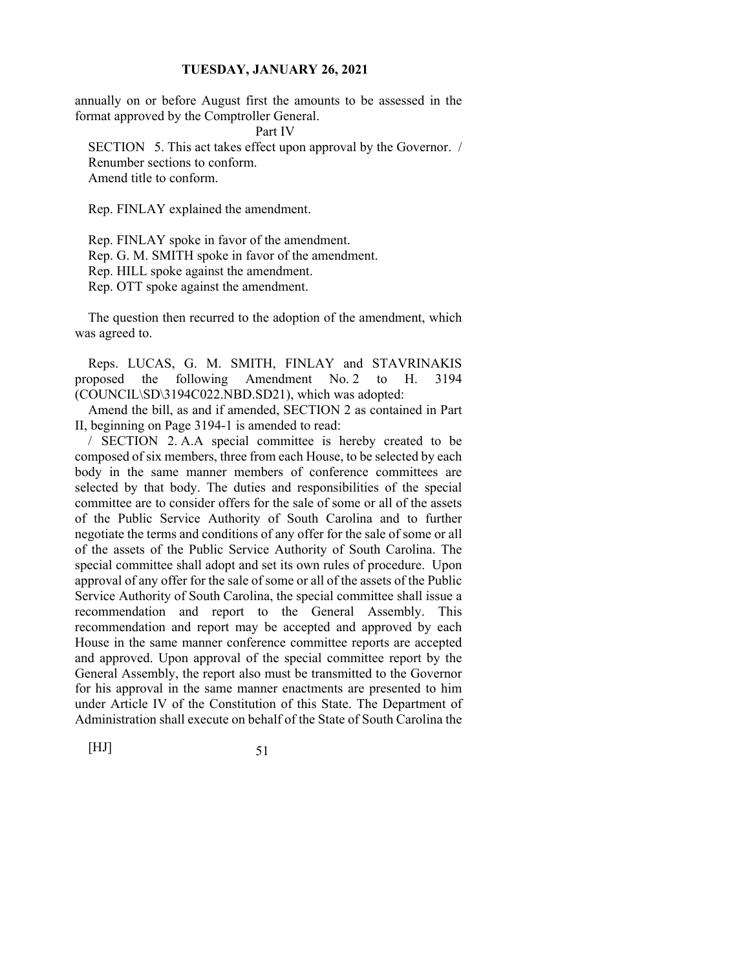annually on or before August first the amounts to be assessed in the format approved by the Comptroller General.

Part IV

SECTION 5. This act takes effect upon approval by the Governor. / Renumber sections to conform. Amend title to conform.

Rep. FINLAY explained the amendment.

Rep. FINLAY spoke in favor of the amendment. Rep. G. M. SMITH spoke in favor of the amendment. Rep. HILL spoke against the amendment. Rep. OTT spoke against the amendment.

The question then recurred to the adoption of the amendment, which was agreed to.

Reps. LUCAS, G. M. SMITH, FINLAY and STAVRINAKIS proposed the following Amendment No. 2 to H. 3194 (COUNCIL\SD\3194C022.NBD.SD21), which was adopted:

Amend the bill, as and if amended, SECTION 2 as contained in Part II, beginning on Page 3194-1 is amended to read:

/ SECTION 2. A. A special committee is hereby created to be composed of six members, three from each House, to be selected by each body in the same manner members of conference committees are selected by that body. The duties and responsibilities of the special committee are to consider offers for the sale of some or all of the assets of the Public Service Authority of South Carolina and to further negotiate the terms and conditions of any offer for the sale of some or all of the assets of the Public Service Authority of South Carolina. The special committee shall adopt and set its own rules of procedure. Upon approval of any offer for the sale of some or all of the assets of the Public Service Authority of South Carolina, the special committee shall issue a recommendation and report to the General Assembly. This recommendation and report may be accepted and approved by each House in the same manner conference committee reports are accepted and approved. Upon approval of the special committee report by the General Assembly, the report also must be transmitted to the Governor for his approval in the same manner enactments are presented to him under Article IV of the Constitution of this State. The Department of Administration shall execute on behalf of the State of South Carolina the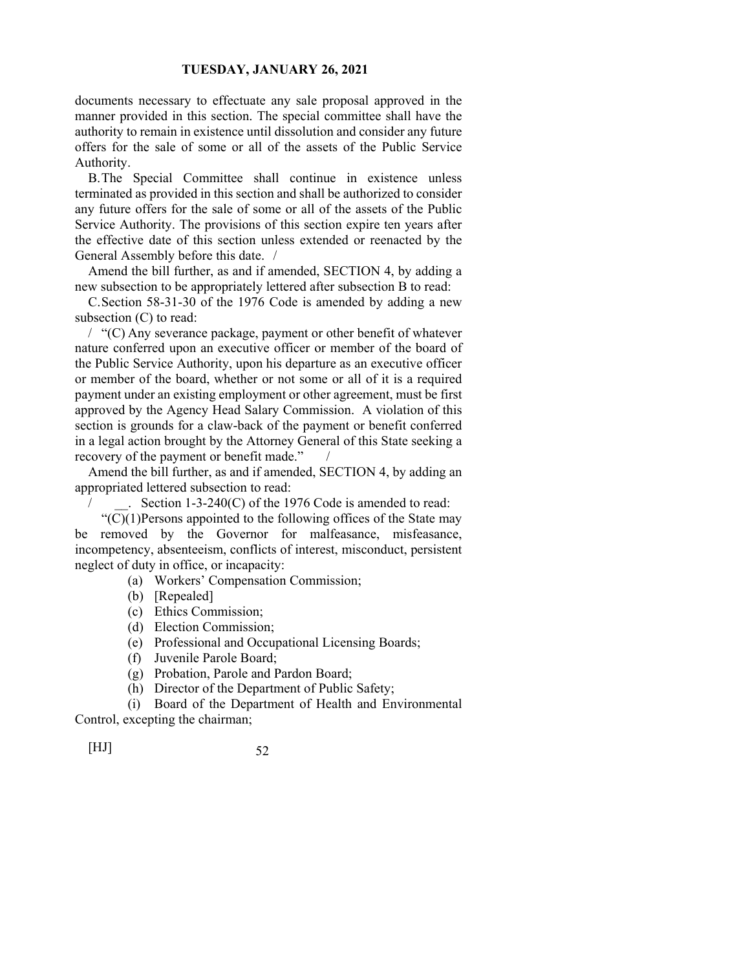documents necessary to effectuate any sale proposal approved in the manner provided in this section. The special committee shall have the authority to remain in existence until dissolution and consider any future offers for the sale of some or all of the assets of the Public Service Authority.

B. The Special Committee shall continue in existence unless terminated as provided in this section and shall be authorized to consider any future offers for the sale of some or all of the assets of the Public Service Authority. The provisions of this section expire ten years after the effective date of this section unless extended or reenacted by the General Assembly before this date. /

Amend the bill further, as and if amended, SECTION 4, by adding a new subsection to be appropriately lettered after subsection B to read:

C. Section 58-31-30 of the 1976 Code is amended by adding a new subsection (C) to read:

/ "(C) Any severance package, payment or other benefit of whatever nature conferred upon an executive officer or member of the board of the Public Service Authority, upon his departure as an executive officer or member of the board, whether or not some or all of it is a required payment under an existing employment or other agreement, must be first approved by the Agency Head Salary Commission. A violation of this section is grounds for a claw-back of the payment or benefit conferred in a legal action brought by the Attorney General of this State seeking a recovery of the payment or benefit made."

Amend the bill further, as and if amended, SECTION 4, by adding an appropriated lettered subsection to read:

. Section  $1-3-240(C)$  of the 1976 Code is amended to read:

" $(\overline{C})(1)$ Persons appointed to the following offices of the State may be removed by the Governor for malfeasance, misfeasance, incompetency, absenteeism, conflicts of interest, misconduct, persistent neglect of duty in office, or incapacity:

(a) Workers' Compensation Commission;

- (b) [Repealed]
- (c) Ethics Commission;
- (d) Election Commission;
- (e) Professional and Occupational Licensing Boards;
- (f) Juvenile Parole Board;
- (g) Probation, Parole and Pardon Board;
- (h) Director of the Department of Public Safety;

(i) Board of the Department of Health and Environmental

Control, excepting the chairman;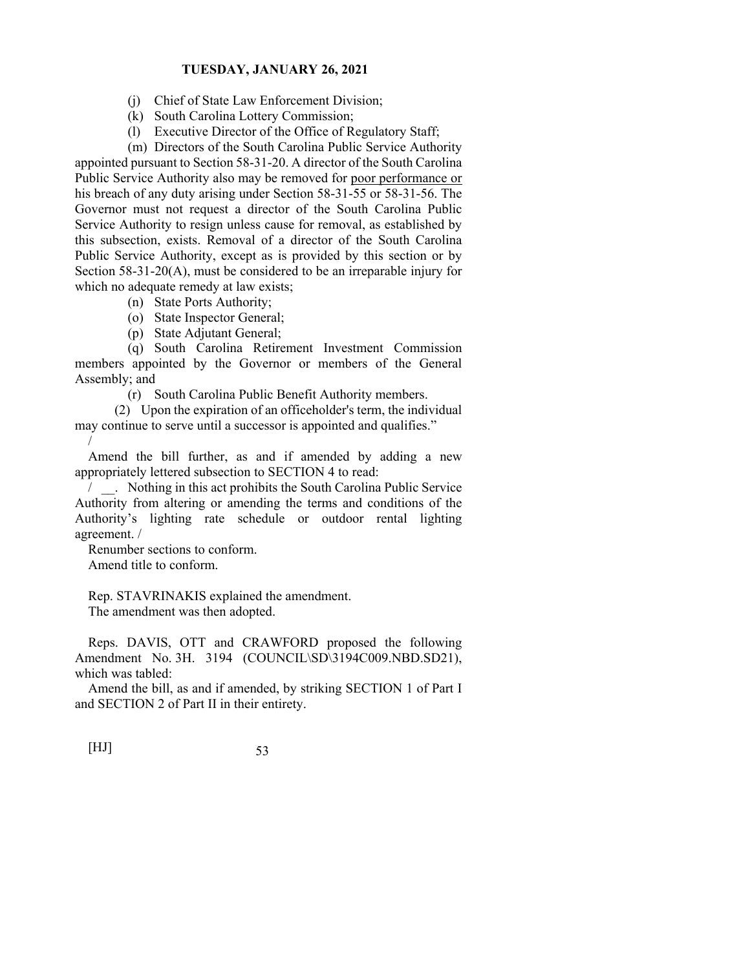- (j) Chief of State Law Enforcement Division;
- (k) South Carolina Lottery Commission;
- (l) Executive Director of the Office of Regulatory Staff;

 (m) Directors of the South Carolina Public Service Authority appointed pursuant to Section 58-31-20. A director of the South Carolina Public Service Authority also may be removed for poor performance or his breach of any duty arising under Section 58-31-55 or 58-31-56. The Governor must not request a director of the South Carolina Public Service Authority to resign unless cause for removal, as established by this subsection, exists. Removal of a director of the South Carolina Public Service Authority, except as is provided by this section or by Section 58-31-20(A), must be considered to be an irreparable injury for which no adequate remedy at law exists;

- (n) State Ports Authority;
- (o) State Inspector General;
- (p) State Adjutant General;

 (q) South Carolina Retirement Investment Commission members appointed by the Governor or members of the General Assembly; and

(r) South Carolina Public Benefit Authority members.

 (2) Upon the expiration of an officeholder's term, the individual may continue to serve until a successor is appointed and qualifies." /

Amend the bill further, as and if amended by adding a new appropriately lettered subsection to SECTION 4 to read:

/ \_\_. Nothing in this act prohibits the South Carolina Public Service Authority from altering or amending the terms and conditions of the Authority's lighting rate schedule or outdoor rental lighting agreement. /

Renumber sections to conform. Amend title to conform.

Rep. STAVRINAKIS explained the amendment. The amendment was then adopted.

Reps. DAVIS, OTT and CRAWFORD proposed the following Amendment No. 3H. 3194 (COUNCIL\SD\3194C009.NBD.SD21), which was tabled:

Amend the bill, as and if amended, by striking SECTION 1 of Part I and SECTION 2 of Part II in their entirety.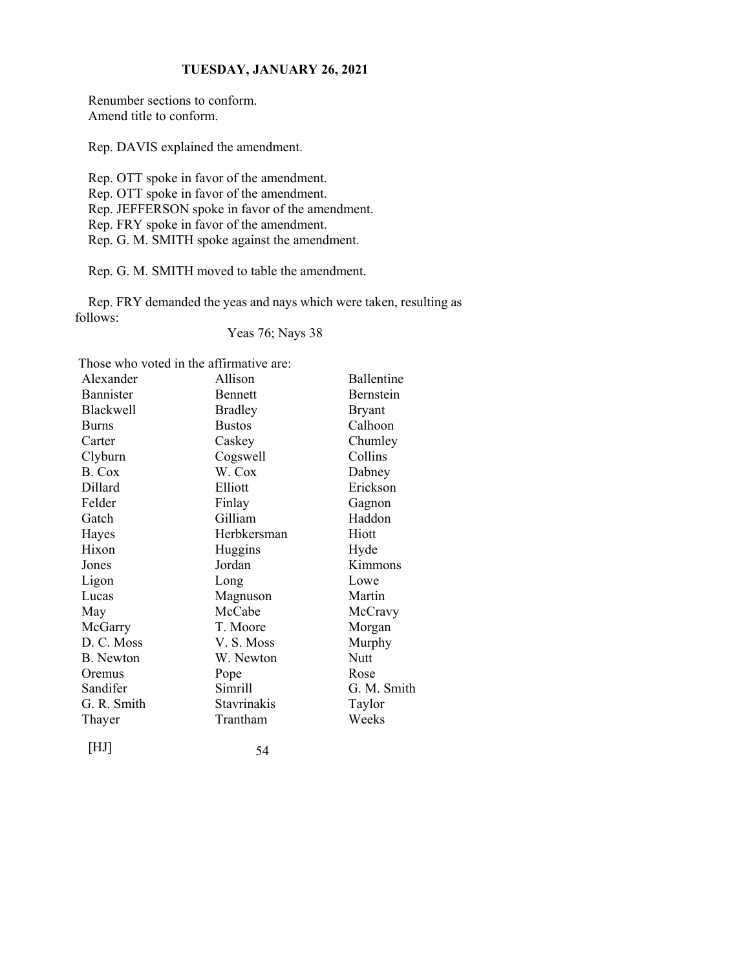Renumber sections to conform. Amend title to conform.

Rep. DAVIS explained the amendment.

Rep. OTT spoke in favor of the amendment. Rep. OTT spoke in favor of the amendment. Rep. JEFFERSON spoke in favor of the amendment. Rep. FRY spoke in favor of the amendment. Rep. G. M. SMITH spoke against the amendment.

Rep. G. M. SMITH moved to table the amendment.

Rep. FRY demanded the yeas and nays which were taken, resulting as follows:

Yeas 76; Nays 38

Those who voted in the affirmative are:

| Alexander        | Allison        | Ballentine  |
|------------------|----------------|-------------|
| <b>Bannister</b> | <b>Bennett</b> | Bernstein   |
| Blackwell        | <b>Bradley</b> | Bryant      |
| <b>Burns</b>     | <b>Bustos</b>  | Calhoon     |
| Carter           | Caskey         | Chumley     |
| Clyburn          | Cogswell       | Collins     |
| B. Cox           | W. Cox         | Dabney      |
| Dillard          | Elliott        | Erickson    |
| Felder           | Finlay         | Gagnon      |
| Gatch            | Gilliam        | Haddon      |
| Hayes            | Herbkersman    | Hiott       |
| Hixon            | Huggins        | Hyde        |
| Jones            | Jordan         | Kimmons     |
| Ligon            | Long           | Lowe        |
| Lucas            | Magnuson       | Martin      |
| May              | McCabe         | McCravy     |
| McGarry          | T. Moore       | Morgan      |
| D. C. Moss       | V. S. Moss     | Murphy      |
| <b>B.</b> Newton | W. Newton      | Nutt        |
| Oremus           | Pope           | Rose        |
| Sandifer         | Simrill        | G. M. Smith |
| G. R. Smith      | Stavrinakis    | Taylor      |
| Thayer           | Trantham       | Weeks       |
|                  |                |             |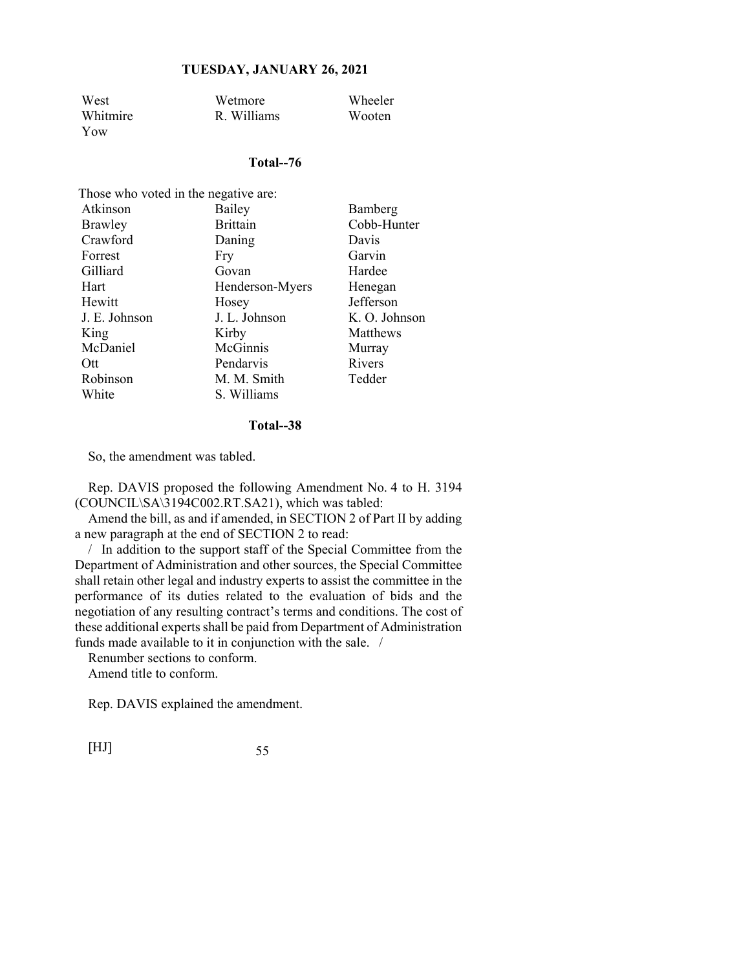| West     | Wetmore     | <b>Wheeler</b> |
|----------|-------------|----------------|
| Whitmire | R. Williams | Wooten         |
| Yow      |             |                |

#### **Total--76**

| Those who voted in the negative are: |                 |               |
|--------------------------------------|-----------------|---------------|
| Atkinson                             | Bailey          | Bamberg       |
| Brawley                              | <b>Brittain</b> | Cobb-Hunter   |
| Crawford                             | Daning          | Davis         |
| Forrest                              | Fry             | Garvin        |
| Gilliard                             | Govan           | Hardee        |
| Hart                                 | Henderson-Myers | Henegan       |
| Hewitt                               | Hosey           | Jefferson     |
| J. E. Johnson                        | J. L. Johnson   | K. O. Johnson |
| King                                 | Kirby           | Matthews      |
| McDaniel                             | McGinnis        | Murray        |
| Ott.                                 | Pendarvis       | Rivers        |
| Robinson                             | M. M. Smith     | Tedder        |
| White                                | S. Williams     |               |

#### **Total--38**

So, the amendment was tabled.

Rep. DAVIS proposed the following Amendment No. 4 to H. 3194 (COUNCIL\SA\3194C002.RT.SA21), which was tabled:

Amend the bill, as and if amended, in SECTION 2 of Part II by adding a new paragraph at the end of SECTION 2 to read:

/ In addition to the support staff of the Special Committee from the Department of Administration and other sources, the Special Committee shall retain other legal and industry experts to assist the committee in the performance of its duties related to the evaluation of bids and the negotiation of any resulting contract's terms and conditions. The cost of these additional experts shall be paid from Department of Administration funds made available to it in conjunction with the sale. /

Renumber sections to conform. Amend title to conform.

Rep. DAVIS explained the amendment.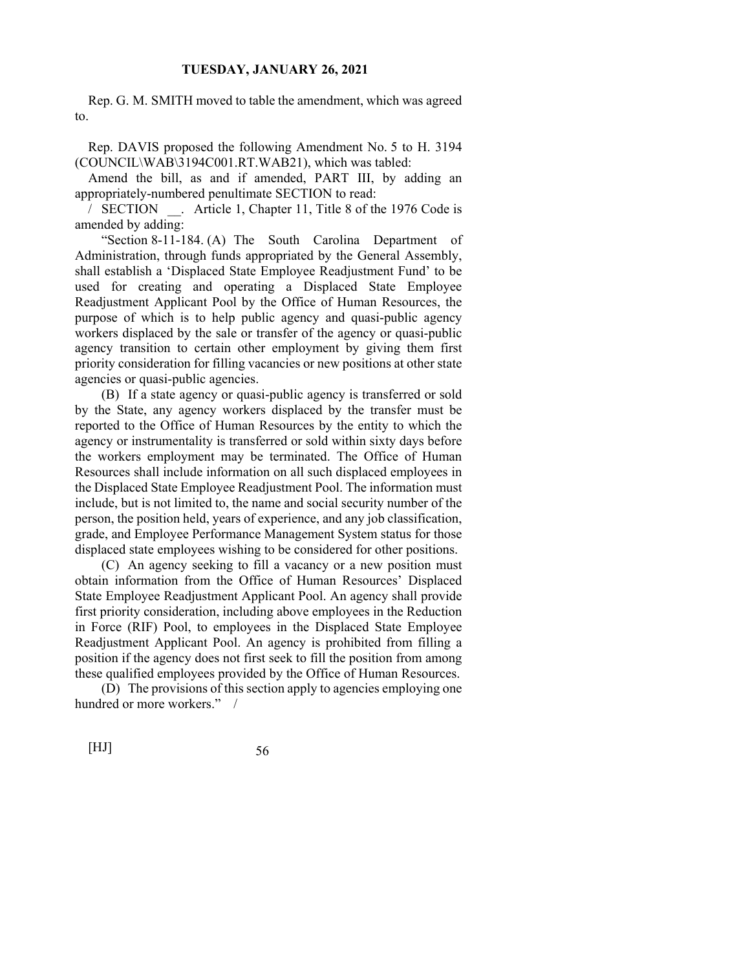Rep. G. M. SMITH moved to table the amendment, which was agreed to.

Rep. DAVIS proposed the following Amendment No. 5 to H. 3194 (COUNCIL\WAB\3194C001.RT.WAB21), which was tabled:

Amend the bill, as and if amended, PART III, by adding an appropriately-numbered penultimate SECTION to read:

/ SECTION \_\_. Article 1, Chapter 11, Title 8 of the 1976 Code is amended by adding:

 "Section 8-11-184. (A) The South Carolina Department of Administration, through funds appropriated by the General Assembly, shall establish a 'Displaced State Employee Readjustment Fund' to be used for creating and operating a Displaced State Employee Readjustment Applicant Pool by the Office of Human Resources, the purpose of which is to help public agency and quasi-public agency workers displaced by the sale or transfer of the agency or quasi-public agency transition to certain other employment by giving them first priority consideration for filling vacancies or new positions at other state agencies or quasi-public agencies.

 (B) If a state agency or quasi-public agency is transferred or sold by the State, any agency workers displaced by the transfer must be reported to the Office of Human Resources by the entity to which the agency or instrumentality is transferred or sold within sixty days before the workers employment may be terminated. The Office of Human Resources shall include information on all such displaced employees in the Displaced State Employee Readjustment Pool. The information must include, but is not limited to, the name and social security number of the person, the position held, years of experience, and any job classification, grade, and Employee Performance Management System status for those displaced state employees wishing to be considered for other positions.

 (C) An agency seeking to fill a vacancy or a new position must obtain information from the Office of Human Resources' Displaced State Employee Readjustment Applicant Pool. An agency shall provide first priority consideration, including above employees in the Reduction in Force (RIF) Pool, to employees in the Displaced State Employee Readjustment Applicant Pool. An agency is prohibited from filling a position if the agency does not first seek to fill the position from among these qualified employees provided by the Office of Human Resources.

 (D) The provisions of this section apply to agencies employing one hundred or more workers." /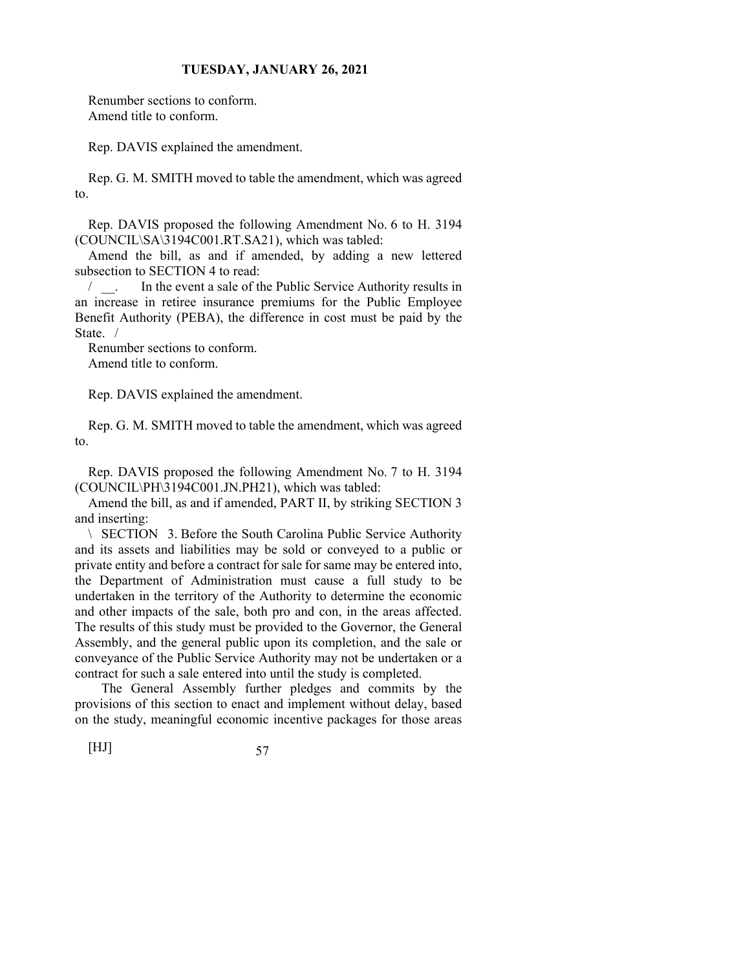Renumber sections to conform. Amend title to conform.

Rep. DAVIS explained the amendment.

Rep. G. M. SMITH moved to table the amendment, which was agreed to.

Rep. DAVIS proposed the following Amendment No. 6 to H. 3194 (COUNCIL\SA\3194C001.RT.SA21), which was tabled:

Amend the bill, as and if amended, by adding a new lettered subsection to SECTION 4 to read:

/ \_\_. In the event a sale of the Public Service Authority results in an increase in retiree insurance premiums for the Public Employee Benefit Authority (PEBA), the difference in cost must be paid by the State. /

Renumber sections to conform. Amend title to conform.

Rep. DAVIS explained the amendment.

Rep. G. M. SMITH moved to table the amendment, which was agreed to.

Rep. DAVIS proposed the following Amendment No. 7 to H. 3194 (COUNCIL\PH\3194C001.JN.PH21), which was tabled:

Amend the bill, as and if amended, PART II, by striking SECTION 3 and inserting:

\ SECTION 3. Before the South Carolina Public Service Authority and its assets and liabilities may be sold or conveyed to a public or private entity and before a contract for sale for same may be entered into, the Department of Administration must cause a full study to be undertaken in the territory of the Authority to determine the economic and other impacts of the sale, both pro and con, in the areas affected. The results of this study must be provided to the Governor, the General Assembly, and the general public upon its completion, and the sale or conveyance of the Public Service Authority may not be undertaken or a contract for such a sale entered into until the study is completed.

 The General Assembly further pledges and commits by the provisions of this section to enact and implement without delay, based on the study, meaningful economic incentive packages for those areas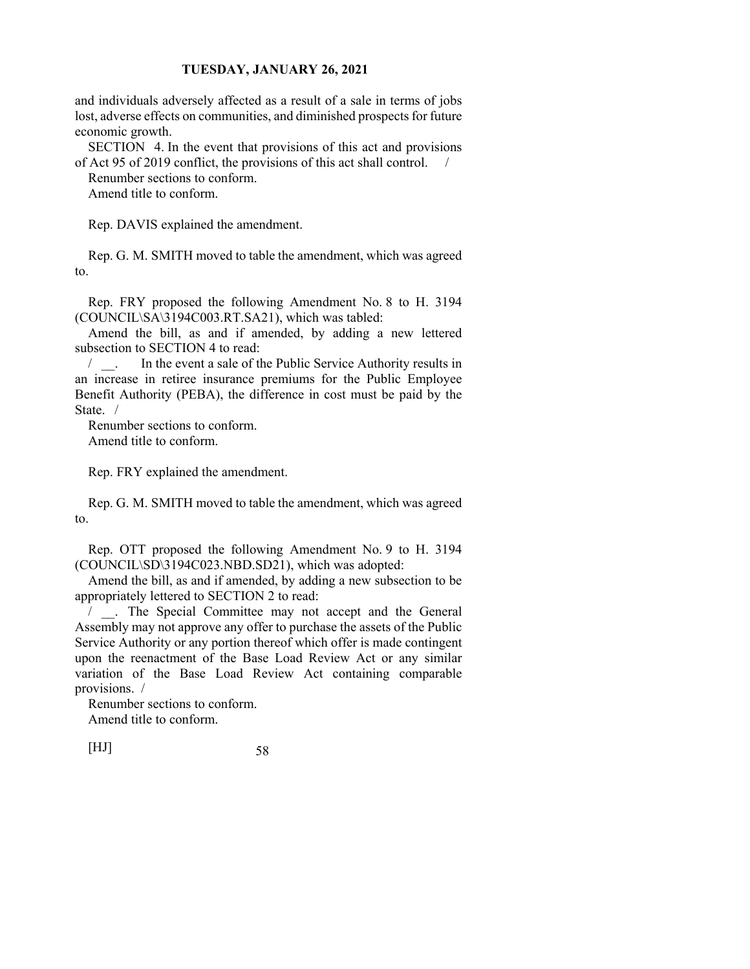and individuals adversely affected as a result of a sale in terms of jobs lost, adverse effects on communities, and diminished prospects for future economic growth.

SECTION 4. In the event that provisions of this act and provisions of Act 95 of 2019 conflict, the provisions of this act shall control. /

Renumber sections to conform.

Amend title to conform.

Rep. DAVIS explained the amendment.

Rep. G. M. SMITH moved to table the amendment, which was agreed to.

Rep. FRY proposed the following Amendment No. 8 to H. 3194 (COUNCIL\SA\3194C003.RT.SA21), which was tabled:

Amend the bill, as and if amended, by adding a new lettered subsection to SECTION 4 to read:

/  $\blacksquare$  In the event a sale of the Public Service Authority results in an increase in retiree insurance premiums for the Public Employee Benefit Authority (PEBA), the difference in cost must be paid by the State. /

Renumber sections to conform. Amend title to conform.

Rep. FRY explained the amendment.

Rep. G. M. SMITH moved to table the amendment, which was agreed to.

Rep. OTT proposed the following Amendment No. 9 to H. 3194 (COUNCIL\SD\3194C023.NBD.SD21), which was adopted:

Amend the bill, as and if amended, by adding a new subsection to be appropriately lettered to SECTION 2 to read:

/ \_\_. The Special Committee may not accept and the General Assembly may not approve any offer to purchase the assets of the Public Service Authority or any portion thereof which offer is made contingent upon the reenactment of the Base Load Review Act or any similar variation of the Base Load Review Act containing comparable provisions. /

Renumber sections to conform. Amend title to conform.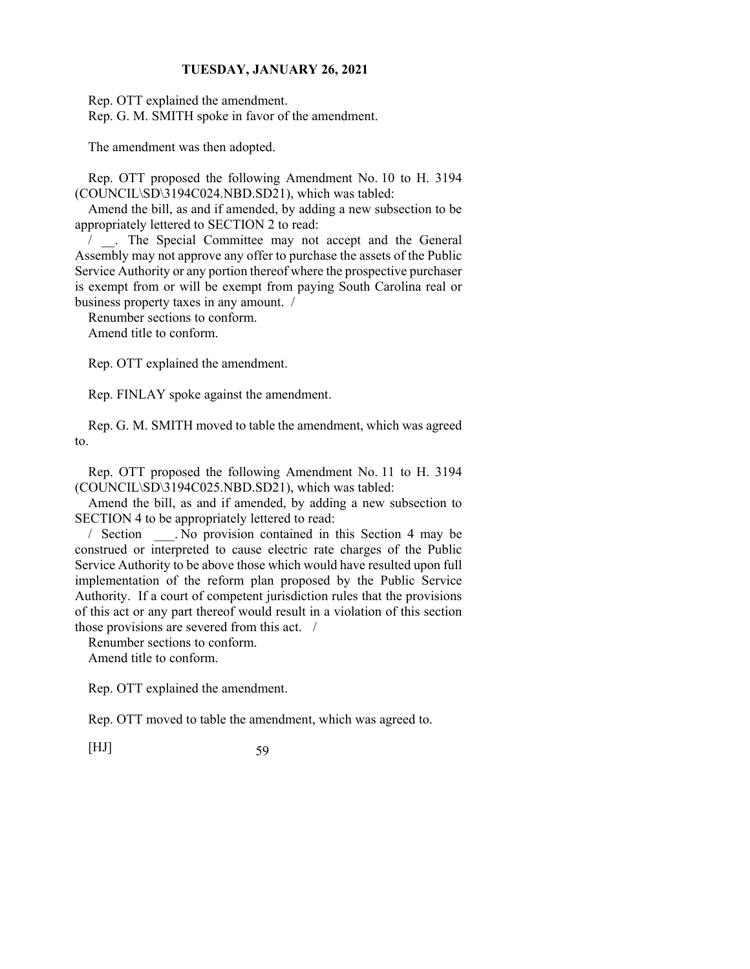Rep. OTT explained the amendment.

Rep. G. M. SMITH spoke in favor of the amendment.

The amendment was then adopted.

Rep. OTT proposed the following Amendment No. 10 to H. 3194 (COUNCIL\SD\3194C024.NBD.SD21), which was tabled:

Amend the bill, as and if amended, by adding a new subsection to be appropriately lettered to SECTION 2 to read:

/ \_\_. The Special Committee may not accept and the General Assembly may not approve any offer to purchase the assets of the Public Service Authority or any portion thereof where the prospective purchaser is exempt from or will be exempt from paying South Carolina real or business property taxes in any amount. /

Renumber sections to conform.

Amend title to conform.

Rep. OTT explained the amendment.

Rep. FINLAY spoke against the amendment.

Rep. G. M. SMITH moved to table the amendment, which was agreed to.

Rep. OTT proposed the following Amendment No. 11 to H. 3194 (COUNCIL\SD\3194C025.NBD.SD21), which was tabled:

Amend the bill, as and if amended, by adding a new subsection to SECTION 4 to be appropriately lettered to read:

/ Section \_\_\_. No provision contained in this Section 4 may be construed or interpreted to cause electric rate charges of the Public Service Authority to be above those which would have resulted upon full implementation of the reform plan proposed by the Public Service Authority. If a court of competent jurisdiction rules that the provisions of this act or any part thereof would result in a violation of this section those provisions are severed from this act. /

Renumber sections to conform. Amend title to conform.

Rep. OTT explained the amendment.

Rep. OTT moved to table the amendment, which was agreed to.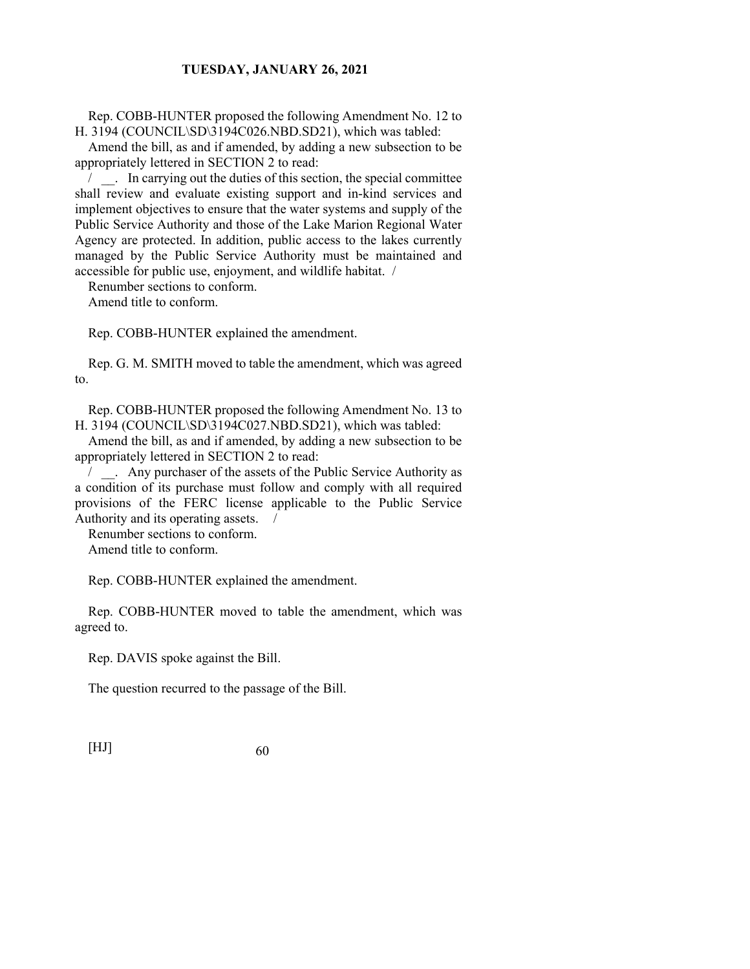Rep. COBB-HUNTER proposed the following Amendment No. 12 to H. 3194 (COUNCIL\SD\3194C026.NBD.SD21), which was tabled:

Amend the bill, as and if amended, by adding a new subsection to be appropriately lettered in SECTION 2 to read:

/ \_\_. In carrying out the duties of this section, the special committee shall review and evaluate existing support and in-kind services and implement objectives to ensure that the water systems and supply of the Public Service Authority and those of the Lake Marion Regional Water Agency are protected. In addition, public access to the lakes currently managed by the Public Service Authority must be maintained and accessible for public use, enjoyment, and wildlife habitat. /

Renumber sections to conform.

Amend title to conform.

Rep. COBB-HUNTER explained the amendment.

Rep. G. M. SMITH moved to table the amendment, which was agreed to.

Rep. COBB-HUNTER proposed the following Amendment No. 13 to H. 3194 (COUNCIL\SD\3194C027.NBD.SD21), which was tabled:

Amend the bill, as and if amended, by adding a new subsection to be appropriately lettered in SECTION 2 to read:

/ \_\_. Any purchaser of the assets of the Public Service Authority as a condition of its purchase must follow and comply with all required provisions of the FERC license applicable to the Public Service Authority and its operating assets. /

Renumber sections to conform. Amend title to conform.

Rep. COBB-HUNTER explained the amendment.

Rep. COBB-HUNTER moved to table the amendment, which was agreed to.

Rep. DAVIS spoke against the Bill.

The question recurred to the passage of the Bill.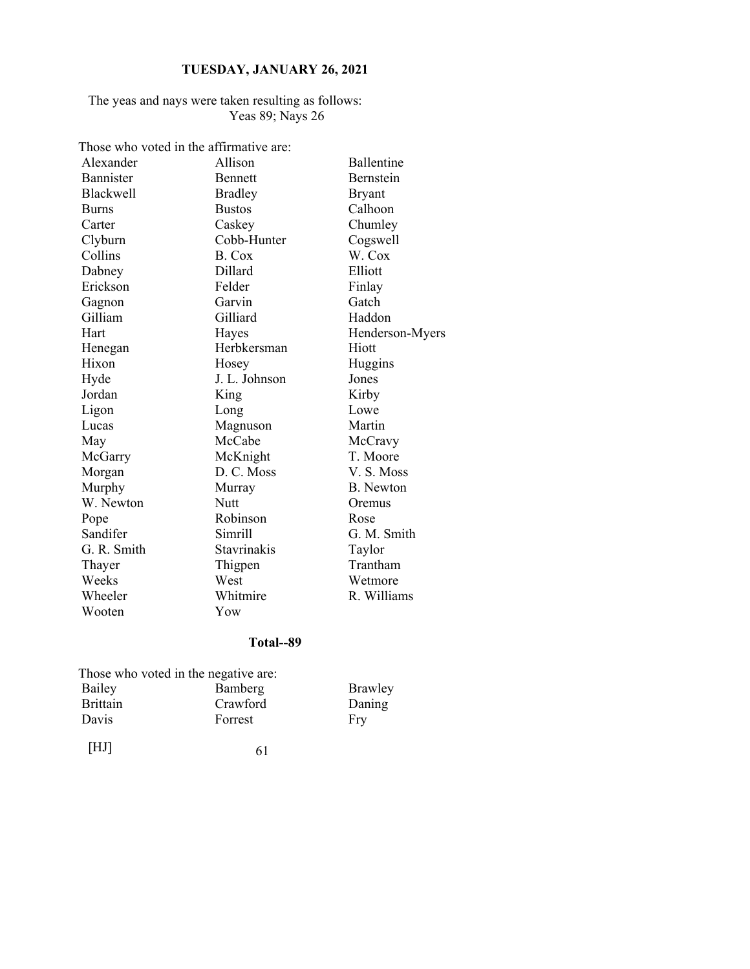The yeas and nays were taken resulting as follows: Yeas 89; Nays 26

Those who voted in the affirmative are:

| Alexander        | Allison            | Ballentine       |
|------------------|--------------------|------------------|
| Bannister        | <b>Bennett</b>     | Bernstein        |
| <b>Blackwell</b> | <b>Bradley</b>     | <b>Bryant</b>    |
| <b>Burns</b>     | <b>Bustos</b>      | Calhoon          |
| Carter           | Caskey             | Chumley          |
| Clyburn          | Cobb-Hunter        | Cogswell         |
| Collins          | B. Cox             | W. Cox           |
| Dabney           | Dillard            | Elliott          |
| Erickson         | Felder             | Finlay           |
| Gagnon           | Garvin             | Gatch            |
| Gilliam          | Gilliard           | Haddon           |
| Hart             | Hayes              | Henderson-Myers  |
| Henegan          | Herbkersman        | Hiott            |
| Hixon            | Hosey              | Huggins          |
| Hyde             | J. L. Johnson      | Jones            |
| Jordan           | King               | Kirby            |
| Ligon            | Long               | Lowe             |
| Lucas            | Magnuson           | Martin           |
| May              | McCabe             | McCravy          |
| McGarry          | McKnight           | T. Moore         |
| Morgan           | D. C. Moss         | V.S. Moss        |
| Murphy           | Murray             | <b>B.</b> Newton |
| W. Newton        | <b>Nutt</b>        | Oremus           |
| Pope             | Robinson           | Rose             |
| Sandifer         | Simrill            | G. M. Smith      |
| G. R. Smith      | <b>Stavrinakis</b> | Taylor           |
| Thayer           | Thigpen            | Trantham         |
| Weeks            | West               | Wetmore          |
| Wheeler          | Whitmire           | R. Williams      |
| Wooten           | Yow                |                  |

# **Total--89**

|                 | Those who voted in the negative are: |         |
|-----------------|--------------------------------------|---------|
| Bailey          | Bamberg                              | Brawley |
| <b>Brittain</b> | Crawford                             | Daning  |
| Davis           | Forrest                              | Fry     |
|                 |                                      |         |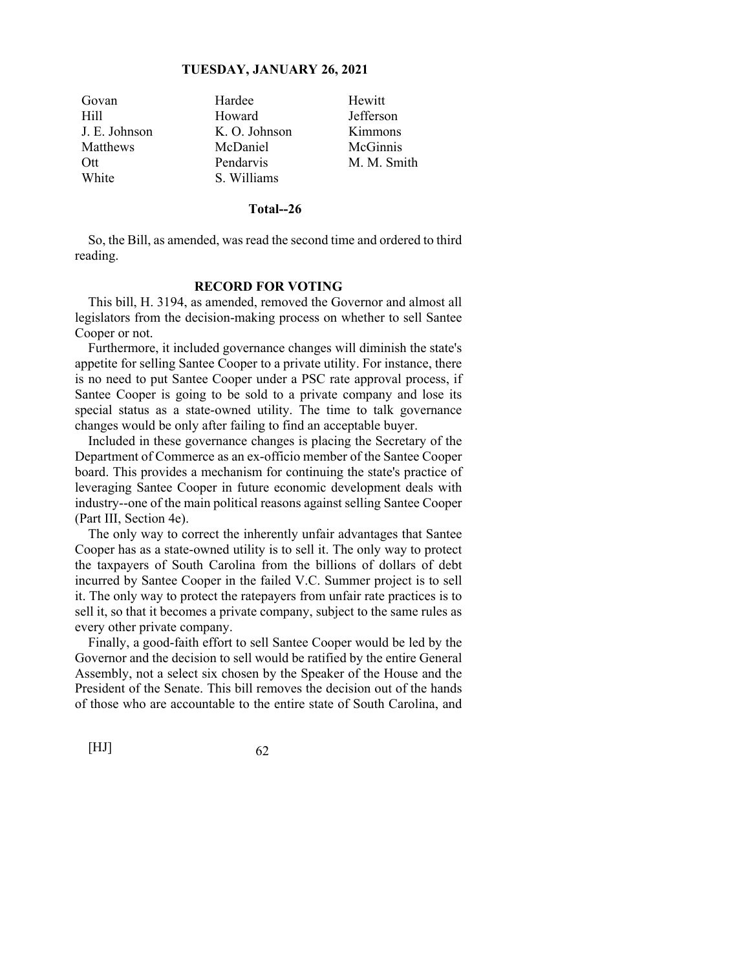| Govan             | Hardee        | Hewitt      |
|-------------------|---------------|-------------|
| H <sub>i</sub> ll | Howard        | Jefferson   |
| J. E. Johnson     | K. O. Johnson | Kimmons     |
| <b>Matthews</b>   | McDaniel      | McGinnis    |
| Ott               | Pendarvis     | M. M. Smith |
| White             | S. Williams   |             |

#### **Total--26**

So, the Bill, as amended, was read the second time and ordered to third reading.

#### **RECORD FOR VOTING**

 This bill, H. 3194, as amended, removed the Governor and almost all legislators from the decision-making process on whether to sell Santee Cooper or not.

 Furthermore, it included governance changes will diminish the state's appetite for selling Santee Cooper to a private utility. For instance, there is no need to put Santee Cooper under a PSC rate approval process, if Santee Cooper is going to be sold to a private company and lose its special status as a state-owned utility. The time to talk governance changes would be only after failing to find an acceptable buyer.

 Included in these governance changes is placing the Secretary of the Department of Commerce as an ex-officio member of the Santee Cooper board. This provides a mechanism for continuing the state's practice of leveraging Santee Cooper in future economic development deals with industry--one of the main political reasons against selling Santee Cooper (Part III, Section 4e).

 The only way to correct the inherently unfair advantages that Santee Cooper has as a state-owned utility is to sell it. The only way to protect the taxpayers of South Carolina from the billions of dollars of debt incurred by Santee Cooper in the failed V.C. Summer project is to sell it. The only way to protect the ratepayers from unfair rate practices is to sell it, so that it becomes a private company, subject to the same rules as every other private company.

 Finally, a good-faith effort to sell Santee Cooper would be led by the Governor and the decision to sell would be ratified by the entire General Assembly, not a select six chosen by the Speaker of the House and the President of the Senate. This bill removes the decision out of the hands of those who are accountable to the entire state of South Carolina, and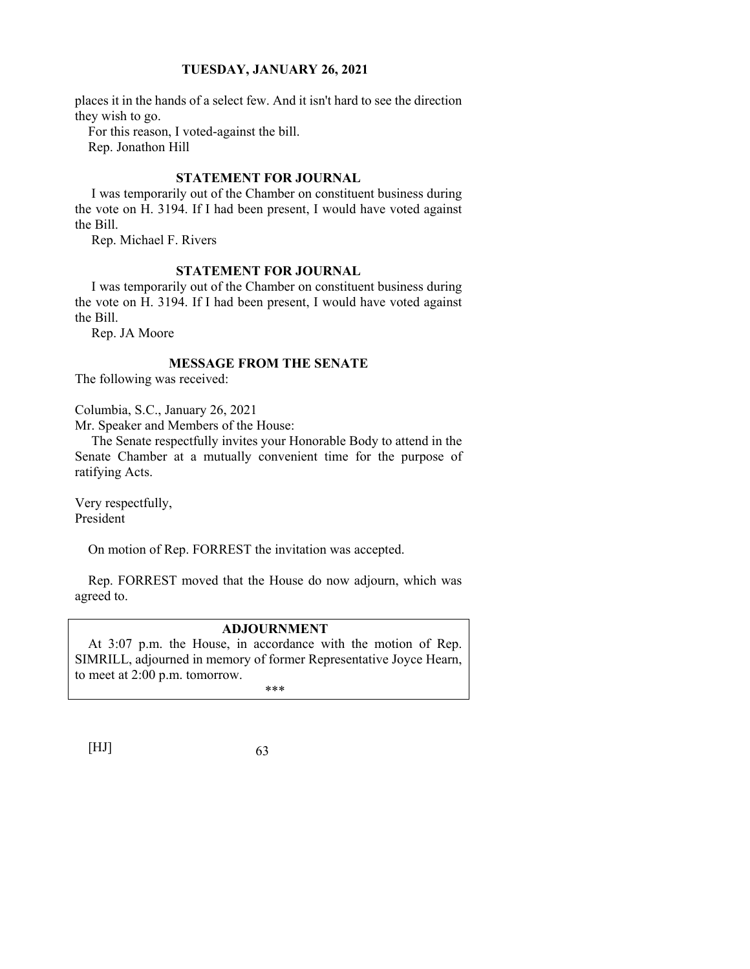places it in the hands of a select few. And it isn't hard to see the direction they wish to go.

For this reason, I voted-against the bill.

Rep. Jonathon Hill

## **STATEMENT FOR JOURNAL**

 I was temporarily out of the Chamber on constituent business during the vote on H. 3194. If I had been present, I would have voted against the Bill.

Rep. Michael F. Rivers

## **STATEMENT FOR JOURNAL**

 I was temporarily out of the Chamber on constituent business during the vote on H. 3194. If I had been present, I would have voted against the Bill.

Rep. JA Moore

# **MESSAGE FROM THE SENATE**

The following was received:

Columbia, S.C., January 26, 2021

Mr. Speaker and Members of the House:

 The Senate respectfully invites your Honorable Body to attend in the Senate Chamber at a mutually convenient time for the purpose of ratifying Acts.

Very respectfully, President

On motion of Rep. FORREST the invitation was accepted.

Rep. FORREST moved that the House do now adjourn, which was agreed to.

# **ADJOURNMENT**

At 3:07 p.m. the House, in accordance with the motion of Rep. SIMRILL, adjourned in memory of former Representative Joyce Hearn, to meet at 2:00 p.m. tomorrow. \*\*\*